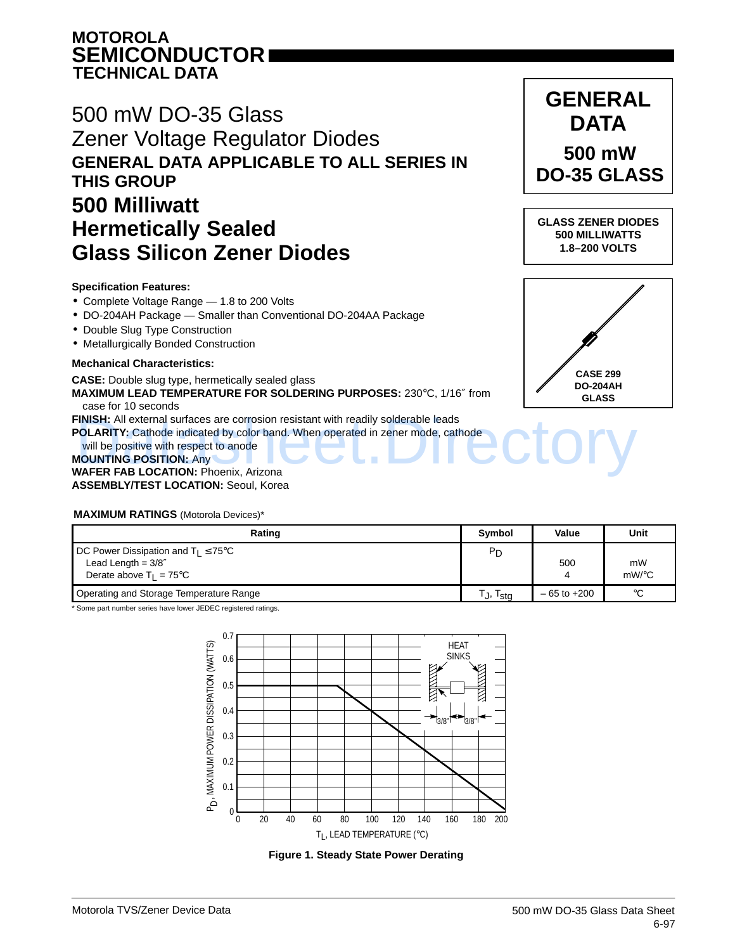### **MOTOROLA SEMICONDUCTOR TECHNICAL DATA**

## 500 mW DO-35 Glass Zener Voltage Regulator Diodes **GENERAL DATA APPLICABLE TO ALL SERIES IN THIS GROUP 500 Milliwatt Hermetically Sealed Glass Silicon Zener Diodes**

#### **Specification Features:**

- Complete Voltage Range 1.8 to 200 Volts
- DO-204AH Package Smaller than Conventional DO-204AA Package
- Double Slug Type Construction
- Metallurgically Bonded Construction

#### **Mechanical Characteristics:**

#### **CASE:** Double slug type, hermetically sealed glass

**MAXIMUM LEAD TEMPERATURE FOR SOLDERING PURPOSES:** 230°C, 1/16″ from case for 10 seconds

**FINISH:** All external surfaces are corrosion resistant with readily solderable leads

**POLARITY:** Cathode indicated by color band. When operated in zener mode, cathode

will be positive with respect to anode **MOUNTING POSITION:** Any **WAFER FAB LOCATION:** Phoenix, Arizona **ASSEMBLY/TEST LOCATION:** Seoul, Korea FINISH: All external surfaces are corrosion resistant with readily solderable leads<br>POLARITY: Cathode indicated by color band. When operated in zener mode, cathode<br>WAFER FAB LOCATION: Phoenix. Arizona

#### **MAXIMUM RATINGS** (Motorola Devices)\*

| Rating                                                                                                         | <b>Symbol</b>                | Value           | Unit                     |
|----------------------------------------------------------------------------------------------------------------|------------------------------|-----------------|--------------------------|
| DC Power Dissipation and $T_1 \leq 75^{\circ}$ C<br>Lead Length = $3/8''$<br>Derate above $T_1 = 75^{\circ}$ C | P <sub>D</sub>               | 500             | mW<br>$mW$ / $\degree$ C |
| Operating and Storage Temperature Range                                                                        | $\cdot$ <sub>1</sub><br>Ista | $-65$ to $+200$ | $^{\circ}C$              |

\* Some part number series have lower JEDEC registered ratings.



**Figure 1. Steady State Power Derating**



**GENERAL**

**GLASS ZENER DIODES 500 MILLIWATTS 1.8–200 VOLTS**

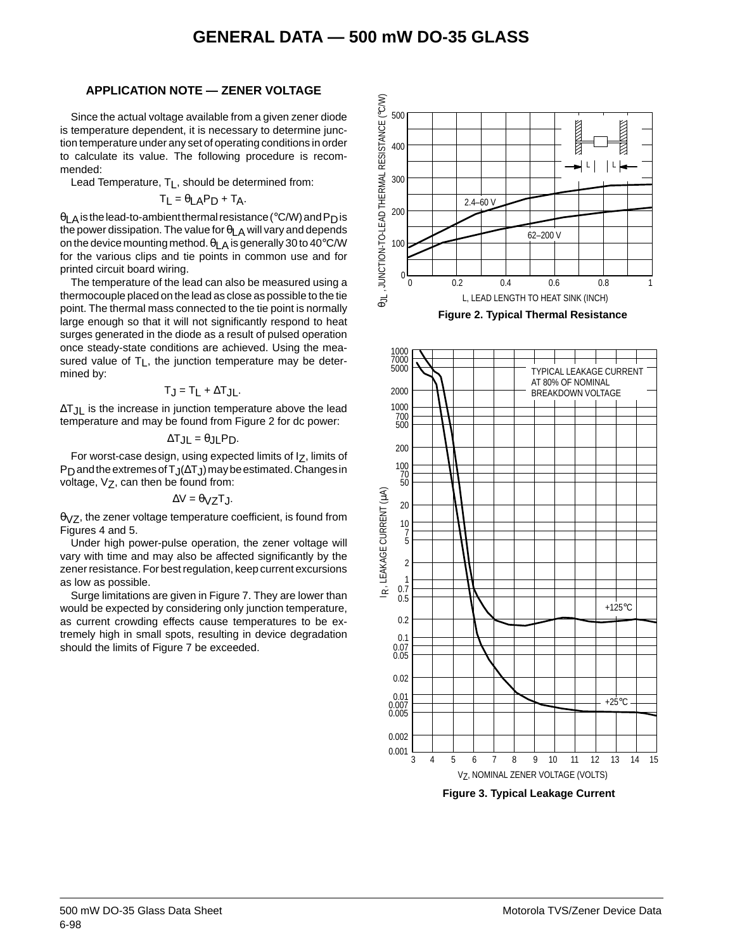#### **APPLICATION NOTE — ZENER VOLTAGE**

Since the actual voltage available from a given zener diode is temperature dependent, it is necessary to determine junction temperature under any set of operating conditions in order to calculate its value. The following procedure is recommended:

Lead Temperature, T<sub>L</sub>, should be determined from:

$$
T_{L} = \theta_{LA}P_{D} + T_{A}.
$$

 $\theta$ LA is the lead-to-ambient thermal resistance (°C/W) and P<sub>D</sub> is the power dissipation. The value for  $\theta_{LA}$  will vary and depends on the device mounting method.  $\theta_{\text{LA}}$  is generally 30 to 40°C/W for the various clips and tie points in common use and for printed circuit board wiring.

The temperature of the lead can also be measured using a thermocouple placed on the lead as close as possible to the tie point. The thermal mass connected to the tie point is normally large enough so that it will not significantly respond to heat surges generated in the diode as a result of pulsed operation once steady-state conditions are achieved. Using the measured value of  $T_L$ , the junction temperature may be determined by:

#### $T_J = T_L + \Delta T_{JL}$ .

∆TJL is the increase in junction temperature above the lead temperature and may be found from Figure 2 for dc power:

$$
\Delta T_{JL} = \theta_{JL} P_D.
$$

For worst-case design, using expected limits of Iz, limits of P<sub>D</sub> and the extremes of T<sub>J</sub>(∆T<sub>J</sub>) may be estimated. Changes in voltage,  $V_Z$ , can then be found from:

$$
\Delta V = \theta_{VZ} T_J.
$$

 $\theta$ <sub>V</sub> $Z$ , the zener voltage temperature coefficient, is found from Figures 4 and 5.

Under high power-pulse operation, the zener voltage will vary with time and may also be affected significantly by the zener resistance. For best regulation, keep current excursions as low as possible.

Surge limitations are given in Figure 7. They are lower than would be expected by considering only junction temperature, as current crowding effects cause temperatures to be extremely high in small spots, resulting in device degradation should the limits of Figure 7 be exceeded.







**Figure 3. Typical Leakage Current**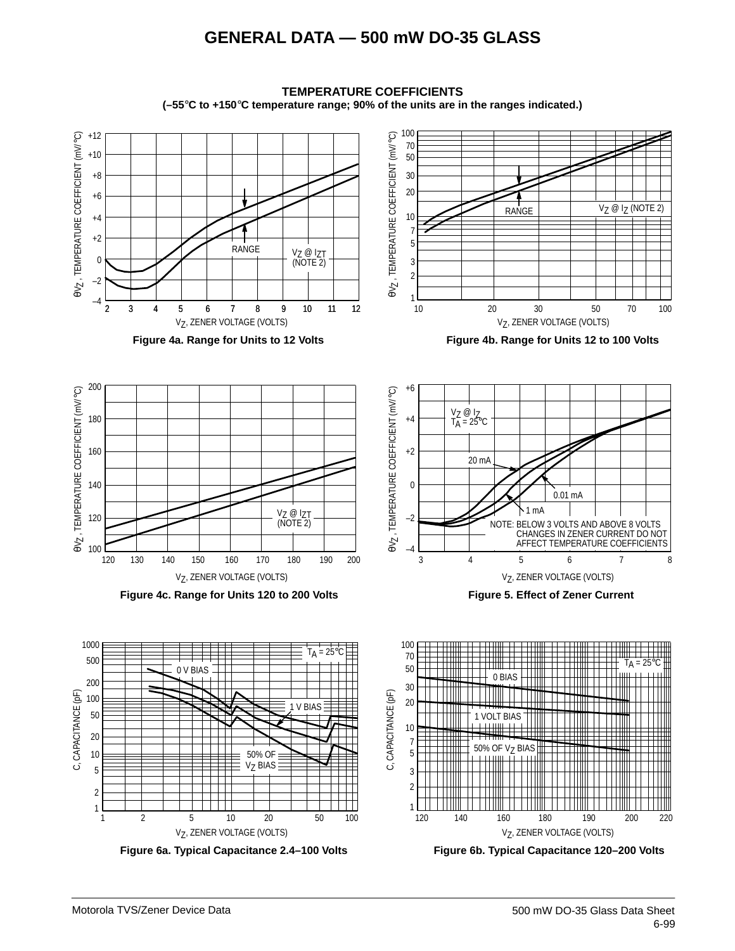

**TEMPERATURE COEFFICIENTS (–55**°**C to +150**°**C temperature range; 90% of the units are in the ranges indicated.)**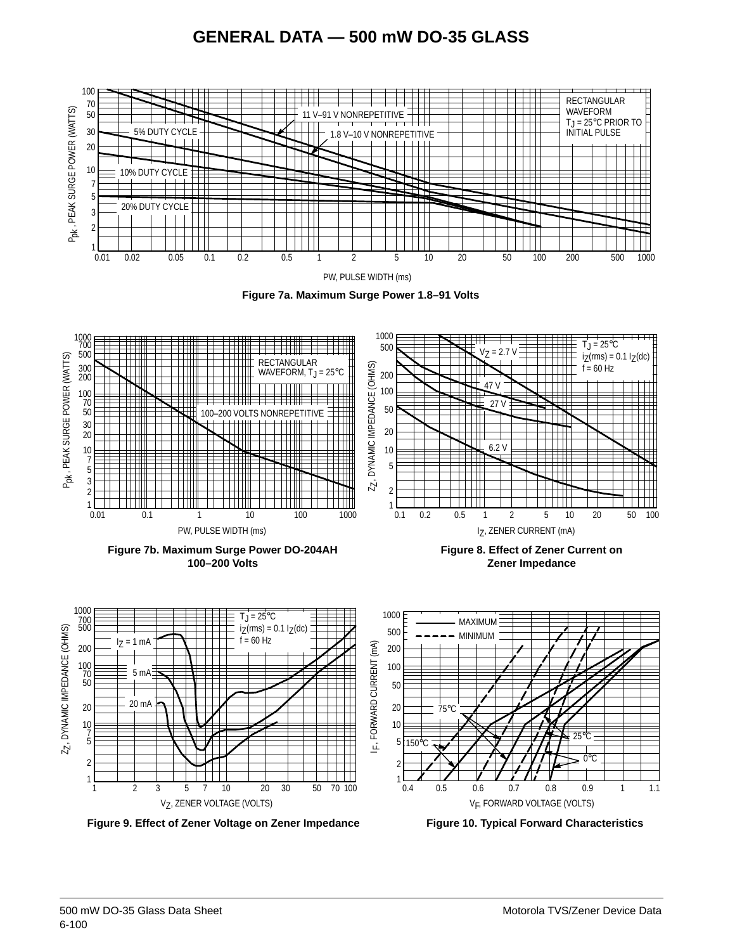

**Figure 9. Effect of Zener Voltage on Zener Impedance Figure 10. Typical Forward Characteristics**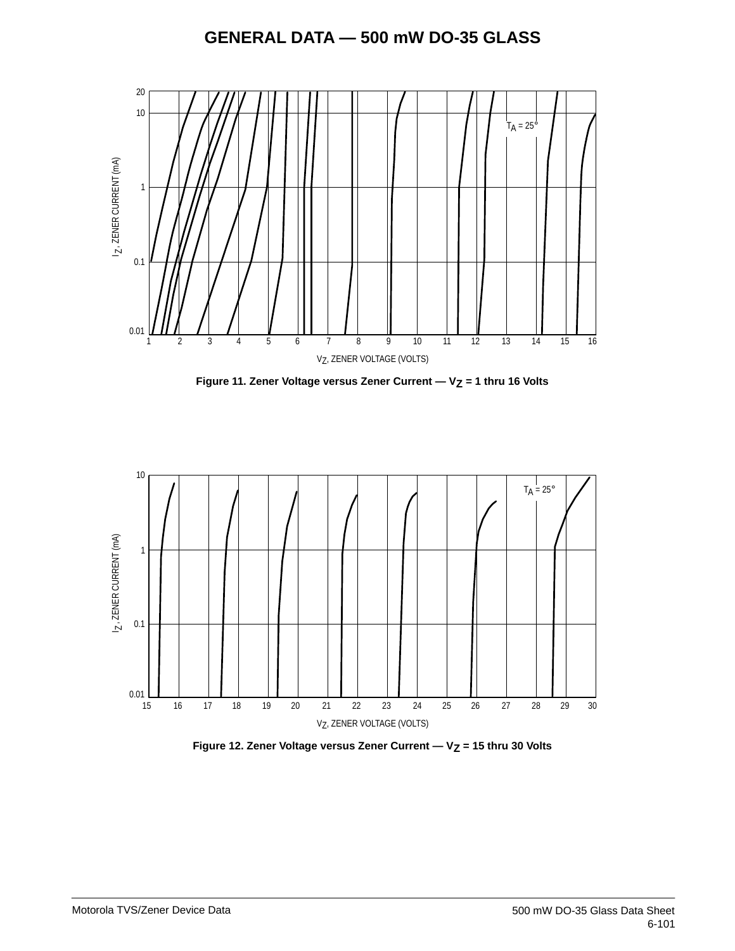

Figure 11. Zener Voltage versus Zener Current - V<sub>Z</sub> = 1 thru 16 Volts



Figure 12. Zener Voltage versus Zener Current - V<sub>Z</sub> = 15 thru 30 Volts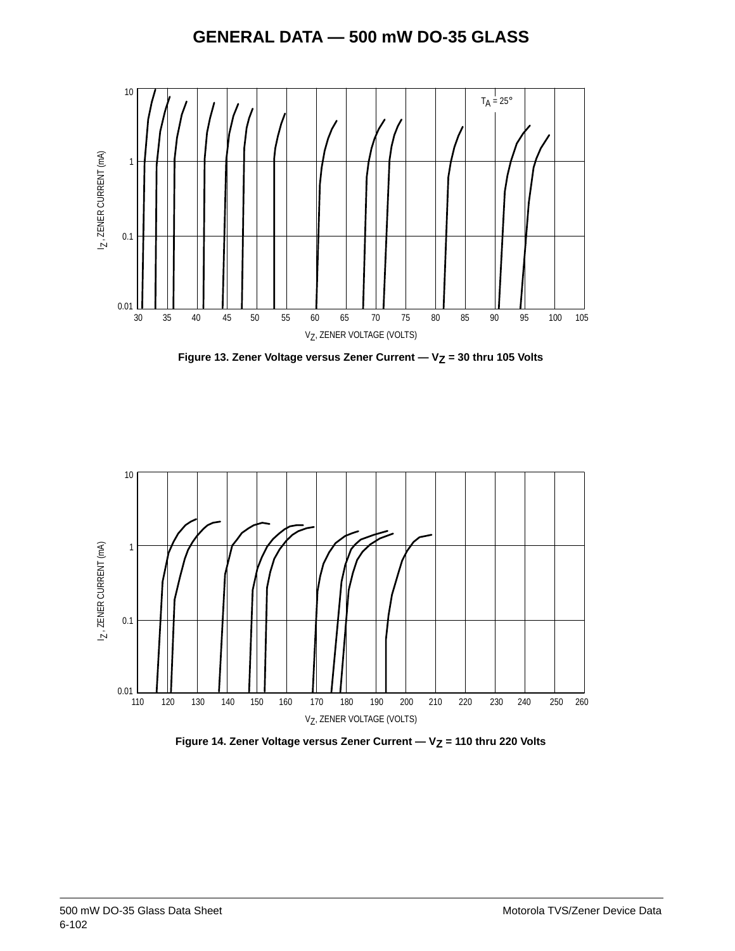





Figure 14. Zener Voltage versus Zener Current - V<sub>Z</sub> = 110 thru 220 Volts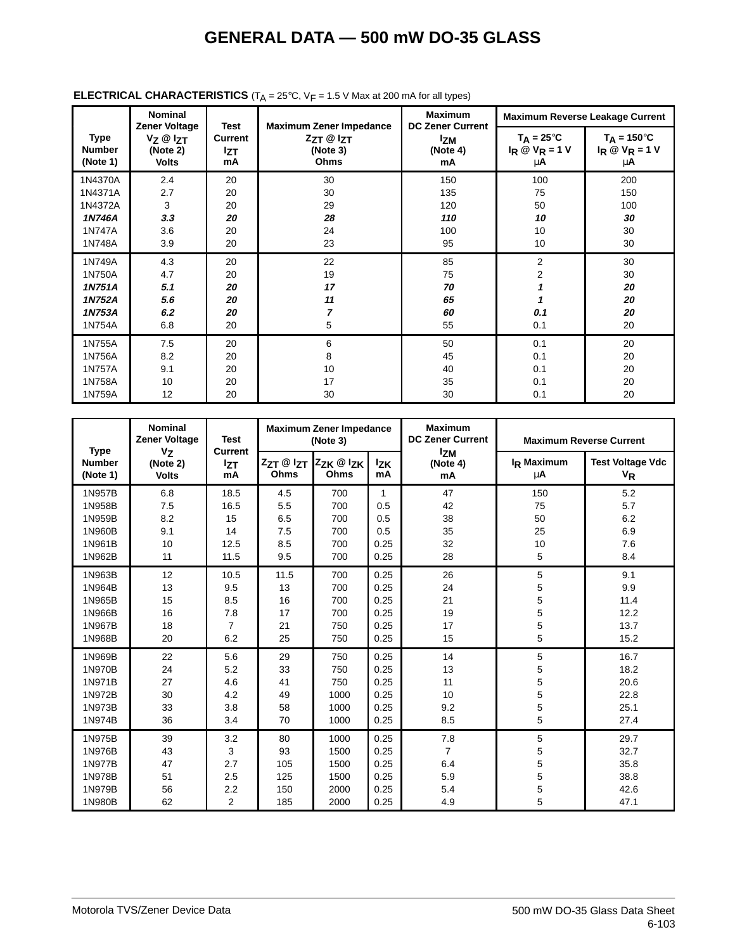|                                                             | <b>Nominal</b>                                                     | Test                             |                                                                          | <b>Maximum</b>                                          |                                                      | <b>Maximum Reverse Leakage Current</b>          |
|-------------------------------------------------------------|--------------------------------------------------------------------|----------------------------------|--------------------------------------------------------------------------|---------------------------------------------------------|------------------------------------------------------|-------------------------------------------------|
| Type<br><b>Number</b><br>(Note 1)                           | <b>Zener Voltage</b><br>$V_Z @ I_{ZT}$<br>(Note 2)<br><b>Volts</b> | Current<br><b>Izt</b><br>mA      | <b>Maximum Zener Impedance</b><br>$Z_{ZT}$ @ $Z_{T}$<br>(Note 3)<br>Ohms | <b>DC Zener Current</b><br><b>Izm</b><br>(Note 4)<br>mA | $T_A = 25^{\circ}C$<br>$I_R \otimes V_R = 1 V$<br>μA | $T_A = 150^{\circ}C$<br>$I_R @ V_R = 1 V$<br>μA |
| 1N4370A<br>1N4371A<br>1N4372A<br>1N746A<br>1N747A<br>1N748A | 2.4<br>2.7<br>3<br>3.3<br>3.6<br>3.9                               | 20<br>20<br>20<br>20<br>20<br>20 | 30<br>30<br>29<br>28<br>24<br>23                                         | 150<br>135<br>120<br>110<br>100<br>95                   | 100<br>75<br>50<br>10<br>10<br>10                    | 200<br>150<br>100<br>30<br>30<br>30             |
| 1N749A<br>1N750A<br>1N751A<br>1N752A<br>1N753A<br>1N754A    | 4.3<br>4.7<br>5.1<br>5.6<br>6.2<br>6.8                             | 20<br>20<br>20<br>20<br>20<br>20 | 22<br>19<br>17<br>11<br>7<br>5                                           | 85<br>75<br>70<br>65<br>60<br>55                        | 2<br>2<br>0.1<br>0.1                                 | 30<br>30<br>20<br>20<br>20<br>20                |
| 1N755A<br>1N756A<br>1N757A<br>1N758A<br>1N759A              | 7.5<br>8.2<br>9.1<br>10<br>12                                      | 20<br>20<br>20<br>20<br>20       | 6<br>8<br>10<br>17<br>30                                                 | 50<br>45<br>40<br>35<br>30                              | 0.1<br>0.1<br>0.1<br>0.1<br>0.1                      | 20<br>20<br>20<br>20<br>20                      |

### **ELECTRICAL CHARACTERISTICS** ( $T_A = 25^\circ$ C,  $V_F = 1.5$  V Max at 200 mA for all types)

|                                          | <b>Nominal</b><br>Zener Voltage     | <b>Test</b>                        |                   | <b>Maximum Zener Impedance</b><br>(Note 3) |                  | <b>Maximum</b><br><b>DC Zener Current</b> |                              | <b>Maximum Reverse Current</b>     |
|------------------------------------------|-------------------------------------|------------------------------------|-------------------|--------------------------------------------|------------------|-------------------------------------------|------------------------------|------------------------------------|
| <b>Type</b><br><b>Number</b><br>(Note 1) | $V_{Z}$<br>(Note 2)<br><b>Volts</b> | <b>Current</b><br><b>IzT</b><br>mA | ZzT @ IzT<br>Ohms | 2zk @ 2k<br>Ohms                           | <b>Izk</b><br>mA | <b>Izm</b><br>(Note 4)<br>mA              | I <sub>R</sub> Maximum<br>μA | <b>Test Voltage Vdc</b><br>$V_{R}$ |
| 1N957B                                   | 6.8                                 | 18.5                               | 4.5               | 700                                        | $\mathbf{1}$     | 47                                        | 150                          | 5.2                                |
| 1N958B                                   | 7.5                                 | 16.5                               | 5.5               | 700                                        | 0.5              | 42                                        | 75                           | 5.7                                |
| 1N959B                                   | 8.2                                 | 15                                 | 6.5               | 700                                        | 0.5              | 38                                        | 50                           | 6.2                                |
| 1N960B                                   | 9.1                                 | 14                                 | 7.5               | 700                                        | 0.5              | 35                                        | 25                           | 6.9                                |
| 1N961B                                   | 10                                  | 12.5                               | 8.5               | 700                                        | 0.25             | 32                                        | 10                           | 7.6                                |
| 1N962B                                   | 11                                  | 11.5                               | 9.5               | 700                                        | 0.25             | 28                                        | 5                            | 8.4                                |
| 1N963B                                   | 12                                  | 10.5                               | 11.5              | 700                                        | 0.25             | 26                                        | 5                            | 9.1                                |
| 1N964B                                   | 13                                  | 9.5                                | 13                | 700                                        | 0.25             | 24                                        | 5                            | 9.9                                |
| 1N965B                                   | 15                                  | 8.5                                | 16                | 700                                        | 0.25             | 21                                        | 5                            | 11.4                               |
| 1N966B                                   | 16                                  | 7.8                                | 17                | 700                                        | 0.25             | 19                                        | 5                            | 12.2                               |
| 1N967B                                   | 18                                  | $\overline{7}$                     | 21                | 750                                        | 0.25             | 17                                        | 5                            | 13.7                               |
| 1N968B                                   | 20                                  | 6.2                                | 25                | 750                                        | 0.25             | 15                                        | 5                            | 15.2                               |
| 1N969B                                   | 22                                  | 5.6                                | 29                | 750                                        | 0.25             | 14                                        | 5                            | 16.7                               |
| 1N970B                                   | 24                                  | 5.2                                | 33                | 750                                        | 0.25             | 13                                        | 5                            | 18.2                               |
| 1N971B                                   | 27                                  | 4.6                                | 41                | 750                                        | 0.25             | 11                                        | 5                            | 20.6                               |
| 1N972B                                   | 30                                  | 4.2                                | 49                | 1000                                       | 0.25             | 10                                        | 5                            | 22.8                               |
| 1N973B                                   | 33                                  | 3.8                                | 58                | 1000                                       | 0.25             | 9.2                                       | 5                            | 25.1                               |
| 1N974B                                   | 36                                  | 3.4                                | 70                | 1000                                       | 0.25             | 8.5                                       | 5                            | 27.4                               |
| 1N975B                                   | 39                                  | 3.2                                | 80                | 1000                                       | 0.25             | 7.8                                       | 5                            | 29.7                               |
| 1N976B                                   | 43                                  | 3                                  | 93                | 1500                                       | 0.25             | $\overline{7}$                            | 5                            | 32.7                               |
| 1N977B                                   | 47                                  | 2.7                                | 105               | 1500                                       | 0.25             | 6.4                                       | 5                            | 35.8                               |
| 1N978B                                   | 51                                  | 2.5                                | 125               | 1500                                       | 0.25             | 5.9                                       | 5                            | 38.8                               |
| 1N979B                                   | 56                                  | 2.2                                | 150               | 2000                                       | 0.25             | 5.4                                       | 5                            | 42.6                               |
| 1N980B                                   | 62                                  | $\overline{2}$                     | 185               | 2000                                       | 0.25             | 4.9                                       | 5                            | 47.1                               |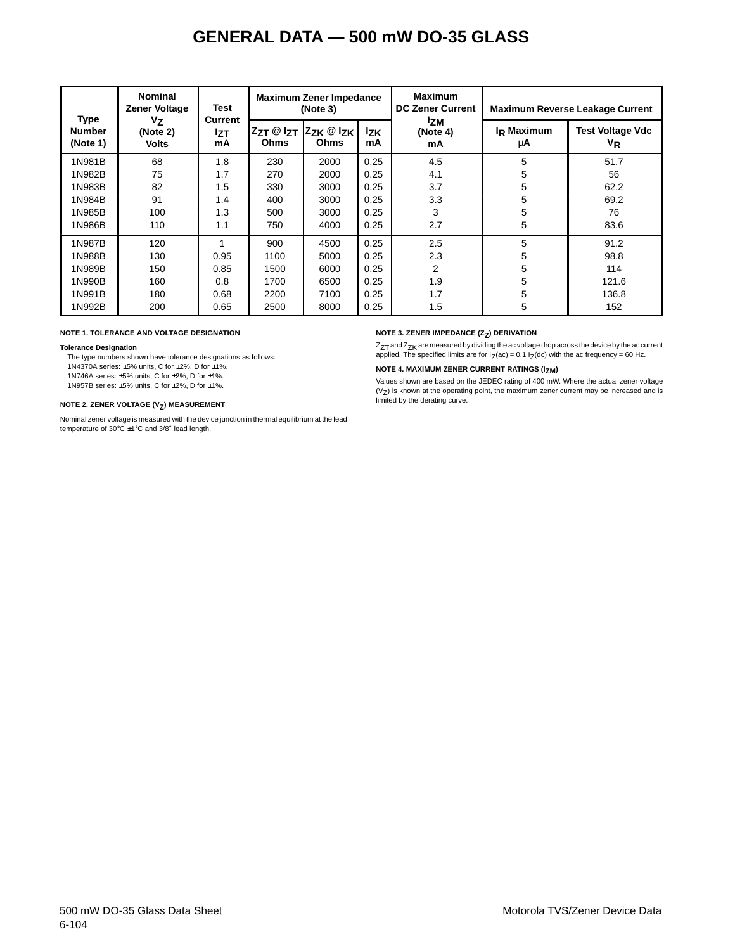| <b>Nominal</b><br><b>Zener Voltage</b>   |                                | <b>Test</b>                        |                             | <b>Maximum Zener Impedance</b><br>(Note 3)          |                                                                              | <b>Maximum</b><br><b>DC Zener Current</b> |                                    | <b>Maximum Reverse Leakage Current</b> |
|------------------------------------------|--------------------------------|------------------------------------|-----------------------------|-----------------------------------------------------|------------------------------------------------------------------------------|-------------------------------------------|------------------------------------|----------------------------------------|
| <b>Type</b><br><b>Number</b><br>(Note 1) | Vz<br>(Note 2)<br><b>Volts</b> | <b>Current</b><br><b>Izt</b><br>mA | $Z_{ZT}$ @ $I_{ZT}$<br>Ohms | l <sup>z</sup> zκ <sup>@ Ι</sup> zκ│<br><b>Ohms</b> | <b>Izm</b><br>$I_R$ Maximum<br>l <sub>ΖK</sub><br>(Note 4)<br>mA<br>μA<br>mA |                                           | <b>Test Voltage Vdc</b><br>$V_{R}$ |                                        |
| 1N981B                                   | 68                             | 1.8                                | 230                         | 2000                                                | 0.25                                                                         | 4.5                                       | 5                                  | 51.7                                   |
| 1N982B                                   | 75                             | 1.7                                | 270                         | 2000                                                | 0.25                                                                         | 4.1                                       | 5                                  | 56                                     |
| 1N983B                                   | 82                             | 1.5                                | 330                         | 3000                                                | 0.25                                                                         | 3.7                                       | 5                                  | 62.2                                   |
| 1N984B                                   | 91                             | 1.4                                | 400                         | 3000                                                | 0.25                                                                         | 3.3                                       | 5                                  | 69.2                                   |
| 1N985B                                   | 100                            | 1.3                                | 500                         | 3000                                                | 0.25                                                                         | 3                                         | 5                                  | 76                                     |
| 1N986B                                   | 110                            | 1.1                                | 750                         | 4000                                                | 0.25                                                                         | 2.7                                       | 5                                  | 83.6                                   |
| 1N987B                                   | 120                            | 1                                  | 900                         | 4500                                                | 0.25                                                                         | 2.5                                       | 5                                  | 91.2                                   |
| 1N988B                                   | 130                            | 0.95                               | 1100                        | 5000                                                | 0.25                                                                         | 2.3                                       | 5                                  | 98.8                                   |
| 1N989B                                   | 150                            | 0.85                               | 1500                        | 6000                                                | 0.25                                                                         | 2                                         | 5                                  | 114                                    |
| 1N990B                                   | 160                            | 0.8                                | 1700                        | 6500                                                | 0.25                                                                         | 1.9                                       | 5                                  | 121.6                                  |
| 1N991B                                   | 180                            | 0.68                               | 2200                        | 7100                                                | 0.25                                                                         | 1.7                                       | 5                                  | 136.8                                  |
| 1N992B                                   | 200                            | 0.65                               | 2500                        | 8000                                                | 0.25                                                                         | 1.5                                       | 5                                  | 152                                    |

#### **NOTE 1. TOLERANCE AND VOLTAGE DESIGNATION**

#### **Tolerance Designation**

The type numbers shown have tolerance designations as follows: 1N4370A series: ±5% units, C for ±2%, D for ±1%.

1N746A series:  $\pm 5\%$  units, C for  $\pm 2\%$ , D for  $\pm 1\%$ .

1N957B series: ±5% units, C for ±2%, D for ±1%.

#### **NOTE 2. ZENER VOLTAGE (V<sub>Z</sub>) MEASUREMENT**

Nominal zener voltage is measured with the device junction in thermal equilibrium at the lead temperature of 30°C ±1°C and 3/8″ lead length.

#### **NOTE 3. ZENER IMPEDANCE (Z<sub>Z</sub>) DERIVATION**

 $Z_{7T}$  and  $Z_{7K}$  are measured by dividing the ac voltage drop across the device by the ac current applied. The specified limits are for  $I_Z(ac) = 0.1 I_Z(dc)$  with the ac frequency = 60 Hz.

#### **NOTE 4. MAXIMUM ZENER CURRENT RATINGS (IZM)**

Values shown are based on the JEDEC rating of 400 mW. Where the actual zener voltage  $(\lor_{\mathsf{Z}})$  is known at the operating point, the maximum zener current may be increased and is<br>limited by the derating curve.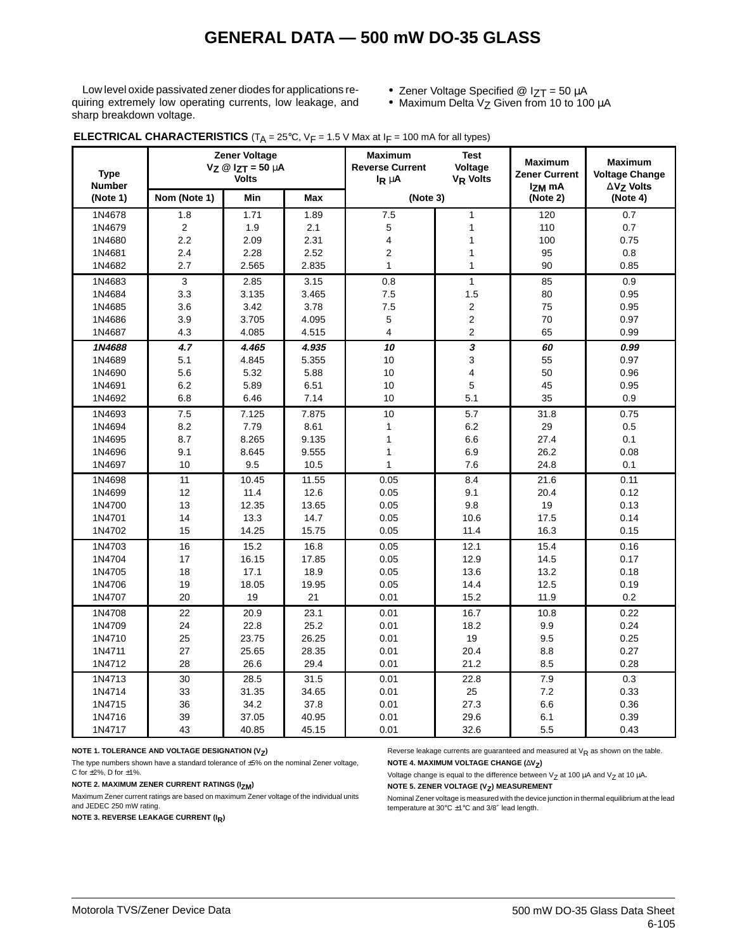Low level oxide passivated zener diodes for applications requiring extremely low operating currents, low leakage, and sharp breakdown voltage.

- Zener Voltage Specified @ IZT = 50 µA
- Maximum Delta Vz Given from 10 to 100 μA

| <b>Type</b><br><b>Number</b> |                | <b>Zener Voltage</b><br>$V_Z \otimes I_{ZT} = 50 \mu A$<br><b>Volts</b> |       | <b>Maximum</b><br><b>Reverse Current</b><br>$I_R \mu A$ | <b>Test</b><br>Voltage<br>V <sub>R</sub> Volts | <b>Maximum</b><br><b>Zener Current</b><br>I <sub>ZM</sub> mA | <b>Maximum</b><br><b>Voltage Change</b><br>$\Delta$ V $\sigma$ Volts |
|------------------------------|----------------|-------------------------------------------------------------------------|-------|---------------------------------------------------------|------------------------------------------------|--------------------------------------------------------------|----------------------------------------------------------------------|
| (Note 1)                     | Nom (Note 1)   | Min                                                                     | Max   | (Note 3)                                                |                                                | (Note 2)                                                     | (Note 4)                                                             |
| 1N4678                       | 1.8            | 1.71                                                                    | 1.89  | 7.5                                                     | $\mathbf{1}$                                   | 120                                                          | 0.7                                                                  |
| 1N4679                       | $\overline{c}$ | 1.9                                                                     | 2.1   | 5                                                       | 1                                              | 110                                                          | 0.7                                                                  |
| 1N4680                       | 2.2            | 2.09                                                                    | 2.31  | 4                                                       | 1                                              | 100                                                          | 0.75                                                                 |
| 1N4681                       | 2.4            | 2.28                                                                    | 2.52  | $\overline{2}$                                          | $\mathbf{1}$                                   | 95                                                           | 0.8                                                                  |
| 1N4682                       | 2.7            | 2.565                                                                   | 2.835 | $\mathbf{1}$                                            | 1                                              | 90                                                           | 0.85                                                                 |
| 1N4683                       | $\overline{3}$ | 2.85                                                                    | 3.15  | 0.8                                                     | $\mathbf{1}$                                   | 85                                                           | 0.9                                                                  |
| 1N4684                       | 3.3            | 3.135                                                                   | 3.465 | 7.5                                                     | 1.5                                            | 80                                                           | 0.95                                                                 |
| 1N4685                       | 3.6            | 3.42                                                                    | 3.78  | 7.5                                                     | 2                                              | 75                                                           | 0.95                                                                 |
| 1N4686                       | 3.9            | 3.705                                                                   | 4.095 | 5                                                       | $\overline{c}$                                 | 70                                                           | 0.97                                                                 |
| 1N4687                       | 4.3            | 4.085                                                                   | 4.515 | 4                                                       | $\overline{c}$                                 | 65                                                           | 0.99                                                                 |
| 1N4688                       | 4.7            | 4.465                                                                   | 4.935 | 10                                                      | 3                                              | 60                                                           | 0.99                                                                 |
| 1N4689                       | 5.1            | 4.845                                                                   | 5.355 | 10                                                      | 3                                              | 55                                                           | 0.97                                                                 |
| 1N4690                       | 5.6            | 5.32                                                                    | 5.88  | 10                                                      | 4                                              | 50                                                           | 0.96                                                                 |
| 1N4691                       | 6.2            | 5.89                                                                    | 6.51  | 10                                                      | 5                                              | 45                                                           | 0.95                                                                 |
| 1N4692                       | 6.8            | 6.46                                                                    | 7.14  | 10                                                      | 5.1                                            | 35                                                           | 0.9                                                                  |
| 1N4693                       | 7.5            | 7.125                                                                   | 7.875 | 10                                                      | 5.7                                            | 31.8                                                         | 0.75                                                                 |
| 1N4694                       | 8.2            | 7.79                                                                    | 8.61  | $\mathbf{1}$                                            | 6.2                                            | 29                                                           | 0.5                                                                  |
| 1N4695                       | 8.7            | 8.265                                                                   | 9.135 | $\mathbf{1}$                                            | 6.6                                            | 27.4                                                         | 0.1                                                                  |
| 1N4696                       | 9.1            | 8.645                                                                   | 9.555 | $\mathbf{1}$                                            | 6.9                                            | 26.2                                                         | 0.08                                                                 |
| 1N4697                       | 10             | 9.5                                                                     | 10.5  | $\mathbf{1}$                                            | 7.6                                            | 24.8                                                         | 0.1                                                                  |
| 1N4698                       | 11             | 10.45                                                                   | 11.55 | 0.05                                                    | 8.4                                            | 21.6                                                         | 0.11                                                                 |
| 1N4699                       | 12             | 11.4                                                                    | 12.6  | 0.05                                                    | 9.1                                            | 20.4                                                         | 0.12                                                                 |
| 1N4700                       | 13             | 12.35                                                                   | 13.65 | 0.05                                                    | 9.8                                            | 19                                                           | 0.13                                                                 |
| 1N4701                       | 14             | 13.3                                                                    | 14.7  | 0.05                                                    | 10.6                                           | 17.5                                                         | 0.14                                                                 |
| 1N4702                       | 15             | 14.25                                                                   | 15.75 | 0.05                                                    | 11.4                                           | 16.3                                                         | 0.15                                                                 |
| 1N4703                       | 16             | 15.2                                                                    | 16.8  | 0.05                                                    | 12.1                                           | 15.4                                                         | 0.16                                                                 |
| 1N4704                       | 17             | 16.15                                                                   | 17.85 | 0.05                                                    | 12.9                                           | 14.5                                                         | 0.17                                                                 |
| 1N4705                       | 18             | 17.1                                                                    | 18.9  | 0.05                                                    | 13.6                                           | 13.2                                                         | 0.18                                                                 |
| 1N4706                       | 19             | 18.05                                                                   | 19.95 | 0.05                                                    | 14.4                                           | 12.5                                                         | 0.19                                                                 |
| 1N4707                       | 20             | 19                                                                      | 21    | 0.01                                                    | 15.2                                           | 11.9                                                         | 0.2                                                                  |
| 1N4708                       | 22             | 20.9                                                                    | 23.1  | 0.01                                                    | 16.7                                           | 10.8                                                         | 0.22                                                                 |
| 1N4709                       | 24             | 22.8                                                                    | 25.2  | 0.01                                                    | 18.2                                           | 9.9                                                          | 0.24                                                                 |
| 1N4710                       | 25             | 23.75                                                                   | 26.25 | 0.01                                                    | 19                                             | 9.5                                                          | 0.25                                                                 |
| 1N4711                       | 27             | 25.65                                                                   | 28.35 | 0.01                                                    | 20.4                                           | 8.8                                                          | 0.27                                                                 |
| 1N4712                       | 28             | 26.6                                                                    | 29.4  | 0.01                                                    | 21.2                                           | 8.5                                                          | 0.28                                                                 |
| 1N4713                       | 30             | 28.5                                                                    | 31.5  | 0.01                                                    | 22.8                                           | 7.9                                                          | 0.3                                                                  |
| 1N4714                       | 33             | 31.35                                                                   | 34.65 | 0.01                                                    | 25                                             | 7.2                                                          | 0.33                                                                 |
| 1N4715                       | 36             | 34.2                                                                    | 37.8  | 0.01                                                    | 27.3                                           | 6.6                                                          | 0.36                                                                 |
| 1N4716                       | 39             | 37.05                                                                   | 40.95 | 0.01                                                    | 29.6                                           | 6.1                                                          | 0.39                                                                 |
| 1N4717                       | 43             | 40.85                                                                   | 45.15 | 0.01                                                    | 32.6                                           | 5.5                                                          | 0.43                                                                 |

#### **ELECTRICAL CHARACTERISTICS**  $(T_A = 25^\circ \text{C}$ ,  $V_F = 1.5 \text{ V}$  Max at  $F = 100 \text{ mA}$  for all types)

**NOTE 1. TOLERANCE AND VOLTAGE DESIGNATION (V<sub>Z</sub>)** 

The type numbers shown have a standard tolerance of ±5% on the nominal Zener voltage, C for  $\pm 2\%$ , D for  $\pm 1\%$ .

### **NOTE 2. MAXIMUM ZENER CURRENT RATINGS (IZM)**

Maximum Zener current ratings are based on maximum Zener voltage of the individual units and JEDEC 250 mW rating.

**NOTE 3. REVERSE LEAKAGE CURRENT (IR)**

Reverse leakage currents are guaranteed and measured at  $V_R$  as shown on the table. **NOTE 4. MAXIMUM VOLTAGE CHANGE (**∆**VZ)**

Voltage change is equal to the difference between  $V_Z$  at 100  $\mu$ A and  $V_Z$  at 10  $\mu$ A. **NOTE 5. ZENER VOLTAGE (V<sub>Z</sub>) MEASUREMENT** 

Nominal Zener voltage is measured with the device junction in thermal equilibrium at the lead temperature at 30°C ±1°C and 3/8″ lead length.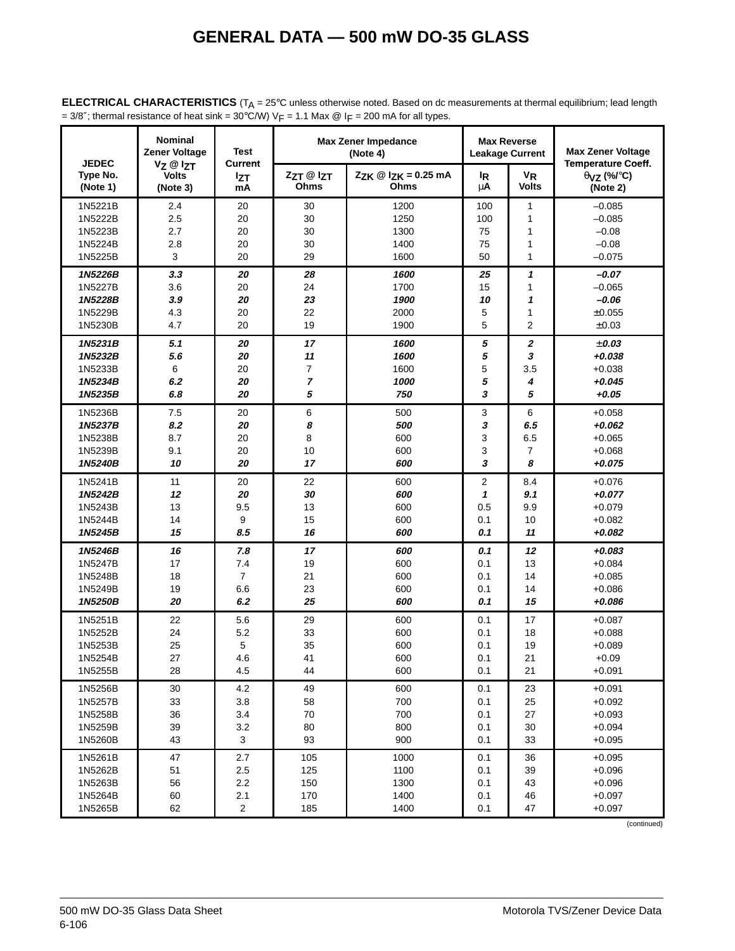| <b>JEDEC</b>         | <b>Nominal</b><br><b>Zener Voltage</b>           | <b>Test</b>                        |                   | <b>Max Zener Impedance</b><br>(Note 4)      |                           | <b>Max Reverse</b><br><b>Leakage Current</b> | <b>Max Zener Voltage</b>                                                         |
|----------------------|--------------------------------------------------|------------------------------------|-------------------|---------------------------------------------|---------------------------|----------------------------------------------|----------------------------------------------------------------------------------|
| Type No.<br>(Note 1) | $V_Z \otimes I_{ZT}$<br><b>Volts</b><br>(Note 3) | <b>Current</b><br><b>Izt</b><br>mA | ZzT @ IzT<br>Ohms | $Z_{ZK} @ I_{ZK} = 0.25 \text{ mA}$<br>Ohms | <sup>I</sup> R<br>$\mu$ A | $V_{R}$<br><b>Volts</b>                      | <b>Temperature Coeff.</b><br>$\theta$ <sub>VZ</sub> (%/ $\degree$ C)<br>(Note 2) |
| 1N5221B              | 2.4                                              | 20                                 | 30                | 1200                                        | 100                       | 1                                            | $-0.085$                                                                         |
| 1N5222B              | 2.5                                              | 20                                 | 30                | 1250                                        | 100                       | 1                                            | $-0.085$                                                                         |
| 1N5223B              | 2.7                                              | 20                                 | 30                | 1300                                        | 75                        | 1                                            | $-0.08$                                                                          |
| 1N5224B              | 2.8                                              | 20                                 | 30                | 1400                                        | 75                        | 1                                            | $-0.08$                                                                          |
| 1N5225B              | $\mathsf 3$                                      | 20                                 | 29                | 1600                                        | 50                        | 1                                            | $-0.075$                                                                         |
| 1N5226B              | 3.3                                              | 20                                 | 28                | 1600                                        | 25                        | 1                                            | $-0.07$                                                                          |
| 1N5227B              | 3.6                                              | 20                                 | 24                | 1700                                        | 15                        | 1                                            | $-0.065$                                                                         |
| 1N5228B              | 3.9                                              | 20                                 | 23                | 1900                                        | 10                        | 1                                            | $-0.06$                                                                          |
| 1N5229B              | 4.3                                              | 20                                 | 22                | 2000                                        | 5                         | 1                                            | $\pm 0.055$                                                                      |
| 1N5230B              | 4.7                                              | 20                                 | 19                | 1900                                        | 5                         | 2                                            | $\pm 0.03$                                                                       |
| 1N5231B              | 5.1                                              | 20                                 | 17                | 1600                                        | 5                         | 2                                            | ± 0.03                                                                           |
| 1N5232B              | 5.6                                              | 20                                 | 11                | 1600                                        | 5                         | 3                                            | $+0.038$                                                                         |
| 1N5233B              | 6                                                | 20                                 | 7                 | 1600                                        | 5                         | 3.5                                          | $+0.038$                                                                         |
| 1N5234B              | 6.2                                              | 20                                 | $\overline{7}$    | 1000                                        | 5                         | 4                                            | $+0.045$                                                                         |
| 1N5235B              | 6.8                                              | 20                                 | 5                 | 750                                         | 3                         | 5                                            | $+0.05$                                                                          |
| 1N5236B              | 7.5                                              | 20                                 | 6                 | 500                                         | 3                         | 6                                            | $+0.058$                                                                         |
| 1N5237B              | 8.2                                              | 20                                 | 8                 | 500                                         | 3                         | 6.5                                          | $+0.062$                                                                         |
| 1N5238B              | 8.7                                              | 20                                 | 8                 | 600                                         | 3                         | 6.5                                          | $+0.065$                                                                         |
| 1N5239B              | 9.1                                              | 20                                 | 10                | 600                                         | 3                         | 7                                            | $+0.068$                                                                         |
| 1N5240B              | 10                                               | 20                                 | 17                | 600                                         | 3                         | 8                                            | $+0.075$                                                                         |
| 1N5241B              | 11                                               | 20                                 | 22                | 600                                         | 2                         | 8.4                                          | $+0.076$                                                                         |
| 1N5242B              | 12                                               | 20                                 | 30                | 600                                         | 1                         | 9.1                                          | $+0.077$                                                                         |
| 1N5243B              | 13                                               | 9.5                                | 13                | 600                                         | 0.5                       | 9.9                                          | $+0.079$                                                                         |
| 1N5244B              | 14                                               | 9                                  | 15                | 600                                         | 0.1                       | 10                                           | $+0.082$                                                                         |
| 1N5245B              | 15                                               | 8.5                                | 16                | 600                                         | 0.1                       | 11                                           | $+0.082$                                                                         |
| 1N5246B              | 16                                               | 7.8                                | $17$              | 600                                         | 0.1                       | 12                                           | $+0.083$                                                                         |
| 1N5247B              | 17                                               | 7.4                                | 19                | 600                                         | 0.1                       | 13                                           | $+0.084$                                                                         |
| 1N5248B              | 18                                               | $\overline{7}$                     | 21                | 600                                         | 0.1                       | 14                                           | $+0.085$                                                                         |
| 1N5249B              | 19                                               | 6.6                                | 23                | 600                                         | 0.1                       | 14                                           | $+0.086$                                                                         |
| 1N5250B              | 20                                               | 6.2                                | 25                | 600                                         | 0.1                       | 15                                           | $+0.086$                                                                         |
| 1N5251B              | 22                                               | 5.6                                | 29                | 600                                         | 0.1                       | 17                                           | $+0.087$                                                                         |
| 1N5252B              | 24                                               | 5.2                                | 33                | 600                                         | 0.1                       | 18                                           | $+0.088$                                                                         |
| 1N5253B              | 25                                               | 5                                  | 35                | 600                                         | 0.1                       | 19                                           | $+0.089$                                                                         |
| 1N5254B              | 27                                               | 4.6                                | 41                | 600                                         | 0.1                       | 21                                           | $+0.09$                                                                          |
| 1N5255B              | 28                                               | 4.5                                | 44                | 600                                         | 0.1                       | 21                                           | $+0.091$                                                                         |
| 1N5256B              | 30                                               | 4.2                                | 49                | 600                                         | 0.1                       | 23                                           | $+0.091$                                                                         |
| 1N5257B              | 33                                               | 3.8                                | 58                | 700                                         | 0.1                       | 25                                           | $+0.092$                                                                         |
| 1N5258B              | 36                                               | 3.4                                | $70\,$            | 700                                         | 0.1                       | 27                                           | $+0.093$                                                                         |
| 1N5259B              | 39                                               | 3.2                                | 80                | 800                                         | 0.1                       | 30                                           | $+0.094$                                                                         |
| 1N5260B              | 43                                               | 3                                  | 93                | 900                                         | 0.1                       | 33                                           | $+0.095$                                                                         |
| 1N5261B              | 47                                               | 2.7                                | 105               | 1000                                        | 0.1                       | 36                                           | $+0.095$                                                                         |
| 1N5262B              | 51                                               | 2.5                                | 125               | 1100                                        | 0.1                       | 39                                           | $+0.096$                                                                         |
| 1N5263B              | 56                                               | 2.2                                | 150               | 1300                                        | 0.1                       | 43                                           | $+0.096$                                                                         |
| 1N5264B              | 60                                               | 2.1                                | 170               | 1400                                        | 0.1                       | 46                                           | $+0.097$                                                                         |
| 1N5265B              | 62                                               | $\sqrt{2}$                         | 185               | 1400                                        | 0.1                       | 47                                           | $+0.097$                                                                         |

**ELECTRICAL CHARACTERISTICS** (T<sub>A</sub> = 25°C unless otherwise noted. Based on dc measurements at thermal equilibrium; lead length = 3/8"; thermal resistance of heat sink =  $30^{\circ}$ C/W) V<sub>F</sub> = 1.1 Max @ I<sub>F</sub> = 200 mA for all types.

(continued)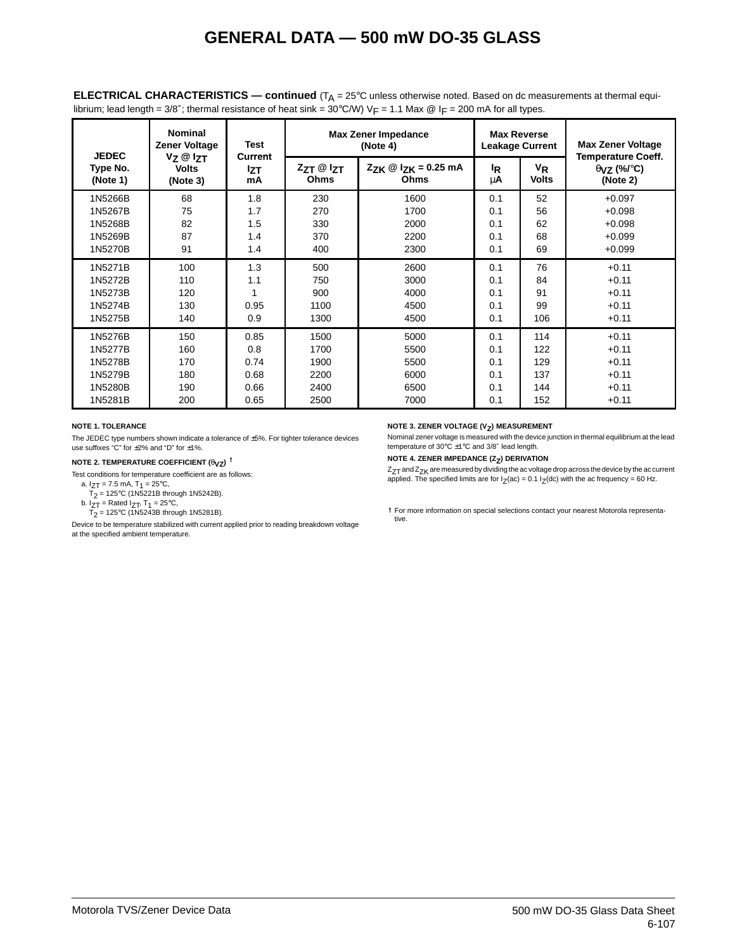| <b>JEDEC</b>         | <b>Nominal</b><br><b>Zener Voltage</b> | <b>Test</b>                 |                           | <b>Max Zener Impedance</b><br>(Note 4)                      |                      | <b>Max Reverse</b><br><b>Leakage Current</b> | <b>Max Zener Voltage</b>                                               |
|----------------------|----------------------------------------|-----------------------------|---------------------------|-------------------------------------------------------------|----------------------|----------------------------------------------|------------------------------------------------------------------------|
| Type No.<br>(Note 1) | Vz @ Izt<br><b>Volts</b><br>(Note 3)   | Current<br><b>Izt</b><br>mA | $ZZT \otimes IZT$<br>Ohms | $Z_{ZK} \n\textcircled{2}$ $Z_{K} = 0.25$ mA<br><b>Ohms</b> | <sup>I</sup> R<br>μA | VR<br><b>Volts</b>                           | <b>Temperature Coeff.</b><br>$\theta$ <sub>VZ</sub> (%/°C)<br>(Note 2) |
| 1N5266B              | 68                                     | 1.8                         | 230                       | 1600                                                        | 0.1                  | 52                                           | $+0.097$                                                               |
| 1N5267B              | 75                                     | 1.7                         | 270                       | 1700                                                        | 0.1                  | 56                                           | $+0.098$                                                               |
| 1N5268B              | 82                                     | 1.5                         | 330                       | 2000                                                        | 0.1                  | 62                                           | $+0.098$                                                               |
| 1N5269B              | 87                                     | 1.4                         | 370                       | 2200                                                        | 0.1                  | 68                                           | $+0.099$                                                               |
| 1N5270B              | 91                                     | 1.4                         | 400                       | 2300                                                        | 0.1                  | 69                                           | $+0.099$                                                               |
| 1N5271B              | 100                                    | 1.3                         | 500                       | 2600                                                        | 0.1                  | 76                                           | $+0.11$                                                                |
| 1N5272B              | 110                                    | 1.1                         | 750                       | 3000                                                        | 0.1                  | 84                                           | $+0.11$                                                                |
| 1N5273B              | 120                                    | 1                           | 900                       | 4000                                                        | 0.1                  | 91                                           | $+0.11$                                                                |
| 1N5274B              | 130                                    | 0.95                        | 1100                      | 4500                                                        | 0.1                  | 99                                           | $+0.11$                                                                |
| 1N5275B              | 140                                    | 0.9                         | 1300                      | 4500                                                        | 0.1                  | 106                                          | $+0.11$                                                                |
| 1N5276B              | 150                                    | 0.85                        | 1500                      | 5000                                                        | 0.1                  | 114                                          | $+0.11$                                                                |
| 1N5277B              | 160                                    | 0.8                         | 1700                      | 5500                                                        | 0.1                  | 122                                          | $+0.11$                                                                |
| 1N5278B              | 170                                    | 0.74                        | 1900                      | 5500                                                        | 0.1                  | 129                                          | $+0.11$                                                                |
| 1N5279B              | 180                                    | 0.68                        | 2200                      | 6000                                                        | 0.1                  | 137                                          | $+0.11$                                                                |
| 1N5280B              | 190                                    | 0.66                        | 2400                      | 6500                                                        | 0.1                  | 144                                          | $+0.11$                                                                |
| 1N5281B              | 200                                    | 0.65                        | 2500                      | 7000                                                        | 0.1                  | 152                                          | $+0.11$                                                                |

**ELECTRICAL CHARACTERISTICS — continued** (T<sub>A</sub> = 25°C unless otherwise noted. Based on dc measurements at thermal equilibrium; lead length = 3/8"; thermal resistance of heat sink = 30°C/W) VF = 1.1 Max @ IF = 200 mA for all types.

#### **NOTE 1. TOLERANCE**

The JEDEC type numbers shown indicate a tolerance of ±5%. For tighter tolerance devices use suffixes "C" for ±2% and "D" for ±1%.

#### **NOTE 2. TEMPERATURE COEFFICIENT**  $(\theta_{VZ})$ **<sup>†</sup>**

Test conditions for temperature coefficient are as follows:

- a.  $I_{ZT}$  = 7.5 mA,  $T_1$  = 25°C,
- $T_2$  = 125°C (1N5221B through 1N5242B).
- b.  $I_{ZT}$  = Rated  $I_{ZT}$ , T<sub>1</sub> = 25°C,  $T_2$  = 125°C (1N5243B through 1N5281B).

Device to be temperature stabilized with current applied prior to reading breakdown voltage

at the specified ambient temperature.

#### **NOTE 3. ZENER VOLTAGE (V<sub>Z</sub>) MEASUREMENT**

Nominal zener voltage is measured with the device junction in thermal equilibrium at the lead temperature of 30°C ±1°C and 3/8″ lead length.

**NOTE 4. ZENER IMPEDANCE (Z<sub>Z</sub>) DERIVATION** 

 $Z_{ZT}$  and  $Z_{ZK}$  are measured by dividing the ac voltage drop across the device by the ac current applied. The specified limits are for  $I_Z(ac) = 0.1 I_Z(dc)$  with the ac frequency = 60 Hz.

For more information on special selections contact your nearest Motorola representative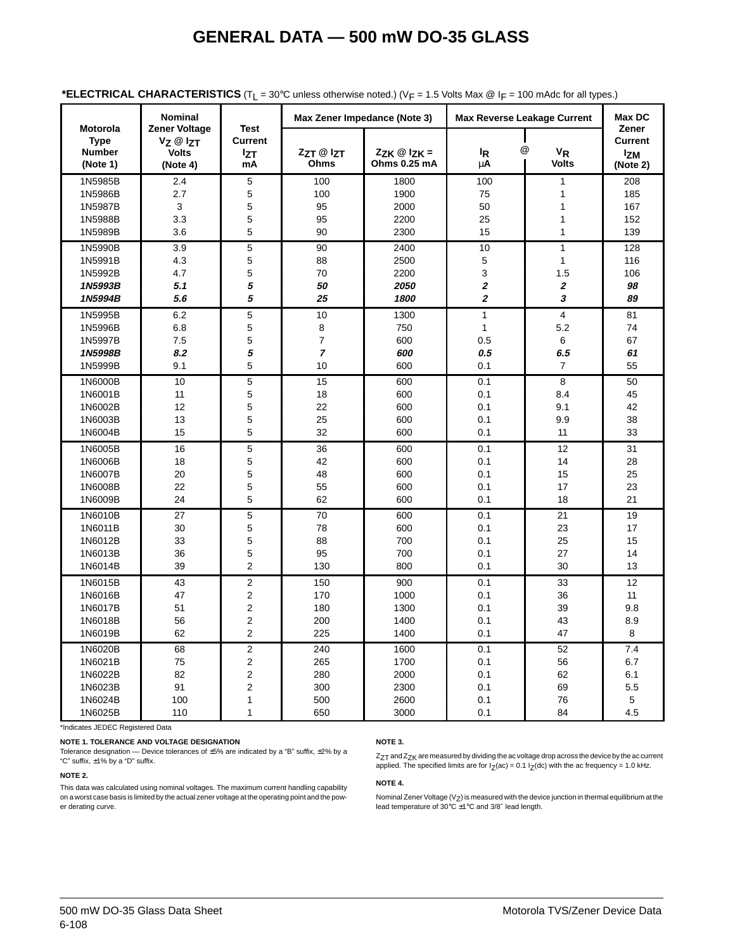|                                                             | <b>Nominal</b>                                                           |                                                   |                         | Max Zener Impedance (Note 3)              |                  | <b>Max Reverse Leakage Current</b> | Max DC                                            |
|-------------------------------------------------------------|--------------------------------------------------------------------------|---------------------------------------------------|-------------------------|-------------------------------------------|------------------|------------------------------------|---------------------------------------------------|
| <b>Motorola</b><br><b>Type</b><br><b>Number</b><br>(Note 1) | <b>Zener Voltage</b><br>$V$ z $@$ $\nabla$ T<br><b>Volts</b><br>(Note 4) | <b>Test</b><br><b>Current</b><br><b>Izt</b><br>mA | ZzT @ IzT<br>Ohms       | $Z_{ZK} \otimes I_{ZK} =$<br>Ohms 0.25 mA | $I_R$<br>μA      | @<br>$V_R$<br><b>Volts</b>         | Zener<br><b>Current</b><br><b>Izm</b><br>(Note 2) |
| 1N5985B                                                     | 2.4                                                                      | 5                                                 | 100                     | 1800                                      | 100              | 1                                  | 208                                               |
| 1N5986B                                                     | 2.7                                                                      | 5                                                 | 100                     | 1900                                      | 75               | 1                                  | 185                                               |
| 1N5987B                                                     | 3                                                                        | 5                                                 | 95                      | 2000                                      | 50               | 1                                  | 167                                               |
| 1N5988B                                                     | 3.3                                                                      | 5                                                 | 95                      | 2200                                      | 25               | 1                                  | 152                                               |
| 1N5989B                                                     | 3.6                                                                      | 5                                                 | 90                      | 2300                                      | 15               | $\mathbf{1}$                       | 139                                               |
| 1N5990B                                                     | 3.9                                                                      | 5                                                 | 90                      | 2400                                      | 10               | $\mathbf{1}$                       | 128                                               |
| 1N5991B                                                     | 4.3                                                                      | 5                                                 | 88                      | 2500                                      | 5                | $\mathbf{1}$                       | 116                                               |
| 1N5992B                                                     | 4.7                                                                      | 5                                                 | 70                      | 2200                                      | 3                | 1.5                                | 106                                               |
| 1N5993B                                                     | 5.1                                                                      | 5                                                 | 50                      | 2050                                      | $\boldsymbol{2}$ | 2                                  | 98                                                |
| 1N5994B                                                     | 5.6                                                                      | 5                                                 | 25                      | 1800                                      | $\boldsymbol{2}$ | 3                                  | 89                                                |
| 1N5995B                                                     | 6.2                                                                      | 5                                                 | 10                      | 1300                                      | $\mathbf{1}$     | $\overline{4}$                     | 81                                                |
| 1N5996B                                                     | 6.8                                                                      | 5                                                 | 8                       | 750                                       | $\mathbf{1}$     | 5.2                                | 74                                                |
| 1N5997B                                                     | 7.5                                                                      | 5                                                 | $\overline{\mathbf{7}}$ | 600                                       | 0.5              | 6                                  | 67                                                |
| 1N5998B                                                     | 8.2                                                                      | 5                                                 | $\overline{7}$          | 600                                       | 0.5              | 6.5                                | 61                                                |
| 1N5999B                                                     | 9.1                                                                      | 5                                                 | 10                      | 600                                       | 0.1              | 7                                  | 55                                                |
| 1N6000B                                                     | 10                                                                       | 5                                                 | 15                      | 600                                       | 0.1              | 8                                  | 50                                                |
| 1N6001B                                                     | 11                                                                       | 5                                                 | 18                      | 600                                       | 0.1              | 8.4                                | 45                                                |
| 1N6002B                                                     | 12                                                                       | 5                                                 | 22                      | 600                                       | 0.1              | 9.1                                | 42                                                |
| 1N6003B                                                     | 13                                                                       | 5                                                 | 25                      | 600                                       | 0.1              | 9.9                                | 38                                                |
| 1N6004B                                                     | 15                                                                       | 5                                                 | 32                      | 600                                       | 0.1              | 11                                 | 33                                                |
| 1N6005B                                                     | 16                                                                       | 5                                                 | 36                      | 600                                       | 0.1              | 12                                 | 31                                                |
| 1N6006B                                                     | 18                                                                       | 5                                                 | 42                      | 600                                       | 0.1              | 14                                 | 28                                                |
| 1N6007B                                                     | 20                                                                       | 5                                                 | 48                      | 600                                       | 0.1              | 15                                 | 25                                                |
| 1N6008B                                                     | 22                                                                       | 5                                                 | 55                      | 600                                       | 0.1              | 17                                 | 23                                                |
| 1N6009B                                                     | 24                                                                       | 5                                                 | 62                      | 600                                       | 0.1              | 18                                 | 21                                                |
| 1N6010B                                                     | 27                                                                       | 5                                                 | 70                      | 600                                       | 0.1              | 21                                 | 19                                                |
| 1N6011B                                                     | 30                                                                       | 5                                                 | 78                      | 600                                       | 0.1              | 23                                 | 17                                                |
| 1N6012B                                                     | 33                                                                       | 5                                                 | 88                      | 700                                       | 0.1              | 25                                 | 15                                                |
| 1N6013B                                                     | 36                                                                       | 5                                                 | 95                      | 700                                       | 0.1              | 27                                 | 14                                                |
| 1N6014B                                                     | 39                                                                       | $\overline{2}$                                    | 130                     | 800                                       | 0.1              | 30                                 | 13                                                |
| 1N6015B                                                     | 43                                                                       | $\overline{2}$                                    | 150                     | 900                                       | 0.1              | 33                                 | 12                                                |
| 1N6016B                                                     | 47                                                                       | $\overline{2}$                                    | 170                     | 1000                                      | 0.1              | 36                                 | 11                                                |
| 1N6017B                                                     | 51                                                                       | $\overline{2}$                                    | 180                     | 1300                                      | 0.1              | 39                                 | 9.8                                               |
| 1N6018B                                                     | 56                                                                       | $\overline{2}$                                    | 200                     | 1400                                      | 0.1              | 43                                 | 8.9                                               |
| 1N6019B                                                     | 62                                                                       | $\overline{2}$                                    | 225                     | 1400                                      | 0.1              | 47                                 | 8                                                 |
| 1N6020B                                                     | 68                                                                       | $\overline{c}$                                    | 240                     | 1600                                      | 0.1              | 52                                 | 7.4                                               |
| 1N6021B                                                     | 75                                                                       | $\overline{2}$                                    | 265                     | 1700                                      | 0.1              | 56                                 | 6.7                                               |
| 1N6022B                                                     | 82                                                                       | $\overline{2}$                                    | 280                     | 2000                                      | 0.1              | 62                                 | 6.1                                               |
| 1N6023B                                                     | 91                                                                       | 2                                                 | 300                     | 2300                                      | 0.1              | 69                                 | 5.5                                               |
| 1N6024B                                                     | 100                                                                      | 1                                                 | 500                     | 2600                                      | 0.1              | 76                                 | 5                                                 |
| 1N6025B                                                     | 110                                                                      | $\mathbf{1}$                                      | 650                     | 3000                                      | 0.1              | 84                                 | 4.5                                               |

#### **\*ELECTRICAL CHARACTERISTICS** ( $T<sub>L</sub> = 30$ °C unless otherwise noted.) ( $V<sub>F</sub> = 1.5$  Volts Max @ I<sub>F</sub> = 100 mAdc for all types.)

\*Indicates JEDEC Registered Data

#### **NOTE 1. TOLERANCE AND VOLTAGE DESIGNATION**

Tolerance designation — Device tolerances of ±5% are indicated by a "B" suffix, ±2% by a "C" suffix, ±1% by a "D" suffix.

#### **NOTE 2.**

This data was calculated using nominal voltages. The maximum current handling capability on a worst case basis is limited by the actual zener voltage at the operating point and the power derating curve.

#### **NOTE 3.**

 $Z_{ZT}$  and  $Z_{ZK}$  are measured by dividing the ac voltage drop across the device by the ac current applied. The specified limits are for  $I_Z(ac) = 0.1 I_Z(dc)$  with the ac frequency = 1.0 kHz.

#### **NOTE 4.**

Nominal Zener Voltage (V<sub>Z</sub>) is measured with the device junction in thermal equilibrium at the<br>lead temperature of 30℃ ±1℃ and 3/8″ lead length.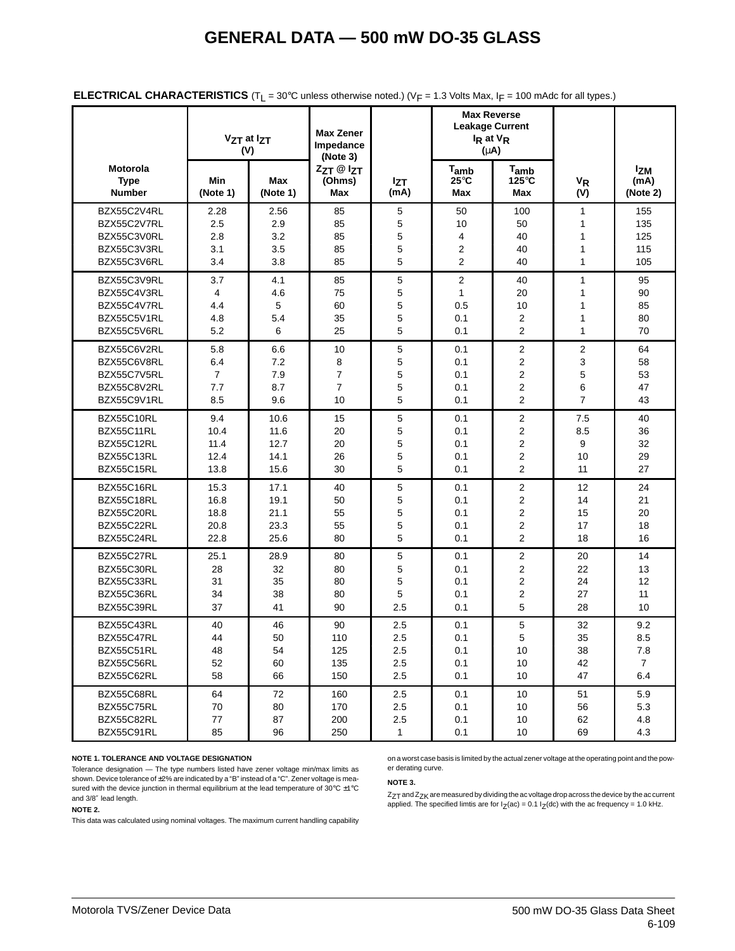|                                          |                 | Vz <sub>T</sub> at Iz <sub>T</sub><br>(V) | <b>Max Zener</b><br>Impedance<br>(Note 3) |                    | <b>Max Reverse</b><br><b>Leakage Current</b><br>I <sub>R</sub> at V <sub>R</sub><br>$(\mu A)$ |                                  |                             |                                |
|------------------------------------------|-----------------|-------------------------------------------|-------------------------------------------|--------------------|-----------------------------------------------------------------------------------------------|----------------------------------|-----------------------------|--------------------------------|
| Motorola<br><b>Type</b><br><b>Number</b> | Min<br>(Note 1) | <b>Max</b><br>(Note 1)                    | ZzT @ IzT<br>(Ohms)<br><b>Max</b>         | <b>Izt</b><br>(mA) | $T_{amb}$<br>$25^{\circ}$ C<br>Max                                                            | $T_{amb}$<br>125°C<br><b>Max</b> | <b>V<sub>R</sub></b><br>(V) | <b>Izm</b><br>(mA)<br>(Note 2) |
| BZX55C2V4RL                              | 2.28            | 2.56                                      | 85                                        | 5                  | 50                                                                                            | 100                              | $\mathbf{1}$                | 155                            |
| BZX55C2V7RL                              | 2.5             | 2.9                                       | 85                                        | $\mathbf 5$        | 10                                                                                            | 50                               | 1                           | 135                            |
| BZX55C3V0RL                              | 2.8             | 3.2                                       | 85                                        | 5                  | 4                                                                                             | 40                               | 1                           | 125                            |
| BZX55C3V3RL                              | 3.1             | 3.5                                       | 85                                        | 5                  | 2                                                                                             | 40                               | 1                           | 115                            |
| BZX55C3V6RL                              | 3.4             | 3.8                                       | 85                                        | 5                  | 2                                                                                             | 40                               | 1                           | 105                            |
| BZX55C3V9RL                              | 3.7             | 4.1                                       | 85                                        | 5                  | $\overline{2}$                                                                                | 40                               | 1                           | 95                             |
| BZX55C4V3RL                              | 4               | 4.6                                       | 75                                        | 5                  | $\mathbf{1}$                                                                                  | 20                               | 1                           | 90                             |
| BZX55C4V7RL                              | 4.4             | 5                                         | 60                                        | 5                  | 0.5                                                                                           | 10                               | 1                           | 85                             |
| BZX55C5V1RL                              | 4.8             | 5.4                                       | 35                                        | 5                  | 0.1                                                                                           | 2                                | 1                           | 80                             |
| BZX55C5V6RL                              | 5.2             | 6                                         | 25                                        | 5                  | 0.1                                                                                           | $\overline{2}$                   | 1                           | 70                             |
| BZX55C6V2RL                              | 5.8             | 6.6                                       | 10                                        | 5                  | 0.1                                                                                           | $\overline{2}$                   | $\overline{2}$              | 64                             |
| BZX55C6V8RL                              | 6.4             | 7.2                                       | 8                                         | 5                  | 0.1                                                                                           | $\overline{2}$                   | 3                           | 58                             |
| BZX55C7V5RL                              | 7               | 7.9                                       | $\overline{7}$                            | 5                  | 0.1                                                                                           | 2                                | 5                           | 53                             |
| BZX55C8V2RL                              | 7.7             | 8.7                                       | $\overline{7}$                            | 5                  | 0.1                                                                                           | $\overline{2}$                   | 6                           | 47                             |
| BZX55C9V1RL                              | 8.5             | 9.6                                       | 10                                        | 5                  | 0.1                                                                                           | $\overline{2}$                   | $\overline{7}$              | 43                             |
| BZX55C10RL                               | 9.4             | 10.6                                      | 15                                        | $\mathbf 5$        | 0.1                                                                                           | $\boldsymbol{2}$                 | 7.5                         | 40                             |
| BZX55C11RL                               | 10.4            | 11.6                                      | 20                                        | 5                  | 0.1                                                                                           | 2                                | 8.5                         | 36                             |
| BZX55C12RL                               | 11.4            | 12.7                                      | 20                                        | 5                  | 0.1                                                                                           | $\overline{2}$                   | 9                           | 32                             |
| BZX55C13RL                               | 12.4            | 14.1                                      | 26                                        | 5                  | 0.1                                                                                           | $\overline{2}$                   | 10                          | 29                             |
| BZX55C15RL                               | 13.8            | 15.6                                      | 30                                        | 5                  | 0.1                                                                                           | $\overline{2}$                   | 11                          | 27                             |
| BZX55C16RL                               | 15.3            | 17.1                                      | 40                                        | 5                  | 0.1                                                                                           | $\overline{2}$                   | 12                          | 24                             |
| BZX55C18RL                               | 16.8            | 19.1                                      | 50                                        | 5                  | 0.1                                                                                           | 2                                | 14                          | 21                             |
| BZX55C20RL                               | 18.8            | 21.1                                      | 55                                        | 5                  | 0.1                                                                                           | $\overline{2}$                   | 15                          | 20                             |
| BZX55C22RL                               | 20.8            | 23.3                                      | 55                                        | 5                  | 0.1                                                                                           | $\overline{2}$                   | 17                          | 18                             |
| BZX55C24RL                               | 22.8            | 25.6                                      | 80                                        | 5                  | 0.1                                                                                           | $\overline{2}$                   | 18                          | 16                             |
| BZX55C27RL                               | 25.1            | 28.9                                      | 80                                        | 5                  | 0.1                                                                                           | 2                                | 20                          | 14                             |
| BZX55C30RL                               | 28              | 32                                        | 80                                        | 5                  | 0.1                                                                                           | 2                                | 22                          | 13                             |
| BZX55C33RL                               | 31              | 35                                        | 80                                        | 5                  | 0.1                                                                                           | $\overline{2}$                   | 24                          | 12                             |
| BZX55C36RL                               | 34              | 38                                        | 80                                        | 5                  | 0.1                                                                                           | 2                                | 27                          | 11                             |
| BZX55C39RL                               | 37              | 41                                        | 90                                        | 2.5                | 0.1                                                                                           | 5                                | 28                          | 10                             |
| BZX55C43RL                               | 40              | 46                                        | 90                                        | 2.5                | 0.1                                                                                           | 5                                | 32                          | 9.2                            |
| BZX55C47RL                               | 44              | 50                                        | 110                                       | 2.5                | 0.1                                                                                           | 5                                | 35                          | 8.5                            |
| BZX55C51RL                               | 48              | 54                                        | 125                                       | 2.5                | 0.1                                                                                           | 10                               | 38                          | 7.8                            |
| BZX55C56RL                               | 52              | 60                                        | 135                                       | 2.5                | 0.1                                                                                           | 10                               | 42                          | $\overline{7}$                 |
| BZX55C62RL                               | 58              | 66                                        | 150                                       | 2.5                | 0.1                                                                                           | 10                               | 47                          | 6.4                            |
| BZX55C68RL                               | 64              | 72                                        | 160                                       | 2.5                | 0.1                                                                                           | 10                               | 51                          | 5.9                            |
| BZX55C75RL                               | 70              | 80                                        | 170                                       | 2.5                | 0.1                                                                                           | 10                               | 56                          | 5.3                            |
| BZX55C82RL                               | 77              | 87                                        | 200                                       | 2.5                | 0.1                                                                                           | 10                               | 62                          | 4.8                            |
| BZX55C91RL                               | 85              | 96                                        | 250                                       | $\mathbf{1}$       | 0.1                                                                                           | 10                               | 69                          | 4.3                            |

#### **NOTE 1. TOLERANCE AND VOLTAGE DESIGNATION**

Tolerance designation — The type numbers listed have zener voltage min/max limits as shown. Device tolerance of  $\pm 2\%$  are indicated by a "B" instead of a "C". Zener voltage is measured with the device junction in thermal equilibrium at the lead temperature of 30°C ±1°C and 3/8″ lead length.

#### **NOTE 2.**

This data was calculated using nominal voltages. The maximum current handling capability

on a worst case basis is limited by the actual zener voltage at the operating point and the power derating curve.

#### **NOTE 3.**

 $Z_{ZT}$  and  $Z_{ZK}$  are measured by dividing the ac voltage drop across the device by the ac current applied. The specified limtis are for  $I_Z(ac) = 0.1 I_Z(dc)$  with the ac frequency = 1.0 kHz.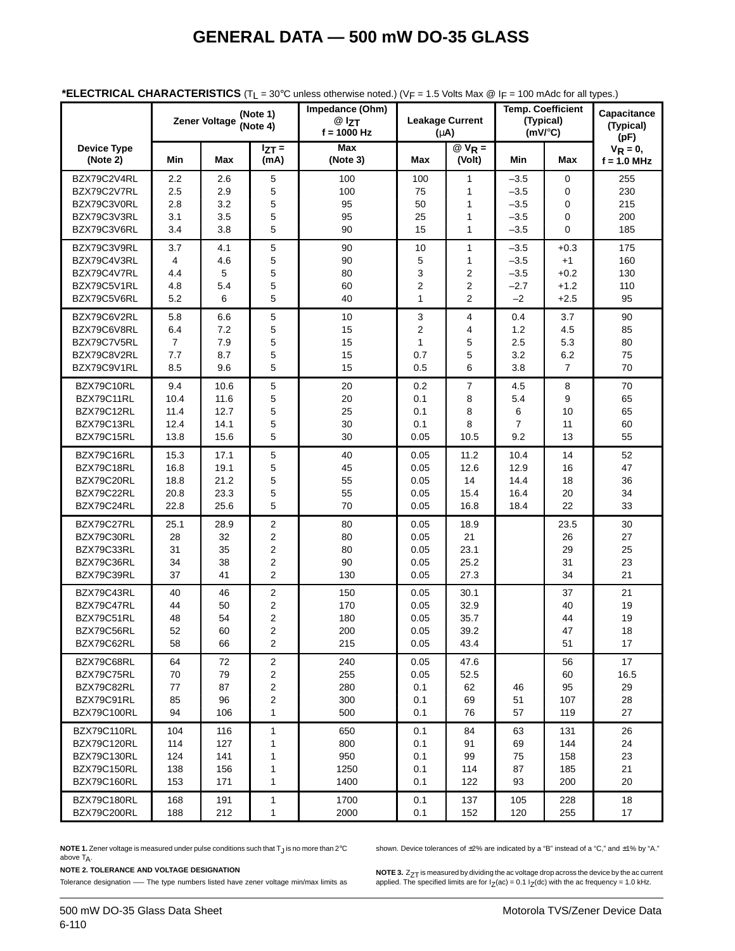|                                |              | <b>Zener Voltage</b> | (Note 1)<br>(Note 4)    | Impedance (Ohm)<br>$@$ $z_{T}$<br>$f = 1000 Hz$ | <b>Leakage Current</b><br>$(\mu A)$ |                                  | <b>Temp. Coefficient</b><br>(Typical)<br>$(mV)^{\circ}C$ |                  | Capacitance<br>(Typical)<br>(pF) |
|--------------------------------|--------------|----------------------|-------------------------|-------------------------------------------------|-------------------------------------|----------------------------------|----------------------------------------------------------|------------------|----------------------------------|
| <b>Device Type</b><br>(Note 2) | Min          | Max                  | $I_{ZT} =$<br>(mA)      | Max<br>(Note 3)                                 | Max                                 | $QV_R =$<br>(Volt)               | Min                                                      | Max              | $V_R = 0$ ,<br>$f = 1.0$ MHz     |
| BZX79C2V4RL<br>BZX79C2V7RL     | 2.2<br>2.5   | 2.6<br>2.9           | 5<br>5                  | 100<br>100                                      | 100<br>75                           | $\mathbf{1}$<br>1                | $-3.5$<br>$-3.5$                                         | 0<br>0           | 255<br>230                       |
| BZX79C3V0RL<br>BZX79C3V3RL     | 2.8<br>3.1   | 3.2<br>3.5           | 5<br>5                  | 95<br>95                                        | 50<br>25                            | $\mathbf{1}$<br>$\mathbf{1}$     | $-3.5$<br>$-3.5$                                         | 0<br>0           | 215<br>200                       |
| BZX79C3V6RL                    | 3.4          | 3.8                  | 5                       | 90                                              | 15                                  | $\mathbf{1}$                     | $-3.5$                                                   | 0                | 185                              |
| BZX79C3V9RL<br>BZX79C4V3RL     | 3.7<br>4     | 4.1<br>4.6           | $\mathbf 5$<br>5        | 90<br>90                                        | 10<br>5                             | $\mathbf{1}$<br>$\mathbf{1}$     | $-3.5$<br>$-3.5$                                         | $+0.3$<br>$+1$   | 175<br>160                       |
| BZX79C4V7RL                    | 4.4          | 5                    | 5                       | 80                                              | 3                                   | $\overline{2}$                   | $-3.5$                                                   | $+0.2$           | 130                              |
| BZX79C5V1RL<br>BZX79C5V6RL     | 4.8<br>5.2   | 5.4<br>6             | 5<br>5                  | 60<br>40                                        | 2<br>$\mathbf{1}$                   | $\overline{2}$<br>$\overline{2}$ | $-2.7$<br>$-2$                                           | $+1.2$<br>$+2.5$ | 110<br>95                        |
| BZX79C6V2RL                    | 5.8          | 6.6                  | 5                       | 10                                              | 3                                   | 4                                | 0.4                                                      | 3.7              | 90                               |
| BZX79C6V8RL                    | 6.4          | 7.2                  | 5                       | 15                                              | 2                                   | $\overline{4}$                   | 1.2                                                      | 4.5              | 85                               |
| BZX79C7V5RL<br>BZX79C8V2RL     | 7<br>7.7     | 7.9<br>8.7           | 5<br>5                  | 15<br>15                                        | $\mathbf{1}$<br>0.7                 | 5<br>5                           | 2.5<br>3.2                                               | 5.3<br>6.2       | 80<br>75                         |
| BZX79C9V1RL                    | 8.5          | 9.6                  | 5                       | 15                                              | 0.5                                 | 6                                | 3.8                                                      | $\overline{7}$   | 70                               |
| BZX79C10RL<br>BZX79C11RL       | 9.4<br>10.4  | 10.6<br>11.6         | 5<br>5                  | 20<br>20                                        | 0.2<br>0.1                          | 7<br>8                           | 4.5<br>5.4                                               | 8<br>9           | 70<br>65                         |
| BZX79C12RL                     | 11.4         | 12.7                 | 5                       | 25                                              | 0.1                                 | 8                                | 6                                                        | 10               | 65                               |
| BZX79C13RL                     | 12.4         | 14.1                 | 5                       | 30                                              | 0.1                                 | 8                                | $\overline{7}$                                           | 11               | 60                               |
| BZX79C15RL                     | 13.8         | 15.6                 | 5                       | 30                                              | 0.05                                | 10.5                             | 9.2                                                      | 13               | 55                               |
| BZX79C16RL                     | 15.3         | 17.1                 | $\mathbf 5$             | 40                                              | 0.05                                | 11.2                             | 10.4                                                     | 14               | 52                               |
| BZX79C18RL<br>BZX79C20RL       | 16.8<br>18.8 | 19.1<br>21.2         | 5<br>5                  | 45<br>55                                        | 0.05<br>0.05                        | 12.6<br>14                       | 12.9<br>14.4                                             | 16<br>18         | 47<br>36                         |
| BZX79C22RL                     | 20.8         | 23.3                 | 5                       | 55                                              | 0.05                                | 15.4                             | 16.4                                                     | 20               | 34                               |
| BZX79C24RL                     | 22.8         | 25.6                 | 5                       | 70                                              | 0.05                                | 16.8                             | 18.4                                                     | 22               | 33                               |
| BZX79C27RL                     | 25.1         | 28.9                 | 2                       | 80                                              | 0.05                                | 18.9                             |                                                          | 23.5             | 30                               |
| BZX79C30RL<br>BZX79C33RL       | 28           | 32                   | $\overline{c}$          | 80                                              | 0.05                                | 21                               |                                                          | 26<br>29         | 27                               |
| BZX79C36RL                     | 31<br>34     | 35<br>38             | $\mathbf 2$<br>2        | 80<br>90                                        | 0.05<br>0.05                        | 23.1<br>25.2                     |                                                          | 31               | 25<br>23                         |
| BZX79C39RL                     | 37           | 41                   | $\overline{2}$          | 130                                             | 0.05                                | 27.3                             |                                                          | 34               | 21                               |
| BZX79C43RL                     | 40           | 46                   | $\overline{\mathbf{c}}$ | 150                                             | 0.05                                | 30.1                             |                                                          | 37               | 21                               |
| BZX79C47RL<br>BZX79C51RL       | 44           | 50                   | 2                       | 170                                             | 0.05                                | 32.9                             |                                                          | 40<br>44         | 19                               |
| BZX79C56RL                     | 48<br>52     | 54<br>60             | 2<br>2                  | 180<br>200                                      | 0.05<br>0.05                        | 35.7<br>39.2                     |                                                          | 47               | 19<br>18                         |
| BZX79C62RL                     | 58           | 66                   | $\boldsymbol{2}$        | 215                                             | 0.05                                | 43.4                             |                                                          | 51               | 17                               |
| BZX79C68RL                     | 64           | 72                   | 2                       | 240                                             | 0.05                                | 47.6                             |                                                          | 56               | 17                               |
| BZX79C75RL<br>BZX79C82RL       | 70<br>77     | 79                   | 2                       | 255<br>280                                      | 0.05                                | 52.5                             |                                                          | 60               | 16.5                             |
| BZX79C91RL                     | 85           | 87<br>96             | 2<br>2                  | 300                                             | 0.1<br>0.1                          | 62<br>69                         | 46<br>51                                                 | 95<br>107        | 29<br>28                         |
| BZX79C100RL                    | 94           | 106                  | $\mathbf{1}$            | 500                                             | 0.1                                 | 76                               | 57                                                       | 119              | 27                               |
| BZX79C110RL                    | 104          | 116                  | 1                       | 650                                             | 0.1                                 | 84                               | 63                                                       | 131              | 26                               |
| BZX79C120RL                    | 114          | 127                  | 1                       | 800                                             | 0.1                                 | 91                               | 69                                                       | 144              | 24                               |
| BZX79C130RL<br>BZX79C150RL     | 124          | 141                  | 1                       | 950                                             | 0.1                                 | 99                               | 75                                                       | 158              | 23                               |
| BZX79C160RL                    | 138<br>153   | 156<br>171           | 1<br>1                  | 1250<br>1400                                    | 0.1<br>0.1                          | 114<br>122                       | 87<br>93                                                 | 185<br>200       | 21<br>20                         |
| BZX79C180RL                    | 168          | 191                  | $\mathbf{1}$            | 1700                                            | 0.1                                 | 137                              | 105                                                      | 228              | 18                               |
| BZX79C200RL                    | 188          | 212                  | 1                       | 2000                                            | 0.1                                 | 152                              | 120                                                      | 255              | 17                               |

#### **\*ELECTRICAL CHARACTERISTICS** (TL = 30°C unless otherwise noted.) (VF = 1.5 Volts Max @ IF = 100 mAdc for all types.)

**NOTE 1.** Zener voltage is measured under pulse conditions such that T<sub>J</sub> is no more than 2°C above  $T_A$ .

**NOTE 2. TOLERANCE AND VOLTAGE DESIGNATION**

Tolerance designation —– The type numbers listed have zener voltage min/max limits as

shown. Device tolerances of  $\pm 2\%$  are indicated by a "B" instead of a "C," and  $\pm 1\%$  by "A."

**NOTE 3.**  $Z_T$  is measured by dividing the ac voltage drop across the device by the ac current<br>applied. The specified limits are for I<sub>Z</sub>(ac) = 0.1 I<sub>Z</sub>(dc) with the ac frequency = 1.0 kHz.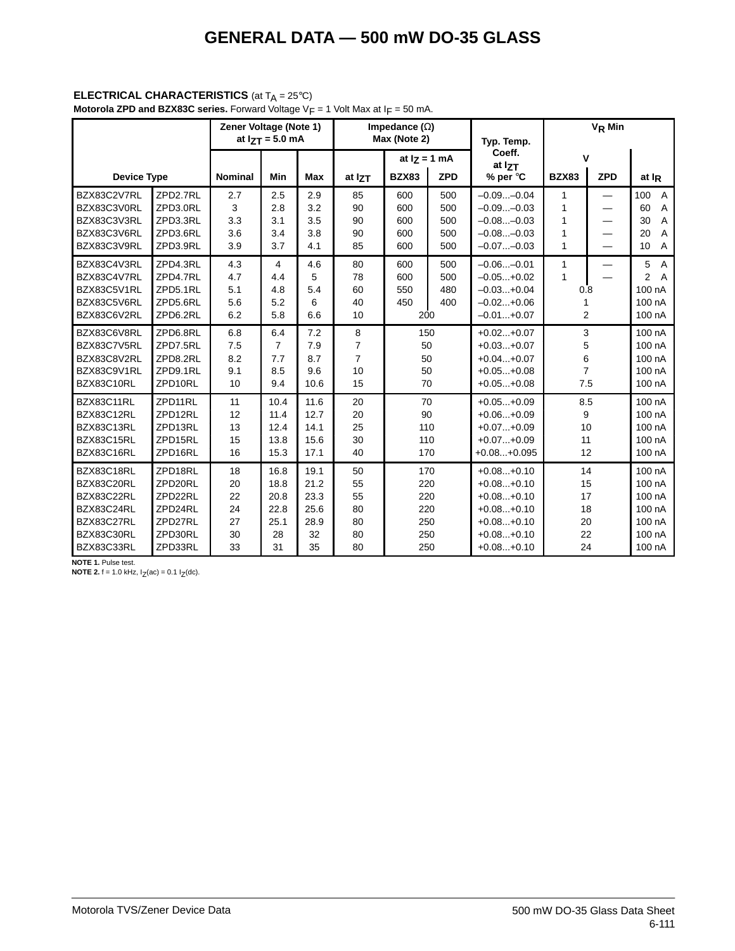### **ELECTRICAL CHARACTERISTICS** (at T<sub>A</sub> = 25°C)

**Motorola ZPD and BZX83C series.** Forward Voltage V<sub>F</sub> = 1 Volt Max at I<sub>F</sub> = 50 mA.

|                                                                                                |                                                                           | Zener Voltage (Note 1)<br>at $17T = 5.0$ mA |                                                  |                                                  |                                                   | Impedance $(\Omega)$<br>Max (Note 2) |                                 | Typ. Temp.                                                                                                   | V <sub>R</sub> Min                     |            |                                                                                       |  |
|------------------------------------------------------------------------------------------------|---------------------------------------------------------------------------|---------------------------------------------|--------------------------------------------------|--------------------------------------------------|---------------------------------------------------|--------------------------------------|---------------------------------|--------------------------------------------------------------------------------------------------------------|----------------------------------------|------------|---------------------------------------------------------------------------------------|--|
|                                                                                                |                                                                           |                                             |                                                  |                                                  |                                                   | at $I_Z = 1$ mA                      |                                 | Coeff.<br>at IzT                                                                                             | v                                      |            |                                                                                       |  |
| <b>Device Type</b>                                                                             |                                                                           | <b>Nominal</b>                              | Min                                              | <b>Max</b>                                       | at IzT                                            | <b>BZX83</b>                         | <b>ZPD</b>                      | % per °C                                                                                                     | <b>BZX83</b>                           | <b>ZPD</b> | at I <sub>R</sub>                                                                     |  |
| BZX83C2V7RL<br>BZX83C3V0RL<br>BZX83C3V3RL<br>BZX83C3V6RL<br>BZX83C3V9RL                        | ZPD2.7RL<br>ZPD3.0RL<br>ZPD3.3RL<br>ZPD3.6RL<br>ZPD3.9RL                  | 2.7<br>3<br>3.3<br>3.6<br>3.9               | 2.5<br>2.8<br>3.1<br>3.4<br>3.7                  | 2.9<br>3.2<br>3.5<br>3.8<br>4.1                  | 85<br>90<br>90<br>90<br>85                        | 600<br>600<br>600<br>600<br>600      | 500<br>500<br>500<br>500<br>500 | $-0.09 -0.04$<br>$-0.09 -0.03$<br>$-0.08-0.03$<br>$-0.08-0.03$<br>$-0.07-0.03$                               | 1<br>1<br>1<br>1<br>$\mathbf{1}$       |            | 100<br>$\overline{A}$<br>60<br>A<br>30<br>A<br>20<br>A<br>10<br>Α                     |  |
| BZX83C4V3RL<br>BZX83C4V7RL<br>BZX83C5V1RL<br>BZX83C5V6RL<br>BZX83C6V2RL                        | ZPD4.3RL<br>ZPD4.7RL<br>ZPD5.1RL<br>ZPD5.6RL<br>ZPD6.2RL                  | 4.3<br>4.7<br>5.1<br>5.6<br>6.2             | 4<br>4.4<br>4.8<br>5.2<br>5.8                    | 4.6<br>5<br>5.4<br>6<br>6.6                      | 80<br>78<br>60<br>40<br>10                        | 600<br>600<br>550<br>450<br>200      | 500<br>500<br>480<br>400        | $-0.06 -0.01$<br>$-0.05+0.02$<br>$-0.03+0.04$<br>$-0.02+0.06$<br>$-0.01+0.07$                                | 1<br>$\mathbf{1}$<br>0.8<br>2          |            | 5<br>$\overline{A}$<br>$\overline{2}$<br>$\overline{A}$<br>100 nA<br>100 nA<br>100 nA |  |
| BZX83C6V8RL<br>BZX83C7V5RL<br>BZX83C8V2RL<br>BZX83C9V1RL<br>BZX83C10RL                         | ZPD6.8RL<br>ZPD7.5RL<br>ZPD8.2RL<br>ZPD9.1RL<br>ZPD10RL                   | 6.8<br>7.5<br>8.2<br>9.1<br>10              | 6.4<br>$\overline{7}$<br>7.7<br>8.5<br>9.4       | 7.2<br>7.9<br>8.7<br>9.6<br>10.6                 | 8<br>$\overline{7}$<br>$\overline{7}$<br>10<br>15 | 50<br>50<br>50<br>70                 | 150                             | $+0.02+0.07$<br>$+0.03+0.07$<br>$+0.04+0.07$<br>$+0.05+0.08$<br>$+0.05+0.08$                                 | 3<br>5<br>6<br>$\overline{7}$<br>7.5   |            | 100 nA<br>100 nA<br>100 nA<br>100 nA<br>100 nA                                        |  |
| BZX83C11RL<br>BZX83C12RL<br>BZX83C13RL<br>BZX83C15RL<br>BZX83C16RL                             | ZPD11RL<br>ZPD12RL<br>ZPD13RL<br>ZPD15RL<br>ZPD16RL                       | 11<br>12<br>13<br>15<br>16                  | 10.4<br>11.4<br>12.4<br>13.8<br>15.3             | 11.6<br>12.7<br>14.1<br>15.6<br>17.1             | 20<br>20<br>25<br>30<br>40                        | 70<br>90                             | 110<br>110<br>170               | $+0.05+0.09$<br>$+0.06+0.09$<br>$+0.07+0.09$<br>$+0.07+0.09$<br>$+0.08+0.095$                                | 8.5<br>9<br>10<br>11<br>12             |            | 100 nA<br>100 nA<br>100 nA<br>100 nA<br>100 nA                                        |  |
| BZX83C18RL<br>BZX83C20RL<br>BZX83C22RL<br>BZX83C24RL<br>BZX83C27RL<br>BZX83C30RL<br>BZX83C33RL | ZPD18RL<br>ZPD20RL<br>ZPD22RL<br>ZPD24RL<br>ZPD27RL<br>ZPD30RL<br>ZPD33RL | 18<br>20<br>22<br>24<br>27<br>30<br>33      | 16.8<br>18.8<br>20.8<br>22.8<br>25.1<br>28<br>31 | 19.1<br>21.2<br>23.3<br>25.6<br>28.9<br>32<br>35 | 50<br>55<br>55<br>80<br>80<br>80<br>80            | 220<br>220                           | 170<br>220<br>250<br>250<br>250 | $+0.08+0.10$<br>$+0.08+0.10$<br>$+0.08+0.10$<br>$+0.08+0.10$<br>$+0.08+0.10$<br>$+0.08+0.10$<br>$+0.08+0.10$ | 14<br>15<br>17<br>18<br>20<br>22<br>24 |            | 100 nA<br>100 nA<br>100 nA<br>100 nA<br>100 nA<br>100 nA<br>100 nA                    |  |

**NOTE 1.** Pulse test.<br>**NOTE 2.** f = 1.0 kHz, I<sub>Z</sub>(ac) = 0.1 I<sub>Z</sub>(dc).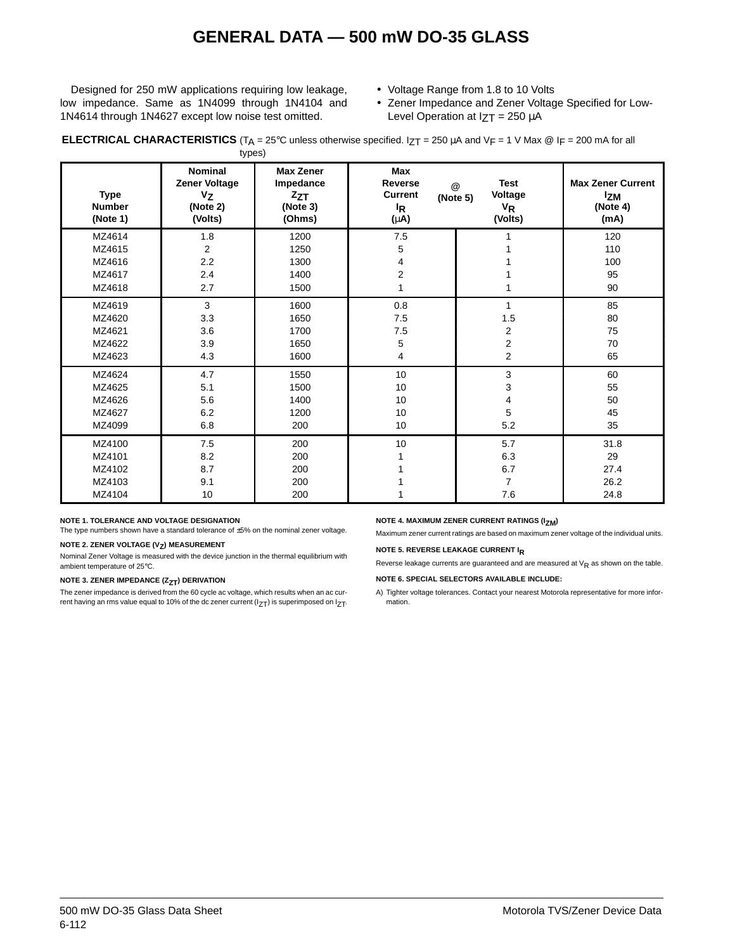Designed for 250 mW applications requiring low leakage, low impedance. Same as 1N4099 through 1N4104 and 1N4614 through 1N4627 except low noise test omitted.

- Voltage Range from 1.8 to 10 Volts
- Zener Impedance and Zener Voltage Specified for Low-Level Operation at  $IZT = 250 \mu A$

**ELECTRICAL CHARACTERISTICS** (T<sub>A</sub> = 25°C unless otherwise specified. I<sub>ZT</sub> = 250  $\mu$ A and V<sub>F</sub> = 1 V Max @ I<sub>F</sub> = 200 mA for all types)

| <b>Type</b><br><b>Number</b><br>(Note 1) | <b>Nominal</b><br>Zener Voltage<br>$V_{Z}$<br>(Note 2)<br>(Volts) | <b>Max Zener</b><br>Impedance<br>$z_{ZT}$<br>(Note 3)<br>(Ohms) | Max<br><b>Reverse</b><br><b>Current</b><br><sup>I</sup> R<br>(µA) | <b>Test</b><br>$^{\circledR}$<br>Voltage<br>(Note 5)<br>$V_R$<br>(Volts) | <b>Max Zener Current</b><br><b>Izm</b><br>(Note 4)<br>(mA) |
|------------------------------------------|-------------------------------------------------------------------|-----------------------------------------------------------------|-------------------------------------------------------------------|--------------------------------------------------------------------------|------------------------------------------------------------|
| MZ4614                                   | 1.8                                                               | 1200                                                            | 7.5                                                               |                                                                          | 120                                                        |
| MZ4615                                   | $\boldsymbol{2}$                                                  | 1250                                                            | 5                                                                 |                                                                          | 110                                                        |
| MZ4616                                   | 2.2                                                               | 1300                                                            | 4                                                                 |                                                                          | 100                                                        |
| MZ4617                                   | 2.4                                                               | 1400                                                            | $\overline{c}$                                                    |                                                                          | 95                                                         |
| MZ4618                                   | 2.7                                                               | 1500                                                            | 1                                                                 |                                                                          | 90                                                         |
| MZ4619                                   | 3                                                                 | 1600                                                            | 0.8                                                               | 1                                                                        | 85                                                         |
| MZ4620                                   | 3.3                                                               | 1650                                                            | 7.5                                                               | 1.5                                                                      | 80                                                         |
| MZ4621                                   | 3.6                                                               | 1700                                                            | 7.5                                                               | $\overline{2}$                                                           | 75                                                         |
| MZ4622                                   | 3.9                                                               | 1650                                                            | 5                                                                 | 2                                                                        | 70                                                         |
| MZ4623                                   | 4.3                                                               | 1600                                                            | 4                                                                 | 2                                                                        | 65                                                         |
| MZ4624                                   | 4.7                                                               | 1550                                                            | 10                                                                | 3                                                                        | 60                                                         |
| MZ4625                                   | 5.1                                                               | 1500                                                            | 10                                                                | 3                                                                        | 55                                                         |
| MZ4626                                   | 5.6                                                               | 1400                                                            | 10                                                                | 4                                                                        | 50                                                         |
| MZ4627                                   | 6.2                                                               | 1200                                                            | 10                                                                | 5                                                                        | 45                                                         |
| MZ4099                                   | 6.8                                                               | 200                                                             | 10                                                                | 5.2                                                                      | 35                                                         |
| MZ4100                                   | 7.5                                                               | 200                                                             | 10                                                                | 5.7                                                                      | 31.8                                                       |
| MZ4101                                   | 8.2                                                               | 200                                                             |                                                                   | 6.3                                                                      | 29                                                         |
| MZ4102                                   | 8.7                                                               | 200                                                             |                                                                   | 6.7                                                                      | 27.4                                                       |
| MZ4103                                   | 9.1                                                               | 200                                                             |                                                                   | $\overline{7}$                                                           | 26.2                                                       |
| MZ4104                                   | 10                                                                | 200                                                             |                                                                   | 7.6                                                                      | 24.8                                                       |

#### **NOTE 1. TOLERANCE AND VOLTAGE DESIGNATION**

The type numbers shown have a standard tolerance of ±5% on the nominal zener voltage.

#### **NOTE 2. ZENER VOLTAGE (V<sub>Z</sub>) MEASUREMENT**

Nominal Zener Voltage is measured with the device junction in the thermal equilibrium with ambient temperature of 25°C.

#### **NOTE 3. ZENER IMPEDANCE (Z<sub>ZT</sub>) DERIVATION**

The zener impedance is derived from the 60 cycle ac voltage, which results when an ac current having an rms value equal to 10% of the dc zener current ( $I_{ZT}$ ) is superimposed on  $I_{ZT}$ .

### **NOTE 4. MAXIMUM ZENER CURRENT RATINGS (IZM)**

Maximum zener current ratings are based on maximum zener voltage of the individual units.

#### **NOTE 5. REVERSE LEAKAGE CURRENT IR**

Reverse leakage currents are guaranteed and are measured at  $V_R$  as shown on the table.

#### **NOTE 6. SPECIAL SELECTORS AVAILABLE INCLUDE:**

A) Tighter voltage tolerances. Contact your nearest Motorola representative for more information.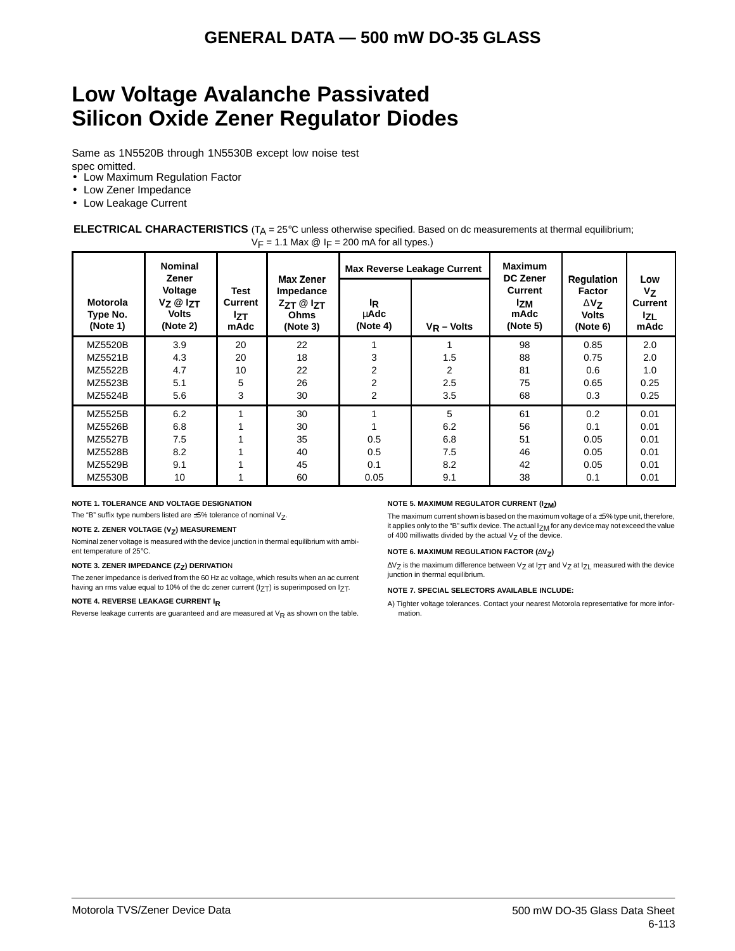## **Low Voltage Avalanche Passivated Silicon Oxide Zener Regulator Diodes**

Same as 1N5520B through 1N5530B except low noise test spec omitted.

- Low Maximum Regulation Factor
- Low Zener Impedance
- Low Leakage Current

#### **ELECTRICAL CHARACTERISTICS** (T<sub>A</sub> = 25°C unless otherwise specified. Based on dc measurements at thermal equilibrium;  $V_F$  = 1.1 Max  $\textcircled{2}$  I<sub>F</sub> = 200 mA for all types.)

|                                         | <b>Nominal</b><br>Zener                                     |                                       |                                                                        |                                    | <b>Max Reverse Leakage Current</b> | <b>Maximum</b><br><b>DC Zener</b>         |                                                                        |                                                       |
|-----------------------------------------|-------------------------------------------------------------|---------------------------------------|------------------------------------------------------------------------|------------------------------------|------------------------------------|-------------------------------------------|------------------------------------------------------------------------|-------------------------------------------------------|
| <b>Motorola</b><br>Type No.<br>(Note 1) | Voltage<br>$V_Z \otimes I_{ZT}$<br><b>Volts</b><br>(Note 2) | Test<br>Current<br><b>Izt</b><br>mAdc | <b>Max Zener</b><br>Impedance<br>$ZZT \otimes IZT$<br>Ohms<br>(Note 3) | <sup>I</sup> R<br>uAdc<br>(Note 4) | $V_R$ – Volts                      | Current<br><b>Izm</b><br>mAdc<br>(Note 5) | <b>Regulation</b><br>Factor<br>$\Delta$ Vz<br><b>Volts</b><br>(Note 6) | Low<br>$V_{Z}$<br><b>Current</b><br><b>Iz</b><br>mAdc |
| MZ5520B                                 | 3.9                                                         | 20                                    | 22                                                                     |                                    |                                    | 98                                        | 0.85                                                                   | 2.0                                                   |
| MZ5521B                                 | 4.3                                                         | 20                                    | 18                                                                     | 3                                  | 1.5                                | 88                                        | 0.75                                                                   | 2.0                                                   |
| MZ5522B                                 | 4.7                                                         | 10                                    | 22                                                                     | 2                                  | 2                                  | 81                                        | 0.6                                                                    | 1.0                                                   |
| MZ5523B                                 | 5.1                                                         | 5                                     | 26                                                                     | 2                                  | 2.5                                | 75                                        | 0.65                                                                   | 0.25                                                  |
| MZ5524B                                 | 5.6                                                         | 3                                     | 30                                                                     | 2                                  | 3.5                                | 68                                        | 0.3                                                                    | 0.25                                                  |
| MZ5525B                                 | 6.2                                                         |                                       | 30                                                                     |                                    | 5                                  | 61                                        | 0.2                                                                    | 0.01                                                  |
| MZ5526B                                 | 6.8                                                         |                                       | 30                                                                     |                                    | 6.2                                | 56                                        | 0.1                                                                    | 0.01                                                  |
| <b>MZ5527B</b>                          | 7.5                                                         |                                       | 35                                                                     | 0.5                                | 6.8                                | 51                                        | 0.05                                                                   | 0.01                                                  |
| MZ5528B                                 | 8.2                                                         |                                       | 40                                                                     | 0.5                                | 7.5                                | 46                                        | 0.05                                                                   | 0.01                                                  |
| MZ5529B                                 | 9.1                                                         |                                       | 45                                                                     | 0.1                                | 8.2                                | 42                                        | 0.05                                                                   | 0.01                                                  |
| <b>MZ5530B</b>                          | 10                                                          |                                       | 60                                                                     | 0.05                               | 9.1                                | 38                                        | 0.1                                                                    | 0.01                                                  |

#### **NOTE 1. TOLERANCE AND VOLTAGE DESIGNATION**

The "B" suffix type numbers listed are  $\pm 5%$  tolerance of nominal  $V_Z$ .

#### **NOTE 2. ZENER VOLTAGE (V<sub>Z</sub>) MEASUREMENT**

Nominal zener voltage is measured with the device junction in thermal equilibrium with ambient temperature of 25°C.

#### **NOTE 3. ZENER IMPEDANCE (Z<sub>Z</sub>) DERIVATIO**N

The zener impedance is derived from the 60 Hz ac voltage, which results when an ac current having an rms value equal to 10% of the dc zener current ( $12T$ ) is superimposed on  $12T$ .

#### **NOTE 4. REVERSE LEAKAGE CURRENT IR**

Reverse leakage currents are guaranteed and are measured at  $V_R$  as shown on the table.

#### **NOTE 5. MAXIMUM REGULATOR CURRENT (IZM)**

The maximum current shown is based on the maximum voltage of a  $\pm$ 5% type unit, therefore, it applies only to the "B" suffix device. The actual  $I_{ZM}$  for any device may not exceed the value of 400 milliwatts divided by the actual  $V_Z$  of the device.

#### **NOTE 6. MAXIMUM REGULATION FACTOR (∆V<sub>Z</sub>)**

∆V<sub>Z</sub> is the maximum difference between V<sub>Z</sub> at I<sub>ZT</sub> and V<sub>Z</sub> at I<sub>ZL</sub> measured with the device junction in thermal equilibrium.

#### **NOTE 7. SPECIAL SELECTORS AVAILABLE INCLUDE:**

A) Tighter voltage tolerances. Contact your nearest Motorola representative for more information.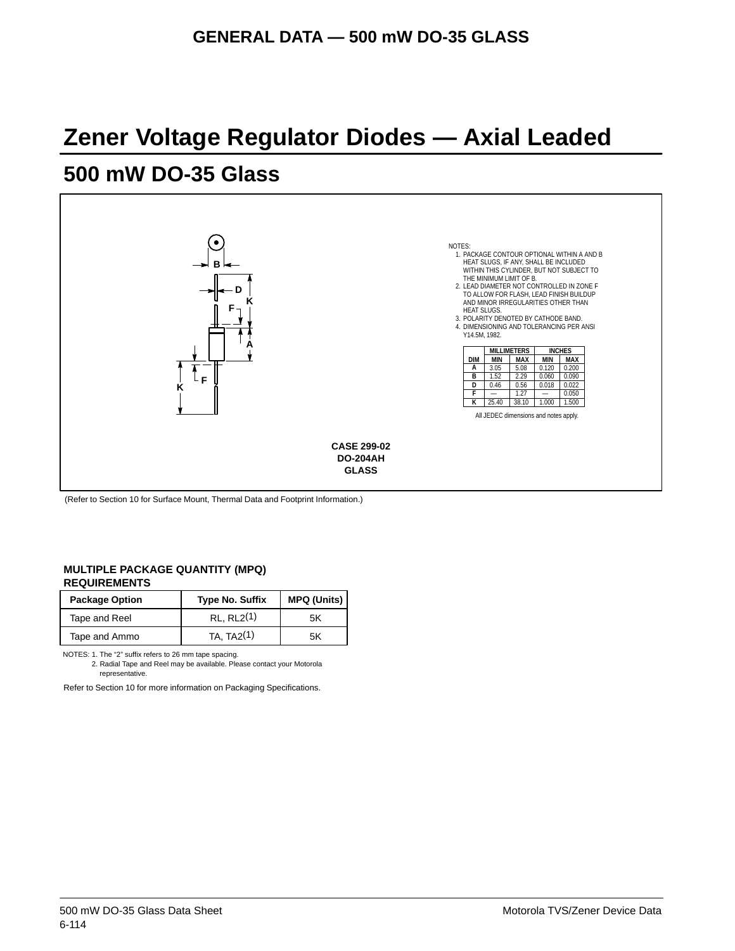## **Zener Voltage Regulator Diodes — Axial Leaded**

## **500 mW DO-35 Glass**



(Refer to Section 10 for Surface Mount, Thermal Data and Footprint Information.)

#### **MULTIPLE PACKAGE QUANTITY (MPQ) REQUIREMENTS**

| <b>Package Option</b> | <b>Type No. Suffix</b>  | <b>MPQ (Units)</b> |
|-----------------------|-------------------------|--------------------|
| Tape and Reel         | $RL$ RL $2(1)$          | 5K                 |
| Tape and Ammo         | TA, TA <sub>2</sub> (1) | 5Κ                 |

NOTES: 1. The "2" suffix refers to 26 mm tape spacing.

2. Radial Tape and Reel may be available. Please contact your Motorola representative.

Refer to Section 10 for more information on Packaging Specifications.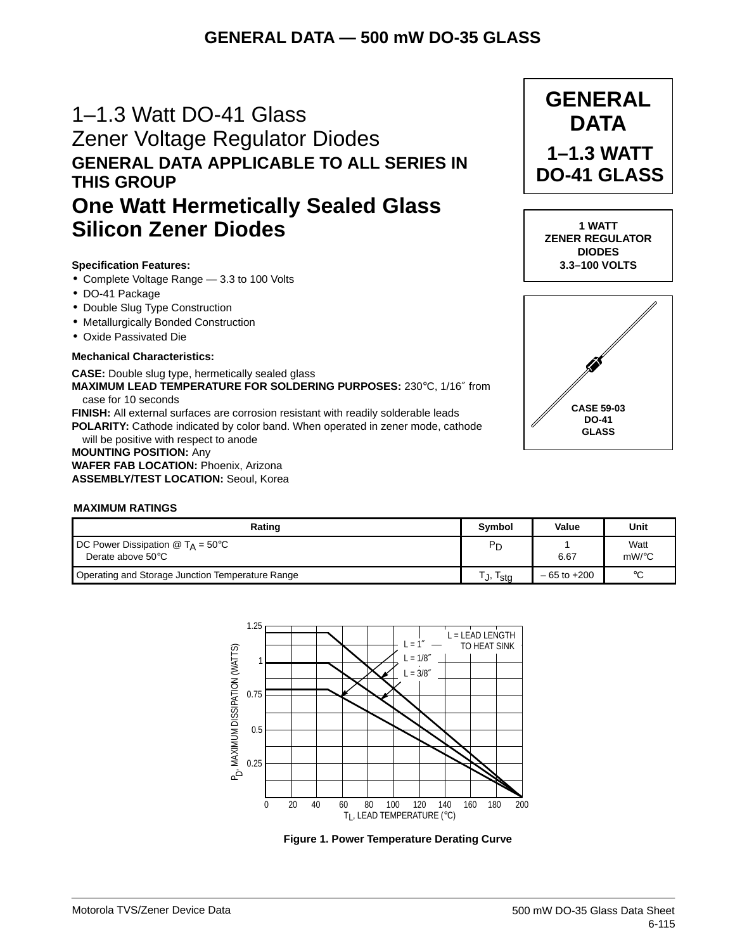## 1–1.3 Watt DO-41 Glass Zener Voltage Regulator Diodes **GENERAL DATA APPLICABLE TO ALL SERIES IN THIS GROUP**

## **One Watt Hermetically Sealed Glass Silicon Zener Diodes**

### **Specification Features:**

- Complete Voltage Range 3.3 to 100 Volts
- DO-41 Package
- Double Slug Type Construction
- Metallurgically Bonded Construction
- Oxide Passivated Die

#### **Mechanical Characteristics:**

**CASE:** Double slug type, hermetically sealed glass **MAXIMUM LEAD TEMPERATURE FOR SOLDERING PURPOSES:** 230°C, 1/16″ from case for 10 seconds **FINISH:** All external surfaces are corrosion resistant with readily solderable leads

**POLARITY:** Cathode indicated by color band. When operated in zener mode, cathode will be positive with respect to anode

#### **MOUNTING POSITION:** Any **WAFER FAB LOCATION:** Phoenix, Arizona **ASSEMBLY/TEST LOCATION:** Seoul, Korea



| Rating                                                                  | Symbol      | Value           | Unit          |
|-------------------------------------------------------------------------|-------------|-----------------|---------------|
| <b>DC Power Dissipation @ T<sub>A</sub></b> = 50°C<br>Derate above 50°C | Pг          | 6.67            | Watt<br>mW/°C |
| Operating and Storage Junction Temperature Range                        | 'sta<br>۰Ι, | $-65$ to $+200$ | °C            |



**Figure 1. Power Temperature Derating Curve**



**GENERAL DATA**

**1–1.3 WATT DO-41 GLASS**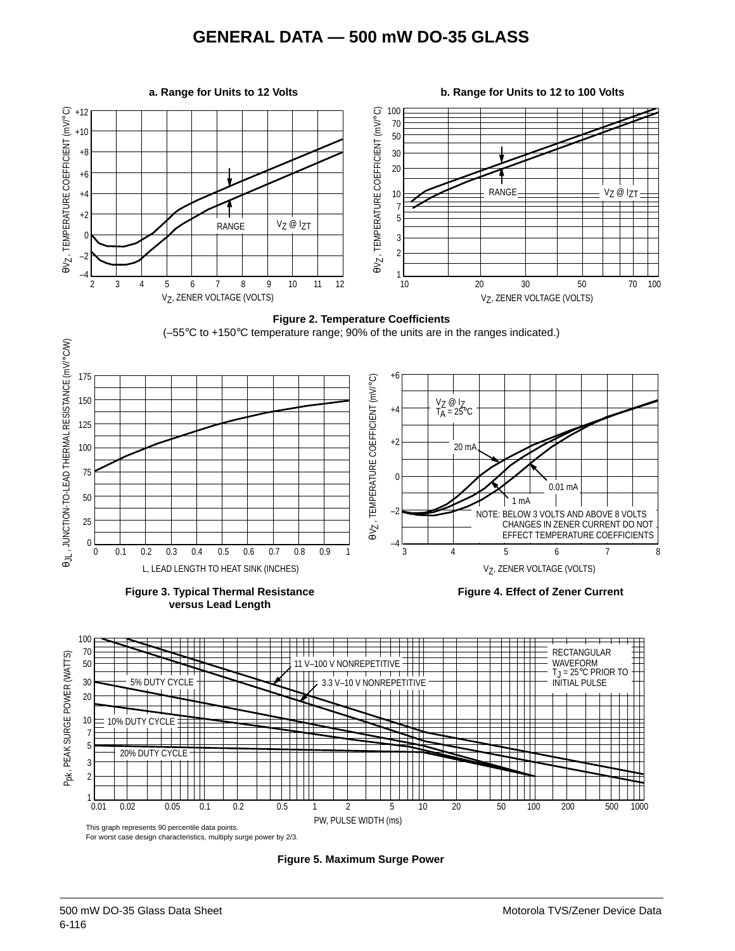





Ppk , PEAK SURGE POWER (WATTS) 10 10% DUTY CYCLE 7 5 20% DUTY CYCLE T ⊤ 3 2  $\blacksquare$  $\perp$  $1 \over 0.01$ 0.01 0.02 0.05 0.1 0.2 0.5 1 2 5 10 20 50 100 200 500 1000 PW, PULSE WIDTH (ms) This graph represents 90 percentile data points.



**Figure 5. Maximum Surge Power**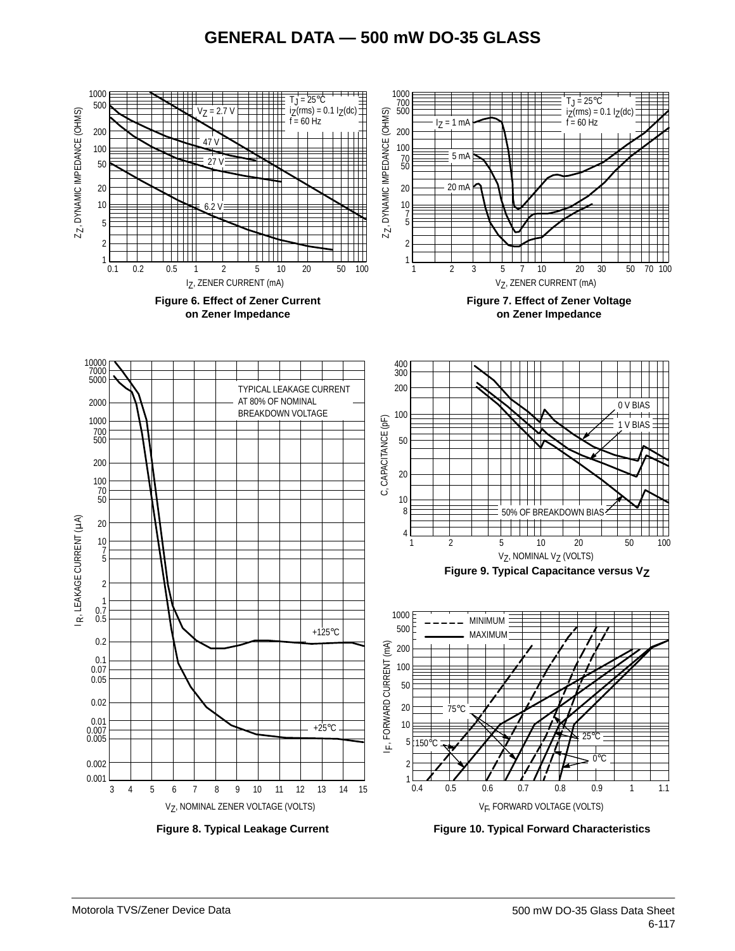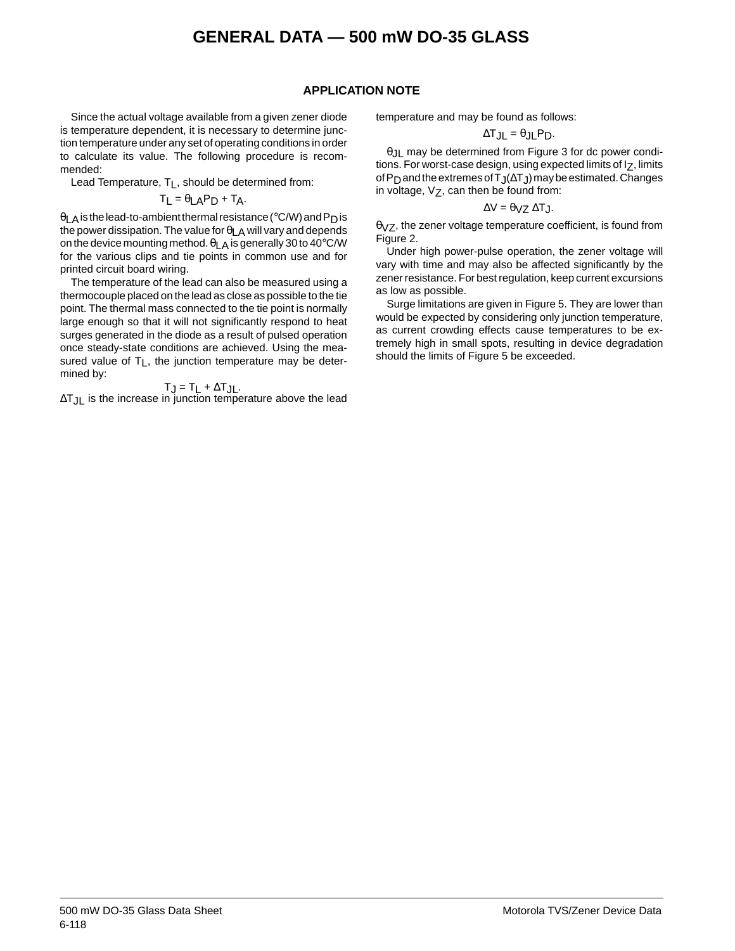#### **APPLICATION NOTE**

Since the actual voltage available from a given zener diode is temperature dependent, it is necessary to determine junction temperature under any set of operating conditions in order to calculate its value. The following procedure is recommended:

Lead Temperature, T<sub>L</sub>, should be determined from:

$$
T_{L} = \theta_{LA}P_{D} + T_{A}.
$$

θLA is the lead-to-ambient thermal resistance (°C/W) and PD is the power dissipation. The value for  $\theta_{LA}$  will vary and depends on the device mounting method.  $\theta$ <sub>LA</sub> is generally 30 to 40 $\degree$ C/W for the various clips and tie points in common use and for printed circuit board wiring.

The temperature of the lead can also be measured using a thermocouple placed on the lead as close as possible to the tie point. The thermal mass connected to the tie point is normally large enough so that it will not significantly respond to heat surges generated in the diode as a result of pulsed operation once steady-state conditions are achieved. Using the measured value of  $T_L$ , the junction temperature may be determined by:

$$
T_J = T_L + \Delta T_{JL}.
$$

∆TJL is the increase in junction temperature above the lead

temperature and may be found as follows:

$$
\Delta T_{JL} = \theta_{JL} P_D.
$$

θJL may be determined from Figure 3 for dc power conditions. For worst-case design, using expected limits of Iz, limits of P<sub>D</sub> and the extremes of T<sub>J</sub>(∆T<sub>J</sub>) may be estimated. Changes in voltage,  $V_Z$ , can then be found from:

$$
\Delta V = \theta_{VZ} \, \Delta T_J.
$$

 $\theta$ <sub>VZ</sub>, the zener voltage temperature coefficient, is found from Figure 2.

Under high power-pulse operation, the zener voltage will vary with time and may also be affected significantly by the zener resistance. For best regulation, keep current excursions as low as possible.

Surge limitations are given in Figure 5. They are lower than would be expected by considering only junction temperature, as current crowding effects cause temperatures to be extremely high in small spots, resulting in device degradation should the limits of Figure 5 be exceeded.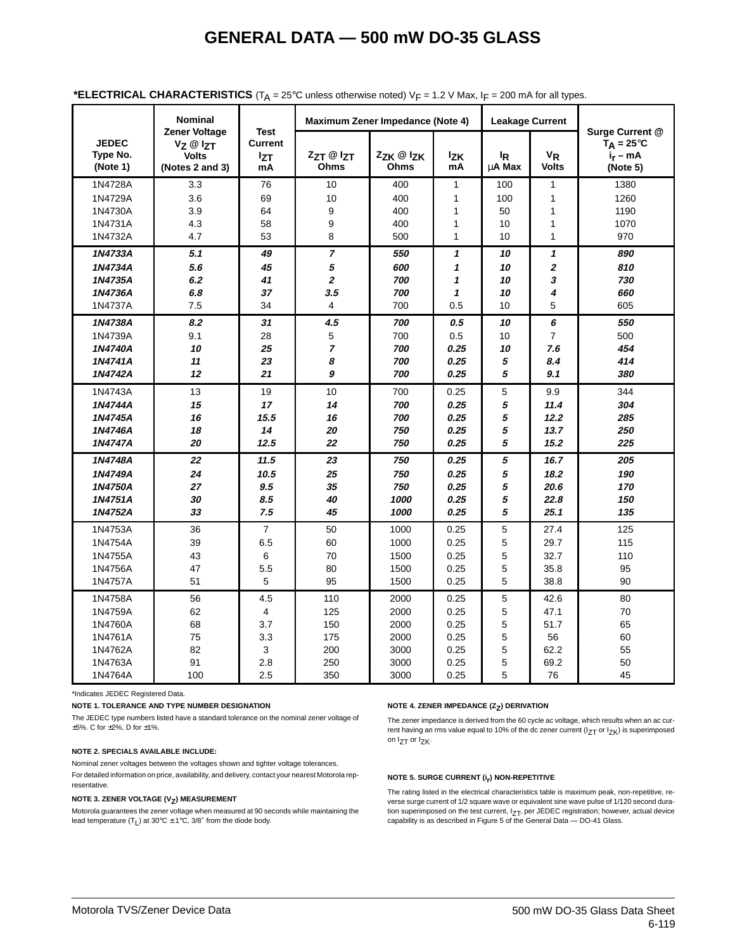|                                      | <b>Nominal</b>                                               |                                            |                          | Maximum Zener Impedance (Note 4) |                            |                          | <b>Leakage Current</b>     |                                                                  |
|--------------------------------------|--------------------------------------------------------------|--------------------------------------------|--------------------------|----------------------------------|----------------------------|--------------------------|----------------------------|------------------------------------------------------------------|
| <b>JEDEC</b><br>Type No.<br>(Note 1) | Zener Voltage<br>Vz @ Izt<br><b>Volts</b><br>(Notes 2 and 3) | <b>Test</b><br>Current<br><b>IzT</b><br>mA | $ZZT \otimes ZT$<br>Ohms | ZZK @ IZK<br>Ohms                | <b>Izk</b><br>mA           | <sup>I</sup> R<br>uA Max | $V_R$<br><b>Volts</b>      | Surge Current @<br>$T_A = 25^{\circ}C$<br>$i_r - mA$<br>(Note 5) |
| 1N4728A                              | 3.3                                                          | 76                                         | 10                       | 400                              | $\mathbf{1}$               | 100                      | $\mathbf{1}$               | 1380                                                             |
| 1N4729A                              | 3.6                                                          | 69                                         | 10                       | 400                              | $\mathbf{1}$               | 100                      | $\mathbf{1}$               | 1260                                                             |
| 1N4730A                              | 3.9                                                          | 64                                         | 9                        | 400                              | 1                          | 50                       | 1                          | 1190                                                             |
| 1N4731A                              | 4.3                                                          | 58                                         | 9                        | 400                              | $\mathbf{1}$               | 10                       | 1                          | 1070                                                             |
| 1N4732A                              | 4.7                                                          | 53                                         | 8                        | 500                              | $\mathbf{1}$               | 10                       | 1                          | 970                                                              |
| 1N4733A                              | 5.1                                                          | 49                                         | $\overline{7}$           | 550                              | $\boldsymbol{\mathcal{L}}$ | 10                       | $\boldsymbol{\mathcal{L}}$ | 890                                                              |
| 1N4734A                              | 5.6                                                          | 45                                         | 5                        | 600                              | 1                          | 10                       | $\overline{2}$             | 810                                                              |
| 1N4735A                              | 6.2                                                          | 41                                         | $\overline{2}$           | 700                              | 1                          | 10                       | 3                          | 730                                                              |
| 1N4736A                              | 6.8                                                          | 37                                         | 3.5                      | 700                              | $\mathbf{1}$               | 10                       | 4                          | 660                                                              |
| 1N4737A                              | 7.5                                                          | 34                                         | 4                        | 700                              | 0.5                        | 10                       | 5                          | 605                                                              |
| 1N4738A                              | 8.2                                                          | 31                                         | 4.5                      | 700                              | 0.5                        | 10                       | 6                          | 550                                                              |
| 1N4739A                              | 9.1                                                          | 28                                         | 5                        | 700                              | 0.5                        | 10                       | $\overline{7}$             | 500                                                              |
| 1N4740A                              | 10                                                           | 25                                         | 7                        | 700                              | 0.25                       | 10                       | 7.6                        | 454                                                              |
| 1N4741A                              | 11                                                           | 23                                         | 8                        | 700                              | 0.25                       | 5                        | 8.4                        | 414                                                              |
| 1N4742A                              | 12                                                           | 21                                         | 9                        | 700                              | 0.25                       | 5                        | 9.1                        | 380                                                              |
| 1N4743A                              | 13                                                           | 19                                         | 10                       | 700                              | 0.25                       | 5                        | 9.9                        | 344                                                              |
| 1N4744A                              | 15                                                           | 17                                         | 14                       | 700                              | 0.25                       | 5                        | 11.4                       | 304                                                              |
| 1N4745A                              | 16                                                           | 15.5                                       | 16                       | 700                              | 0.25                       | 5                        | 12.2                       | 285                                                              |
| 1N4746A                              | 18                                                           | 14                                         | 20                       | 750                              | 0.25                       | 5                        | 13.7                       | 250                                                              |
| 1N4747A                              | 20                                                           | 12.5                                       | 22                       | 750                              | 0.25                       | 5                        | 15.2                       | 225                                                              |
| 1N4748A                              | 22                                                           | 11.5                                       | 23                       | 750                              | 0.25                       | 5                        | 16.7                       | 205                                                              |
| 1N4749A                              | 24                                                           | 10.5                                       | 25                       | 750                              | 0.25                       | 5                        | 18.2                       | 190                                                              |
| 1N4750A                              | 27                                                           | 9.5                                        | 35                       | 750                              | 0.25                       | 5                        | 20.6                       | 170                                                              |
| 1N4751A                              | 30                                                           | 8.5                                        | 40                       | 1000                             | 0.25                       | 5                        | 22.8                       | 150                                                              |
| 1N4752A                              | 33                                                           | 7.5                                        | 45                       | 1000                             | 0.25                       | 5                        | 25.1                       | 135                                                              |
| 1N4753A                              | 36                                                           | $\overline{7}$                             | 50                       | 1000                             | 0.25                       | 5                        | 27.4                       | 125                                                              |
| 1N4754A                              | 39                                                           | 6.5                                        | 60                       | 1000                             | 0.25                       | 5                        | 29.7                       | 115                                                              |
| 1N4755A                              | 43                                                           | 6                                          | 70                       | 1500                             | 0.25                       | 5                        | 32.7                       | 110                                                              |
| 1N4756A                              | 47                                                           | 5.5                                        | 80                       | 1500                             | 0.25                       | 5                        | 35.8                       | 95                                                               |
| 1N4757A                              | 51                                                           | 5                                          | 95                       | 1500                             | 0.25                       | 5                        | 38.8                       | 90                                                               |
| 1N4758A                              | 56                                                           | 4.5                                        | 110                      | 2000                             | 0.25                       | 5                        | 42.6                       | 80                                                               |
| 1N4759A                              | 62                                                           | $\overline{4}$                             | 125                      | 2000                             | 0.25                       | 5                        | 47.1                       | 70                                                               |
| 1N4760A                              | 68                                                           | 3.7                                        | 150                      | 2000                             | 0.25                       | 5                        | 51.7                       | 65                                                               |
| 1N4761A                              | 75                                                           | 3.3                                        | 175                      | 2000                             | 0.25                       | 5                        | 56                         | 60                                                               |
| 1N4762A                              | 82                                                           | 3                                          | 200                      | 3000                             | 0.25                       | 5                        | 62.2                       | 55                                                               |
| 1N4763A                              | 91                                                           | 2.8                                        | 250                      | 3000                             | 0.25                       | 5                        | 69.2                       | 50                                                               |
| 1N4764A                              | 100                                                          | 2.5                                        | 350                      | 3000                             | 0.25                       | 5                        | 76                         | 45                                                               |

#### **\*ELECTRICAL CHARACTERISTICS** (TA = 25°C unless otherwise noted) VF = 1.2 V Max, IF = 200 mA for all types.

\*Indicates JEDEC Registered Data.

**NOTE 1. TOLERANCE AND TYPE NUMBER DESIGNATION**

The JEDEC type numbers listed have a standard tolerance on the nominal zener voltage of ±5%. C for ±2%, D for ±1%.

#### **NOTE 2. SPECIALS AVAILABLE INCLUDE:**

Nominal zener voltages between the voltages shown and tighter voltage tolerances. For detailed information on price, availability, and delivery, contact your nearest Motorola representative.

#### **NOTE 3. ZENER VOLTAGE (V<sub>Z</sub>) MEASUREMENT**

Motorola guarantees the zener voltage when measured at 90 seconds while maintaining the lead temperature  $(T_1)$  at 30°C  $\pm$  1°C, 3/8" from the diode body.

#### **NOTE 4. ZENER IMPEDANCE (Z<sub>Z</sub>) DERIVATION**

The zener impedance is derived from the 60 cycle ac voltage, which results when an ac current having an rms value equal to 10% of the dc zener current (I<sub>ZT</sub> or I<sub>ZK</sub>) is superimposed on I<sub>ZT</sub> or I<sub>ZK</sub>.

#### **NOTE 5. SURGE CURRENT (ir) NON-REPETITIVE**

The rating listed in the electrical characteristics table is maximum peak, non-repetitive, reverse surge current of 1/2 square wave or equivalent sine wave pulse of 1/120 second duration superimposed on the test current,  $I_{ZT}$ , per JEDEC registration; however, actual device capability is as described in Figure 5 of the General Data — DO-41 Glass.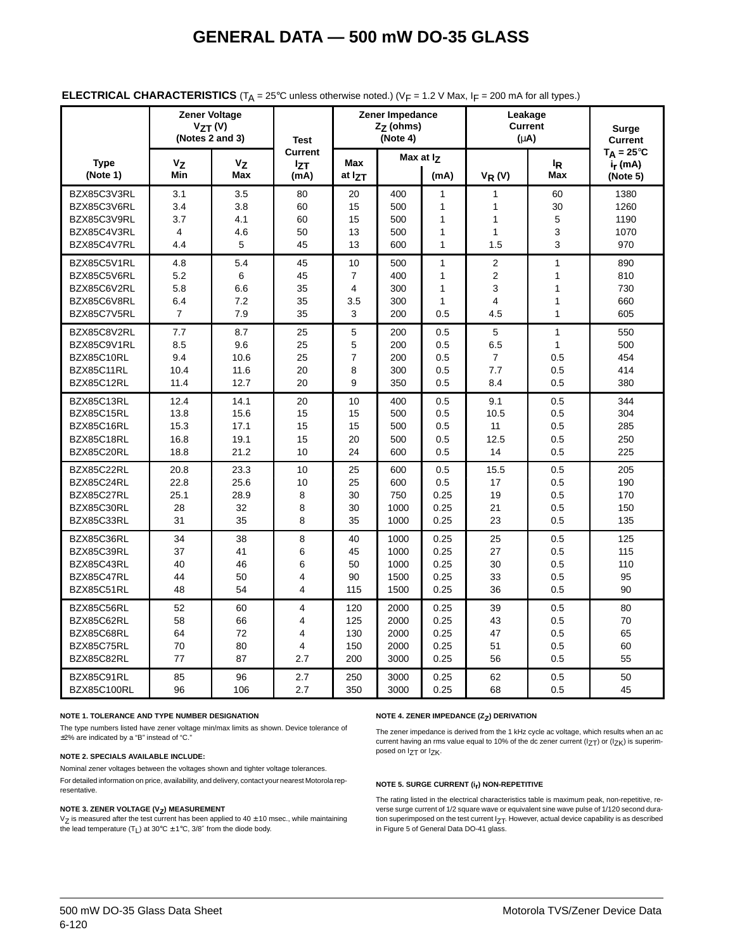|                                                          | <b>Zener Voltage</b><br>$V_{ZT} (V)$<br>(Notes $2$ and $3$ ) |                          | <b>Test</b>             |                      | Zener Impedance<br>Z <sub>7</sub> (ohms)<br>(Note 4) |                                                              | Leakage<br><b>Current</b><br>$(\mu A)$ |                       | Surge<br><b>Current</b>                                |
|----------------------------------------------------------|--------------------------------------------------------------|--------------------------|-------------------------|----------------------|------------------------------------------------------|--------------------------------------------------------------|----------------------------------------|-----------------------|--------------------------------------------------------|
| <b>Type</b><br>(Note 1)                                  | $V_{Z}$<br>Min                                               | $V_{Z}$<br>Max           | Current<br>IZT<br>(mA)  | Max<br>at IzT        | Max at Iz                                            | (mA)                                                         | $V_R(V)$                               | <sup>I</sup> R<br>Max | $T_A = 25^{\circ}C$<br>i <sub>r</sub> (mA)<br>(Note 5) |
| BZX85C3V3RL<br>BZX85C3V6RL<br>BZX85C3V9RL<br>BZX85C4V3RL | 3.1<br>3.4<br>3.7<br>4                                       | 3.5<br>3.8<br>4.1<br>4.6 | 80<br>60<br>60<br>50    | 20<br>15<br>15<br>13 | 400<br>500<br>500<br>500                             | $\mathbf{1}$<br>$\mathbf{1}$<br>$\mathbf{1}$<br>$\mathbf{1}$ | 1<br>1<br>$\mathbf{1}$<br>$\mathbf{1}$ | 60<br>30<br>5<br>3    | 1380<br>1260<br>1190                                   |
| BZX85C4V7RL                                              | 4.4                                                          | 5                        | 45                      | 13                   | 600                                                  | $\mathbf{1}$                                                 | 1.5                                    | 3                     | 1070<br>970                                            |
| BZX85C5V1RL                                              | 4.8                                                          | 5.4                      | 45                      | 10                   | 500                                                  | $\mathbf{1}$                                                 | $\overline{2}$                         | $\mathbf{1}$          | 890                                                    |
| BZX85C5V6RL                                              | 5.2                                                          | 6                        | 45                      | $\overline{7}$       | 400                                                  | $\mathbf{1}$                                                 | $\overline{2}$                         | $\mathbf{1}$          | 810                                                    |
| BZX85C6V2RL                                              | 5.8                                                          | 6.6                      | 35                      | 4                    | 300                                                  | 1                                                            | 3                                      | $\mathbf{1}$          | 730                                                    |
| BZX85C6V8RL                                              | 6.4                                                          | 7.2                      | 35                      | 3.5                  | 300                                                  | 1                                                            | $\overline{4}$                         | $\mathbf{1}$          | 660                                                    |
| BZX85C7V5RL                                              | $\overline{7}$                                               | 7.9                      | 35                      | 3                    | 200                                                  | 0.5                                                          | 4.5                                    | $\mathbf{1}$          | 605                                                    |
| BZX85C8V2RL                                              | 7.7                                                          | 8.7                      | 25                      | 5                    | 200                                                  | 0.5                                                          | 5                                      | $\mathbf{1}$          | 550                                                    |
| BZX85C9V1RL                                              | 8.5                                                          | 9.6                      | 25                      | 5                    | 200                                                  | 0.5                                                          | 6.5                                    | $\mathbf{1}$          | 500                                                    |
| BZX85C10RL                                               | 9.4                                                          | 10.6                     | 25                      | $\overline{7}$       | 200                                                  | 0.5                                                          | $\overline{7}$                         | 0.5                   | 454                                                    |
| BZX85C11RL                                               | 10.4                                                         | 11.6                     | 20                      | 8                    | 300                                                  | 0.5                                                          | 7.7                                    | 0.5                   | 414                                                    |
| BZX85C12RL                                               | 11.4                                                         | 12.7                     | 20                      | 9                    | 350                                                  | 0.5                                                          | 8.4                                    | 0.5                   | 380                                                    |
| BZX85C13RL                                               | 12.4                                                         | 14.1                     | 20                      | 10                   | 400                                                  | 0.5                                                          | 9.1                                    | 0.5                   | 344                                                    |
| BZX85C15RL                                               | 13.8                                                         | 15.6                     | 15                      | 15                   | 500                                                  | 0.5                                                          | 10.5                                   | 0.5                   | 304                                                    |
| BZX85C16RL                                               | 15.3                                                         | 17.1                     | 15                      | 15                   | 500                                                  | 0.5                                                          | 11                                     | 0.5                   | 285                                                    |
| BZX85C18RL                                               | 16.8                                                         | 19.1                     | 15                      | 20                   | 500                                                  | 0.5                                                          | 12.5                                   | 0.5                   | 250                                                    |
| BZX85C20RL                                               | 18.8                                                         | 21.2                     | 10                      | 24                   | 600                                                  | 0.5                                                          | 14                                     | 0.5                   | 225                                                    |
| BZX85C22RL                                               | 20.8                                                         | 23.3                     | 10                      | 25                   | 600                                                  | 0.5                                                          | 15.5                                   | 0.5                   | 205                                                    |
| BZX85C24RL                                               | 22.8                                                         | 25.6                     | 10                      | 25                   | 600                                                  | 0.5                                                          | 17                                     | 0.5                   | 190                                                    |
| BZX85C27RL                                               | 25.1                                                         | 28.9                     | 8                       | 30                   | 750                                                  | 0.25                                                         | 19                                     | 0.5                   | 170                                                    |
| BZX85C30RL                                               | 28                                                           | 32                       | 8                       | 30                   | 1000                                                 | 0.25                                                         | 21                                     | 0.5                   | 150                                                    |
| BZX85C33RL                                               | 31                                                           | 35                       | 8                       | 35                   | 1000                                                 | 0.25                                                         | 23                                     | 0.5                   | 135                                                    |
| BZX85C36RL                                               | 34                                                           | 38                       | 8                       | 40                   | 1000                                                 | 0.25                                                         | 25                                     | 0.5                   | 125                                                    |
| BZX85C39RL                                               | 37                                                           | 41                       | 6                       | 45                   | 1000                                                 | 0.25                                                         | 27                                     | 0.5                   | 115                                                    |
| BZX85C43RL                                               | 40                                                           | 46                       | 6                       | 50                   | 1000                                                 | 0.25                                                         | 30                                     | 0.5                   | 110                                                    |
| BZX85C47RL                                               | 44                                                           | 50                       | 4                       | 90                   | 1500                                                 | 0.25                                                         | 33                                     | 0.5                   | 95                                                     |
| BZX85C51RL                                               | 48                                                           | 54                       | 4                       | 115                  | 1500                                                 | 0.25                                                         | 36                                     | 0.5                   | 90                                                     |
| BZX85C56RL                                               | 52                                                           | 60                       | 4                       | 120                  | 2000                                                 | 0.25                                                         | 39                                     | 0.5                   | 80                                                     |
| BZX85C62RL                                               | 58                                                           | 66                       | 4                       | 125                  | 2000                                                 | 0.25                                                         | 43                                     | 0.5                   | 70                                                     |
| BZX85C68RL                                               | 64                                                           | 72                       | $\overline{\mathbf{4}}$ | 130                  | 2000                                                 | 0.25                                                         | 47                                     | 0.5                   | 65                                                     |
| BZX85C75RL                                               | 70                                                           | 80                       | 4                       | 150                  | 2000                                                 | 0.25                                                         | 51                                     | 0.5                   | 60                                                     |
| BZX85C82RL                                               | 77                                                           | 87                       | 2.7                     | 200                  | 3000                                                 | 0.25                                                         | 56                                     | 0.5                   | 55                                                     |
| BZX85C91RL                                               | 85                                                           | 96                       | 2.7                     | 250                  | 3000                                                 | 0.25                                                         | 62                                     | 0.5                   | 50                                                     |
| <b>BZX85C100RL</b>                                       | 96                                                           | 106                      | 2.7                     | 350                  | 3000                                                 | 0.25                                                         | 68                                     | 0.5                   | 45                                                     |

#### **ELECTRICAL CHARACTERISTICS** ( $T_A = 25^\circ$ C unless otherwise noted.) ( $V_F = 1.2$  V Max,  $I_F = 200$  mA for all types.)

#### **NOTE 1. TOLERANCE AND TYPE NUMBER DESIGNATION**

The type numbers listed have zener voltage min/max limits as shown. Device tolerance of ±2% are indicated by a "B" instead of "C."

#### **NOTE 2. SPECIALS AVAILABLE INCLUDE:**

Nominal zener voltages between the voltages shown and tighter voltage tolerances.

For detailed information on price, availability, and delivery, contact your nearest Motorola representative.

**NOTE 3. ZENER VOLTAGE (V<sub>Z</sub>) MEASUREMENT**<br>V<sub>Z</sub> is measured after the test current has been applied to 40 ± 10 msec., while maintaining the lead temperature  $(T_L)$  at 30°C  $\pm$  1°C, 3/8" from the diode body.

#### **NOTE 4. ZENER IMPEDANCE (Z<sub>Z</sub>) DERIVATION**

The zener impedance is derived from the 1 kHz cycle ac voltage, which results when an ac current having an rms value equal to 10% of the dc zener current ( $I_{ZT}$ ) or ( $I_{ZK}$ ) is superimposed on  $I_{ZT}$  or  $I_{ZK}$ .

#### **NOTE 5. SURGE CURRENT (ir) NON-REPETITIVE**

The rating listed in the electrical characteristics table is maximum peak, non-repetitive, reverse surge current of 1/2 square wave or equivalent sine wave pulse of 1/120 second duration superimposed on the test current  $I_{ZT}$ . However, actual device capability is as described in Figure 5 of General Data DO-41 glass.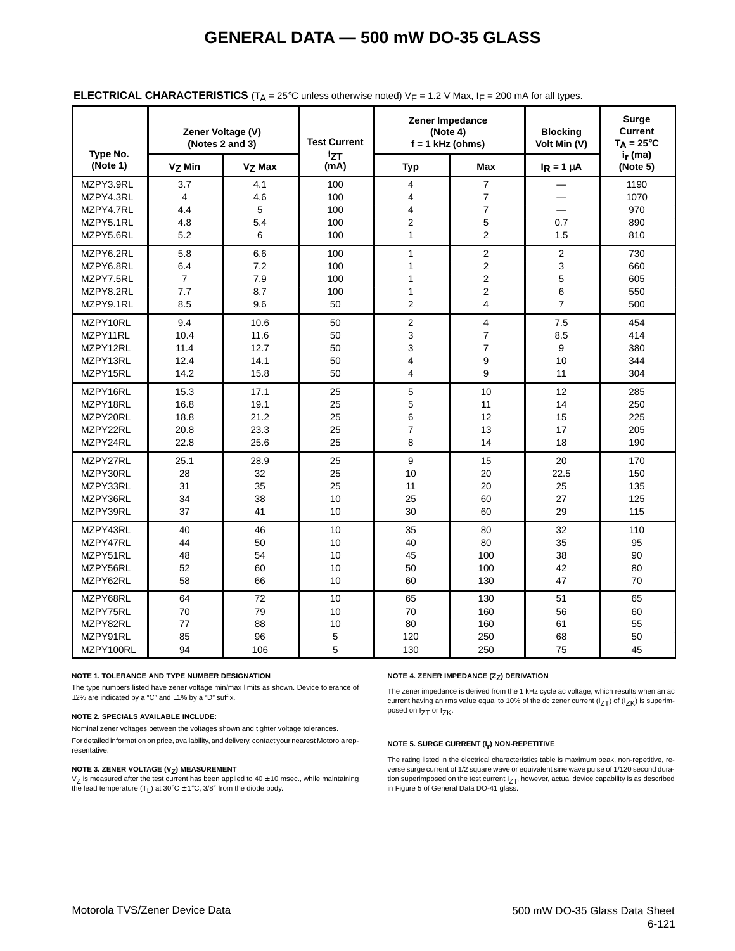| Type No.                                                      | Zener Voltage (V)             | (Notes 2 and 3)             | <b>Test Current</b>             | Zener Impedance<br>(Note 4)<br>$f = 1$ kHz (ohms)                                                      |                                                                                    | <b>Blocking</b><br>Volt Min (V) | <b>Surge</b><br><b>Current</b><br>$T_A = 25^{\circ}C$ |
|---------------------------------------------------------------|-------------------------------|-----------------------------|---------------------------------|--------------------------------------------------------------------------------------------------------|------------------------------------------------------------------------------------|---------------------------------|-------------------------------------------------------|
| (Note 1)                                                      | V <sub>7</sub> Min            | $V7$ Max                    | <b>IzT</b><br>(mA)              | <b>Typ</b>                                                                                             | Max                                                                                | $I_R = 1 \mu A$                 | $i_r$ (ma)<br>(Note 5)                                |
| MZPY3.9RL<br>MZPY4.3RL<br>MZPY4.7RL<br>MZPY5.1RL<br>MZPY5.6RL | 3.7<br>4<br>4.4<br>4.8<br>5.2 | 4.1<br>4.6<br>5<br>5.4<br>6 | 100<br>100<br>100<br>100<br>100 | $\overline{4}$<br>$\overline{\mathbf{4}}$<br>$\overline{\mathbf{4}}$<br>$\overline{c}$<br>$\mathbf{1}$ | $\overline{7}$<br>$\overline{7}$<br>$\overline{\mathbf{7}}$<br>5<br>$\overline{2}$ | 0.7<br>1.5                      | 1190<br>1070<br>970<br>890<br>810                     |
| MZPY6.2RL                                                     | 5.8                           | 6.6                         | 100                             | $\mathbf{1}$                                                                                           | $\overline{2}$                                                                     | $\overline{2}$                  | 730                                                   |
| MZPY6.8RL                                                     | 6.4                           | 7.2                         | 100                             | 1                                                                                                      | $\overline{2}$                                                                     | 3                               | 660                                                   |
| MZPY7.5RL                                                     | $\overline{7}$                | 7.9                         | 100                             | 1                                                                                                      | $\overline{2}$                                                                     | 5                               | 605                                                   |
| MZPY8.2RL                                                     | 7.7                           | 8.7                         | 100                             | 1                                                                                                      | $\overline{c}$                                                                     | 6                               | 550                                                   |
| MZPY9.1RL                                                     | 8.5                           | 9.6                         | 50                              | $\overline{2}$                                                                                         | 4                                                                                  | $\overline{7}$                  | 500                                                   |
| MZPY10RL                                                      | 9.4                           | 10.6                        | 50                              | $\overline{2}$                                                                                         | $\overline{4}$                                                                     | 7.5                             | 454                                                   |
| MZPY11RL                                                      | 10.4                          | 11.6                        | 50                              | 3                                                                                                      | $\overline{7}$                                                                     | 8.5                             | 414                                                   |
| MZPY12RL                                                      | 11.4                          | 12.7                        | 50                              | 3                                                                                                      | $\overline{7}$                                                                     | $\mathsf g$                     | 380                                                   |
| MZPY13RL                                                      | 12.4                          | 14.1                        | 50                              | $\overline{\mathbf{4}}$                                                                                | 9                                                                                  | 10                              | 344                                                   |
| MZPY15RL                                                      | 14.2                          | 15.8                        | 50                              | 4                                                                                                      | 9                                                                                  | 11                              | 304                                                   |
| MZPY16RL                                                      | 15.3                          | 17.1                        | 25                              | 5                                                                                                      | 10                                                                                 | 12                              | 285                                                   |
| MZPY18RL                                                      | 16.8                          | 19.1                        | 25                              | 5                                                                                                      | 11                                                                                 | 14                              | 250                                                   |
| MZPY20RL                                                      | 18.8                          | 21.2                        | 25                              | 6                                                                                                      | 12                                                                                 | 15                              | 225                                                   |
| MZPY22RL                                                      | 20.8                          | 23.3                        | 25                              | $\overline{7}$                                                                                         | 13                                                                                 | 17                              | 205                                                   |
| MZPY24RL                                                      | 22.8                          | 25.6                        | 25                              | 8                                                                                                      | 14                                                                                 | 18                              | 190                                                   |
| MZPY27RL                                                      | 25.1                          | 28.9                        | 25                              | 9                                                                                                      | 15                                                                                 | 20                              | 170                                                   |
| MZPY30RL                                                      | 28                            | 32                          | 25                              | 10                                                                                                     | 20                                                                                 | 22.5                            | 150                                                   |
| MZPY33RL                                                      | 31                            | 35                          | 25                              | 11                                                                                                     | 20                                                                                 | 25                              | 135                                                   |
| MZPY36RL                                                      | 34                            | 38                          | 10                              | 25                                                                                                     | 60                                                                                 | 27                              | 125                                                   |
| MZPY39RL                                                      | 37                            | 41                          | 10                              | 30                                                                                                     | 60                                                                                 | 29                              | 115                                                   |
| MZPY43RL                                                      | 40                            | 46                          | 10                              | 35                                                                                                     | 80                                                                                 | 32                              | 110                                                   |
| MZPY47RL                                                      | 44                            | 50                          | 10                              | 40                                                                                                     | 80                                                                                 | 35                              | 95                                                    |
| MZPY51RL                                                      | 48                            | 54                          | 10                              | 45                                                                                                     | 100                                                                                | 38                              | 90                                                    |
| MZPY56RL                                                      | 52                            | 60                          | 10                              | 50                                                                                                     | 100                                                                                | 42                              | 80                                                    |
| MZPY62RL                                                      | 58                            | 66                          | 10                              | 60                                                                                                     | 130                                                                                | 47                              | 70                                                    |
| MZPY68RL                                                      | 64                            | 72                          | 10                              | 65                                                                                                     | 130                                                                                | 51                              | 65                                                    |
| MZPY75RL                                                      | 70                            | 79                          | 10                              | 70                                                                                                     | 160                                                                                | 56                              | 60                                                    |
| MZPY82RL                                                      | 77                            | 88                          | 10                              | 80                                                                                                     | 160                                                                                | 61                              | 55                                                    |
| MZPY91RL                                                      | 85                            | 96                          | 5                               | 120                                                                                                    | 250                                                                                | 68                              | 50                                                    |
| MZPY100RL                                                     | 94                            | 106                         | 5                               | 130                                                                                                    | 250                                                                                | 75                              | 45                                                    |

#### **ELECTRICAL CHARACTERISTICS** ( $T_A$  = 25°C unless otherwise noted)  $V_F$  = 1.2 V Max, I<sub>F</sub> = 200 mA for all types.

#### **NOTE 1. TOLERANCE AND TYPE NUMBER DESIGNATION**

The type numbers listed have zener voltage min/max limits as shown. Device tolerance of  $\pm$ 2% are indicated by a "C" and  $\pm$ 1% by a "D" suffix.

#### **NOTE 2. SPECIALS AVAILABLE INCLUDE:**

Nominal zener voltages between the voltages shown and tighter voltage tolerances. For detailed information on price, availability, and delivery, contact your nearest Motorola representative.

#### **NOTE 3. ZENER VOLTAGE (V<sub>Z</sub>) MEASUREMENT**

 $V_Z$  is measured after the test current has been applied to  $40 \pm 10$  msec., while maintaining the lead temperature  $(T_L)$  at 30°C  $\pm$  1°C, 3/8" from the diode body.

#### **NOTE 4. ZENER IMPEDANCE (Z<sub>7</sub>) DERIVATION**

The zener impedance is derived from the 1 kHz cycle ac voltage, which results when an ac current having an rms value equal to 10% of the dc zener current ( $I_{ZT}$ ) of ( $I_{ZK}$ ) is superimposed on  $I_{ZT}$  or  $I_{ZK}$ .

#### **NOTE 5. SURGE CURRENT (ir) NON-REPETITIVE**

The rating listed in the electrical characteristics table is maximum peak, non-repetitive, reverse surge current of 1/2 square wave or equivalent sine wave pulse of 1/120 second duration superimposed on the test current  $I_{ZT}$ , however, actual device capability is as described in Figure 5 of General Data DO-41 glass.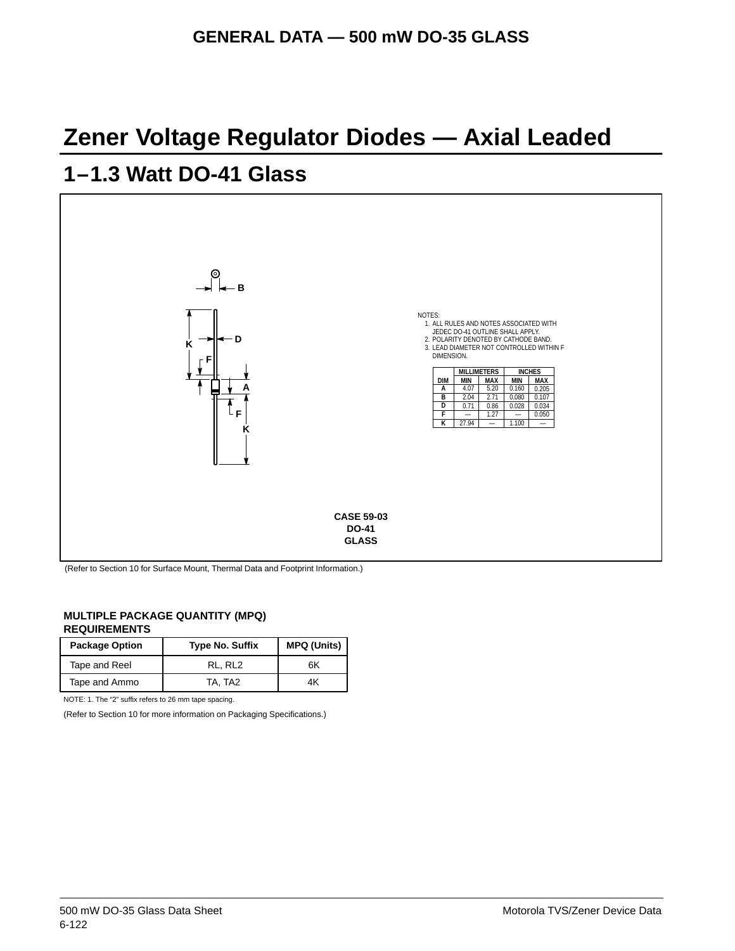## **Zener Voltage Regulator Diodes — Axial Leaded**

## **1–1.3 Watt DO-41 Glass**



(Refer to Section 10 for Surface Mount, Thermal Data and Footprint Information.)

#### **MULTIPLE PACKAGE QUANTITY (MPQ) REQUIREMENTS**

| <b>Package Option</b> | <b>Type No. Suffix</b> | <b>MPQ (Units)</b> |
|-----------------------|------------------------|--------------------|
| Tape and Reel         | RL. RL2                | 6K                 |
| Tape and Ammo         | TA. TA2                | 4K                 |

NOTE: 1. The "2" suffix refers to 26 mm tape spacing.

(Refer to Section 10 for more information on Packaging Specifications.)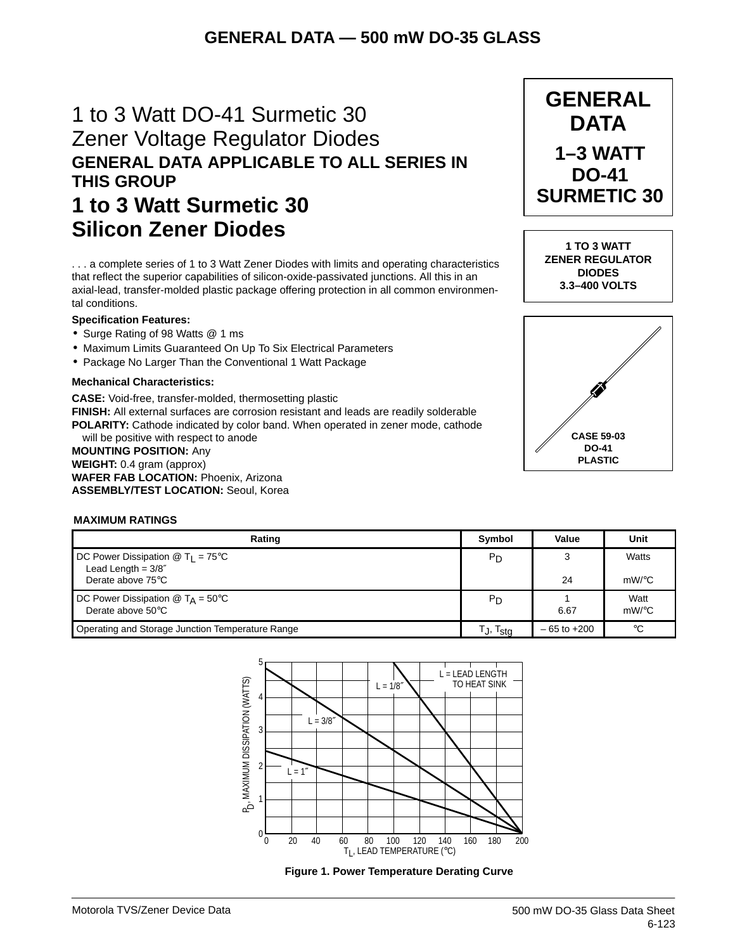## 1 to 3 Watt DO-41 Surmetic 30 Zener Voltage Regulator Diodes **GENERAL DATA APPLICABLE TO ALL SERIES IN THIS GROUP 1 to 3 Watt Surmetic 30**

**Silicon Zener Diodes**

. . . a complete series of 1 to 3 Watt Zener Diodes with limits and operating characteristics that reflect the superior capabilities of silicon-oxide-passivated junctions. All this in an axial-lead, transfer-molded plastic package offering protection in all common environmental conditions.

#### **Specification Features:**

- Surge Rating of 98 Watts @ 1 ms
- Maximum Limits Guaranteed On Up To Six Electrical Parameters
- Package No Larger Than the Conventional 1 Watt Package

#### **Mechanical Characteristics:**

**CASE:** Void-free, transfer-molded, thermosetting plastic **FINISH:** All external surfaces are corrosion resistant and leads are readily solderable **POLARITY:** Cathode indicated by color band. When operated in zener mode, cathode

will be positive with respect to anode **MOUNTING POSITION:** Any **WEIGHT:** 0.4 gram (approx) **WAFER FAB LOCATION:** Phoenix, Arizona **ASSEMBLY/TEST LOCATION:** Seoul, Korea

#### **MAXIMUM RATINGS**

| Rating                                                                                             | Symbol               | Value           | Unit               |
|----------------------------------------------------------------------------------------------------|----------------------|-----------------|--------------------|
| DC Power Dissipation $\textcircled{1}$ T <sub>1</sub> = 75 <sup>°</sup> C<br>Lead Length = $3/8''$ | P <sub>D</sub>       |                 | Watts              |
| Derate above 75°C                                                                                  |                      | 24              | $mW$ / $\degree$ C |
| DC Power Dissipation $@$ T <sub>A</sub> = 50°C<br>Derate above $50^{\circ}$ C                      | P <sub>D</sub>       | 6.67            | Watt<br>$mW$ /°C   |
| Operating and Storage Junction Temperature Range                                                   | T., T <sub>stq</sub> | $-65$ to $+200$ | $^{\circ}C$        |







**1 TO 3 WATT ZENER REGULATOR DIODES 3.3–400 VOLTS**

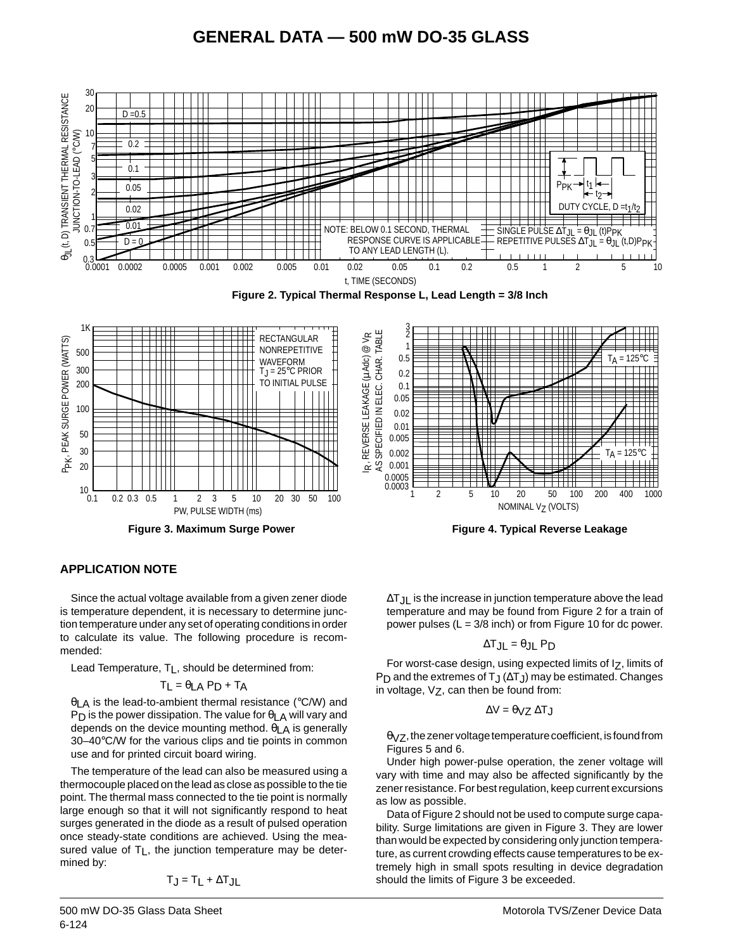

#### **APPLICATION NOTE**

Since the actual voltage available from a given zener diode is temperature dependent, it is necessary to determine junction temperature under any set of operating conditions in order to calculate its value. The following procedure is recommended:

Lead Temperature,  $T_L$ , should be determined from:

$$
T_L = \theta_{LA} P_D + T_A
$$

θLA is the lead-to-ambient thermal resistance (°C/W) and P<sub>D</sub> is the power dissipation. The value for  $\theta_{LA}$  will vary and depends on the device mounting method.  $\theta$ <sub>LA</sub> is generally 30–40°C/W for the various clips and tie points in common use and for printed circuit board wiring.

The temperature of the lead can also be measured using a thermocouple placed on the lead as close as possible to the tie point. The thermal mass connected to the tie point is normally large enough so that it will not significantly respond to heat surges generated in the diode as a result of pulsed operation once steady-state conditions are achieved. Using the measured value of  $T_L$ , the junction temperature may be determined by:

$$
T_J = T_L + \Delta T_{JL}
$$

6-124 500 mW DO-35 Glass Data Sheet ∆T<sub>JL</sub> is the increase in junction temperature above the lead temperature and may be found from Figure 2 for a train of power pulses (L = 3/8 inch) or from Figure 10 for dc power.

$$
\Delta T_{JL} = \theta_{JL} \, P_D
$$

For worst-case design, using expected limits of Iz, limits of P<sub>D</sub> and the extremes of T<sub>J</sub> ( $\Delta$ T<sub>J</sub>) may be estimated. Changes in voltage,  $V_Z$ , can then be found from:

$$
\Delta V = \theta_{VZ} \, \Delta T_J
$$

 $\theta$ <sub>V</sub> $Z$ , the zener voltage temperature coefficient, is found from Figures 5 and 6.

Under high power-pulse operation, the zener voltage will vary with time and may also be affected significantly by the zener resistance. For best regulation, keep current excursions as low as possible.

Data of Figure 2 should not be used to compute surge capability. Surge limitations are given in Figure 3. They are lower than would be expected by considering only junction temperature, as current crowding effects cause temperatures to be extremely high in small spots resulting in device degradation should the limits of Figure 3 be exceeded.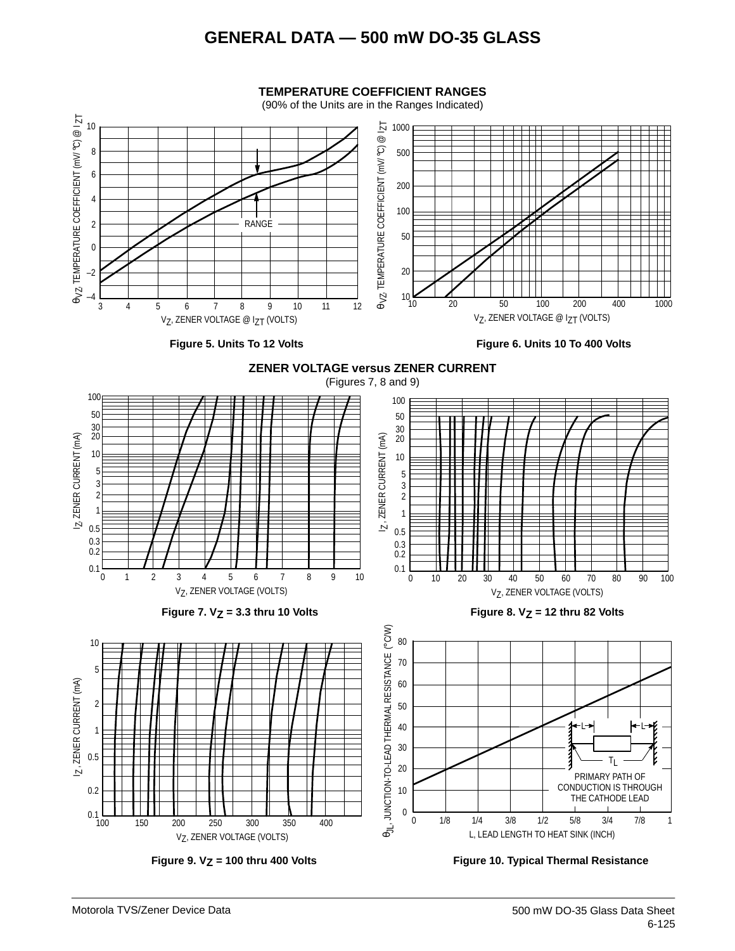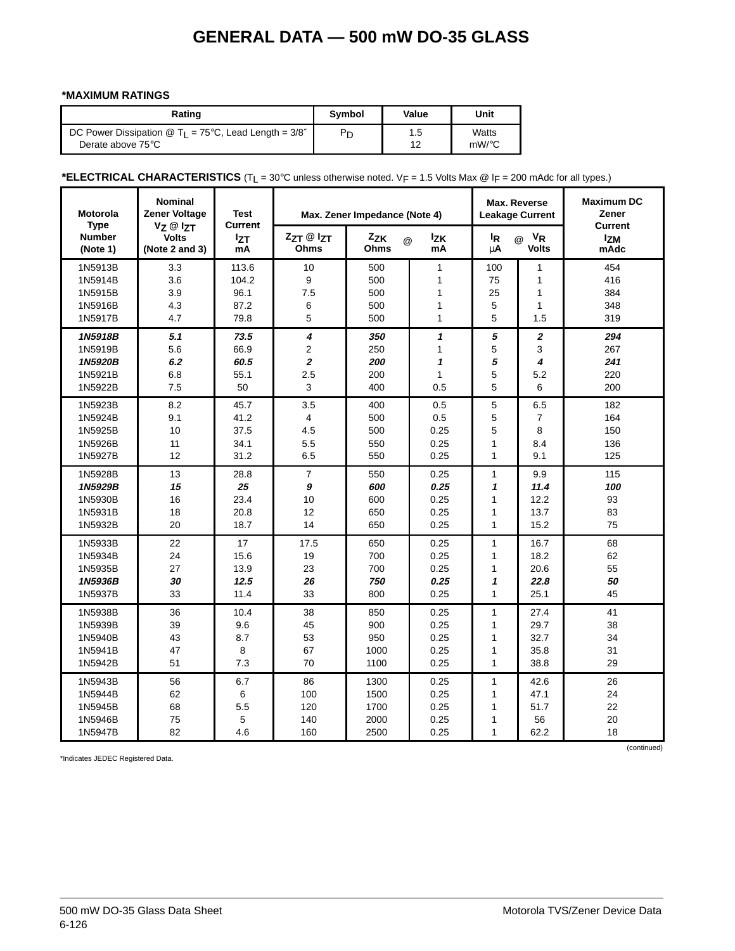#### **\*MAXIMUM RATINGS**

| Rating                                                                           | <b>Symbol</b> | Value | Unit     |
|----------------------------------------------------------------------------------|---------------|-------|----------|
| DC Power Dissipation $\textcircled{a}$ T <sub>1</sub> = 75°C, Lead Length = 3/8" | Pn            | 1.5   | Watts    |
| Derate above 75°C                                                                |               | 12    | $mW$ /°C |

### \*ELECTRICAL CHARACTERISTICS (T<sub>L</sub> = 30°C unless otherwise noted. V<sub>F</sub> = 1.5 Volts Max @ l<sub>F</sub> = 200 mAdc for all types.)

| <b>Motorola</b><br><b>Type</b> | <b>Nominal</b><br><b>Zener Voltage</b>                 | <b>Test</b><br><b>Current</b> | Max. Zener Impedance (Note 4) |                  |                  |                | Max. Reverse<br><b>Leakage Current</b>    | <b>Maximum DC</b><br>Zener<br><b>Current</b> |
|--------------------------------|--------------------------------------------------------|-------------------------------|-------------------------------|------------------|------------------|----------------|-------------------------------------------|----------------------------------------------|
| <b>Number</b><br>(Note 1)      | $V_Z \otimes I_{ZT}$<br><b>Volts</b><br>(Note 2 and 3) | <b>Izt</b><br>mA              | ZzT @ IzT<br>Ohms             | Zzk<br>@<br>Ohms | <b>Izk</b><br>mA | ΙŖ<br>μA       | <b>V<sub>R</sub></b><br>@<br><b>Volts</b> | <b>Izm</b><br>mAdc                           |
| 1N5913B                        | 3.3                                                    | 113.6                         | 10                            | 500              | 1                | 100            | $\mathbf{1}$                              | 454                                          |
| 1N5914B                        | 3.6                                                    | 104.2                         | 9                             | 500              | 1                | 75             | 1                                         | 416                                          |
| 1N5915B                        | 3.9                                                    | 96.1                          | 7.5                           | 500              | 1                | 25             | 1                                         | 384                                          |
| 1N5916B                        | 4.3                                                    | 87.2                          | 6                             | 500              | 1                | 5              | $\mathbf{1}$                              | 348                                          |
| 1N5917B                        | 4.7                                                    | 79.8                          | 5                             | 500              | 1                | 5              | 1.5                                       | 319                                          |
| 1N5918B                        | 5.1                                                    | 73.5                          | 4                             | 350              | $\mathbf{1}$     | 5              | $\overline{\mathbf{c}}$                   | 294                                          |
| 1N5919B                        | 5.6                                                    | 66.9                          | $\overline{2}$                | 250              | 1                | 5              | 3                                         | 267                                          |
| 1N5920B                        | 6.2                                                    | 60.5                          | 2                             | 200              | 1                | 5              | 4                                         | 241                                          |
| 1N5921B                        | 6.8                                                    | 55.1                          | 2.5                           | 200              | $\mathbf{1}$     | 5              | 5.2                                       | 220                                          |
| 1N5922B                        | 7.5                                                    | 50                            | 3                             | 400              | 0.5              | 5              | 6                                         | 200                                          |
| 1N5923B                        | 8.2                                                    | 45.7                          | 3.5                           | 400              | 0.5              | 5              | 6.5                                       | 182                                          |
| 1N5924B                        | 9.1                                                    | 41.2                          | $\overline{4}$                | 500              | 0.5              | 5              | $\overline{7}$                            | 164                                          |
| 1N5925B                        | 10                                                     | 37.5                          | 4.5                           | 500              | 0.25             | 5              | 8                                         | 150                                          |
| 1N5926B                        | 11                                                     | 34.1                          | 5.5                           | 550              | 0.25             | $\mathbf{1}$   | 8.4                                       | 136                                          |
| 1N5927B                        | 12                                                     | 31.2                          | 6.5                           | 550              | 0.25             | $\mathbf{1}$   | 9.1                                       | 125                                          |
| 1N5928B                        | 13                                                     | 28.8                          | $\overline{7}$                | 550              | 0.25             | $\mathbf{1}$   | 9.9                                       | 115                                          |
| 1N5929B                        | 15                                                     | 25                            | 9                             | 600              | 0.25             | 1              | 11.4                                      | 100                                          |
| 1N5930B                        | 16                                                     | 23.4                          | 10                            | 600              | 0.25             | $\mathbf{1}$   | 12.2                                      | 93                                           |
| 1N5931B                        | 18                                                     | 20.8                          | 12                            | 650              | 0.25             | $\mathbf{1}$   | 13.7                                      | 83                                           |
| 1N5932B                        | 20                                                     | 18.7                          | 14                            | 650              | 0.25             | $\mathbf{1}$   | 15.2                                      | 75                                           |
| 1N5933B                        | 22                                                     | 17                            | 17.5                          | 650              | 0.25             | 1              | 16.7                                      | 68                                           |
| 1N5934B                        | 24                                                     | 15.6                          | 19                            | 700              | 0.25             | $\mathbf{1}$   | 18.2                                      | 62                                           |
| 1N5935B                        | 27                                                     | 13.9                          | 23                            | 700              | 0.25             | $\mathbf{1}$   | 20.6                                      | 55                                           |
| 1N5936B                        | 30                                                     | 12.5                          | 26                            | 750              | 0.25             | 1              | 22.8                                      | 50                                           |
| 1N5937B                        | 33                                                     | 11.4                          | 33                            | 800              | 0.25             | $\mathbf{1}$   | 25.1                                      | 45                                           |
| 1N5938B                        | 36                                                     | 10.4                          | 38                            | 850              | 0.25             | $\mathbf{1}$   | 27.4                                      | 41                                           |
| 1N5939B                        | 39                                                     | 9.6                           | 45                            | 900              | 0.25             | $\mathbf{1}$   | 29.7                                      | 38                                           |
| 1N5940B                        | 43                                                     | 8.7                           | 53                            | 950              | 0.25             | $\mathbf{1}$   | 32.7                                      | 34                                           |
| 1N5941B                        | 47                                                     | 8                             | 67                            | 1000             | 0.25             | $\mathbf{1}$   | 35.8                                      | 31                                           |
| 1N5942B                        | 51                                                     | 7.3                           | 70                            | 1100             | 0.25             | $\overline{1}$ | 38.8                                      | 29                                           |
| 1N5943B                        | 56                                                     | 6.7                           | 86                            | 1300             | 0.25             | $\mathbf{1}$   | 42.6                                      | 26                                           |
| 1N5944B                        | 62                                                     | 6                             | 100                           | 1500             | 0.25             | $\mathbf{1}$   | 47.1                                      | 24                                           |
| 1N5945B                        | 68                                                     | 5.5                           | 120                           | 1700             | 0.25             | $\mathbf{1}$   | 51.7                                      | 22                                           |
| 1N5946B                        | 75                                                     | 5                             | 140                           | 2000             | 0.25             | $\mathbf{1}$   | 56                                        | 20                                           |
| 1N5947B                        | 82                                                     | 4.6                           | 160                           | 2500             | 0.25             | $\mathbf{1}$   | 62.2                                      | 18                                           |

\*Indicates JEDEC Registered Data.

(continued)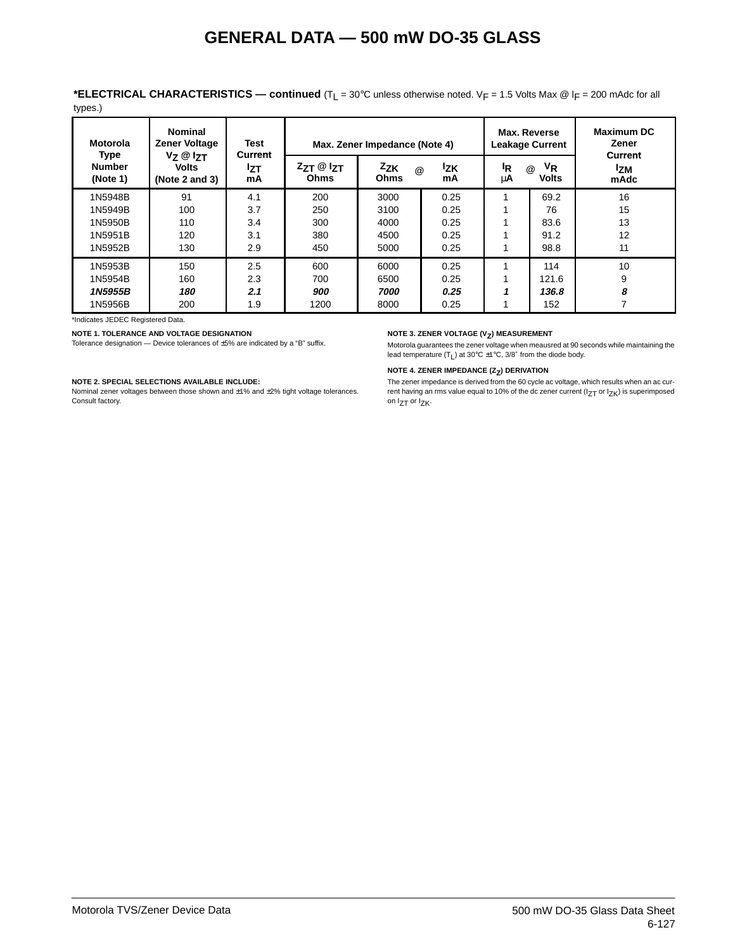**\*ELECTRICAL CHARACTERISTICS — continued** (TL = 30°C unless otherwise noted. VF = 1.5 Volts Max @ lF = 200 mAdc for all types.)

| <b>Motorola</b>                          | <b>Nominal</b><br><b>Zener Voltage</b>                 | <b>Test</b>          | Max. Zener Impedance (Note 4)     |                                |                  |                      | Max. Reverse<br><b>Leakage Current</b>            | <b>Maximum DC</b><br>Zener           |
|------------------------------------------|--------------------------------------------------------|----------------------|-----------------------------------|--------------------------------|------------------|----------------------|---------------------------------------------------|--------------------------------------|
| <b>Type</b><br><b>Number</b><br>(Note 1) | $V_Z \otimes I_{ZT}$<br><b>Volts</b><br>(Note 2 and 3) | Current<br>lzτ<br>mA | $Z_{ZT}$ @ $Z_{T}$<br><b>Ohms</b> | Zzk<br>$\omega$<br><b>Ohms</b> | <b>Izk</b><br>mA | <sup>I</sup> R<br>μA | V <sub>R</sub><br>$^{\copyright}$<br><b>Volts</b> | <b>Current</b><br><b>Izm</b><br>mAdc |
| 1N5948B                                  | 91                                                     | 4.1                  | 200                               | 3000                           | 0.25             |                      | 69.2                                              | 16                                   |
| 1N5949B                                  | 100                                                    | 3.7                  | 250                               | 3100                           | 0.25             |                      | 76                                                | 15                                   |
| 1N5950B                                  | 110                                                    | 3.4                  | 300                               | 4000                           | 0.25             |                      | 83.6                                              | 13                                   |
| 1N5951B                                  | 120                                                    | 3.1                  | 380                               | 4500                           | 0.25             |                      | 91.2                                              | 12                                   |
| 1N5952B                                  | 130                                                    | 2.9                  | 450                               | 5000                           | 0.25             |                      | 98.8                                              | 11                                   |
| 1N5953B                                  | 150                                                    | 2.5                  | 600                               | 6000                           | 0.25             |                      | 114                                               | 10                                   |
| 1N5954B                                  | 160                                                    | 2.3                  | 700                               | 6500                           | 0.25             |                      | 121.6                                             | 9                                    |
| 1N5955B                                  | 180                                                    | 2.1                  | 900                               | 7000                           | 0.25             |                      | 136.8                                             | 8                                    |
| 1N5956B                                  | 200                                                    | 1.9                  | 1200                              | 8000                           | 0.25             |                      | 152                                               |                                      |

\*Indicates JEDEC Registered Data.

**NOTE 1. TOLERANCE AND VOLTAGE DESIGNATION**

Tolerance designation — Device tolerances of ±5% are indicated by a "B" suffix.

#### **NOTE 2. SPECIAL SELECTIONS AVAILABLE INCLUDE:**

Nominal zener voltages between those shown and ±1% and ±2% tight voltage tolerances. Consult factory.

#### **NOTE 3. ZENER VOLTAGE (V<sub>Z</sub>) MEASUREMENT**

Motorola guarantees the zener voltage when meausred at 90 seconds while maintaining the lead temperature  $(T_L)$  at 30°C  $\pm$ 1°C, 3/8" from the diode body.

#### **NOTE 4. ZENER IMPEDANCE (Z<sub>Z</sub>) DERIVATION**

The zener impedance is derived from the 60 cycle ac voltage, which results when an ac current having an rms value equal to 10% of the dc zener current ( $I_{ZT}$  or  $I_{ZK}$ ) is superimposed on I<sub>ZT</sub> or I<sub>ZK</sub>.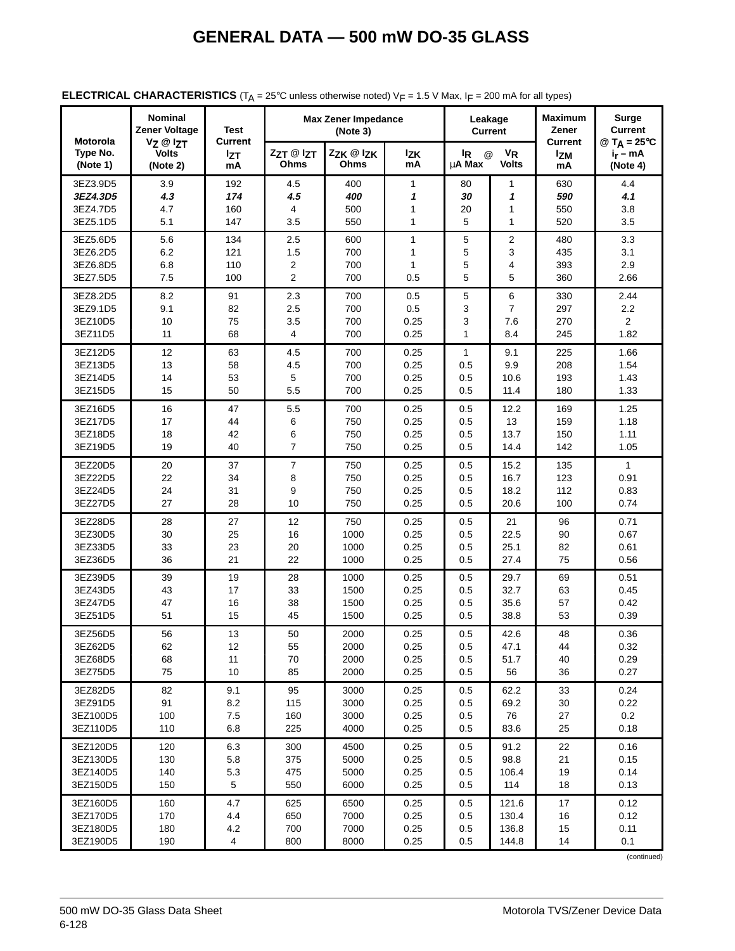| Motorola             | <b>Nominal</b><br><b>Zener Voltage</b>           | Test                               |                     | <b>Max Zener Impedance</b><br>(Note 3) |                  | Leakage<br><b>Current</b>                          |                                      | <b>Maximum</b><br>Zener<br><b>Current</b> |                                                          |
|----------------------|--------------------------------------------------|------------------------------------|---------------------|----------------------------------------|------------------|----------------------------------------------------|--------------------------------------|-------------------------------------------|----------------------------------------------------------|
| Type No.<br>(Note 1) | $V_Z \otimes I_{ZT}$<br><b>Volts</b><br>(Note 2) | <b>Current</b><br><b>Izt</b><br>mA | ZzT @ IzT<br>Ohms   | Zzk @ lzk<br>Ohms                      | <b>Izk</b><br>mA | l <sub>R</sub><br>$^{\circledR}$<br>μ <b>A</b> Max | <b>V<sub>R</sub></b><br><b>Volts</b> | <b>Izm</b><br>mA                          | @ $T_A = 25^{\circ}C$<br>i <sub>r</sub> – mA<br>(Note 4) |
| 3EZ3.9D5             | 3.9                                              | 192                                | 4.5                 | 400                                    | 1                | 80                                                 | 1                                    | 630                                       | 4.4                                                      |
| 3EZ4.3D5             | 4.3                                              | 174                                | 4.5                 | 400                                    | 1                | 30                                                 | 1                                    | 590                                       | 4.1                                                      |
| 3EZ4.7D5             | 4.7                                              | 160                                | 4                   | 500                                    | 1                | 20                                                 | 1                                    | 550                                       | 3.8                                                      |
| 3EZ5.1D5             | 5.1                                              | 147                                | 3.5                 | 550                                    | 1                | 5                                                  | 1                                    | 520                                       | 3.5                                                      |
| 3EZ5.6D5             | 5.6                                              | 134                                | 2.5                 | 600                                    | $\mathbf{1}$     | 5                                                  | $\overline{2}$                       | 480                                       | 3.3                                                      |
| 3EZ6.2D5             | 6.2                                              | 121                                | 1.5                 | 700                                    | 1                | 5                                                  | 3                                    | 435                                       | 3.1                                                      |
| 3EZ6.8D5             | 6.8                                              | 110                                | 2                   | 700                                    | $\mathbf{1}$     | 5                                                  | 4                                    | 393                                       | 2.9                                                      |
| 3EZ7.5D5             | 7.5                                              | 100                                | $\overline{2}$      | 700                                    | 0.5              | 5                                                  | 5                                    | 360                                       | 2.66                                                     |
| 3EZ8.2D5             | 8.2                                              | 91                                 | 2.3                 | 700                                    | 0.5              | 5                                                  | 6                                    | 330                                       | 2.44                                                     |
| 3EZ9.1D5             | 9.1                                              | 82                                 | 2.5                 | 700                                    | 0.5              | 3                                                  | 7                                    | 297                                       | 2.2                                                      |
| 3EZ10D5              | 10                                               | 75                                 | 3.5                 | 700                                    | 0.25             | 3                                                  | 7.6                                  | 270                                       | $\overline{2}$                                           |
| 3EZ11D5              | 11                                               | 68                                 | 4                   | 700                                    | 0.25             | 1                                                  | 8.4                                  | 245                                       | 1.82                                                     |
| 3EZ12D5              | 12                                               | 63                                 | 4.5                 | 700                                    | 0.25             | 1                                                  | 9.1                                  | 225                                       | 1.66                                                     |
| 3EZ13D5              | 13                                               | 58                                 | 4.5                 | 700                                    | 0.25             | 0.5                                                | 9.9                                  | 208                                       | 1.54                                                     |
| 3EZ14D5              | 14                                               | 53                                 | 5                   | 700                                    | 0.25             | 0.5                                                | 10.6                                 | 193                                       | 1.43                                                     |
| 3EZ15D5              | 15                                               | 50                                 | 5.5                 | 700                                    | 0.25             | 0.5                                                | 11.4                                 | 180                                       | 1.33                                                     |
| 3EZ16D5              | 16                                               | 47                                 | 5.5                 | 700                                    | 0.25             | 0.5                                                | 12.2                                 | 169                                       | 1.25                                                     |
| 3EZ17D5              | 17                                               | 44                                 | 6                   | 750                                    | 0.25             | 0.5                                                | 13                                   | 159                                       | 1.18                                                     |
| 3EZ18D5<br>3EZ19D5   | 18<br>19                                         | 42<br>40                           | 6<br>$\overline{7}$ | 750                                    | 0.25             | 0.5<br>0.5                                         | 13.7<br>14.4                         | 150                                       | 1.11                                                     |
|                      |                                                  |                                    |                     | 750                                    | 0.25             |                                                    |                                      | 142                                       | 1.05                                                     |
| 3EZ20D5              | 20                                               | 37                                 | 7                   | 750                                    | 0.25             | 0.5                                                | 15.2                                 | 135                                       | $\mathbf{1}$                                             |
| 3EZ22D5              | 22                                               | 34                                 | 8                   | 750                                    | 0.25             | 0.5                                                | 16.7                                 | 123                                       | 0.91                                                     |
| 3EZ24D5<br>3EZ27D5   | 24<br>27                                         | 31<br>28                           | 9<br>10             | 750<br>750                             | 0.25<br>0.25     | 0.5<br>0.5                                         | 18.2<br>20.6                         | 112<br>100                                | 0.83<br>0.74                                             |
|                      |                                                  |                                    |                     |                                        |                  |                                                    |                                      |                                           |                                                          |
| 3EZ28D5              | 28                                               | 27                                 | 12                  | 750                                    | 0.25             | 0.5                                                | 21                                   | 96                                        | 0.71                                                     |
| 3EZ30D5              | 30                                               | 25                                 | 16                  | 1000                                   | 0.25             | 0.5                                                | 22.5                                 | 90                                        | 0.67                                                     |
| 3EZ33D5<br>3EZ36D5   | 33<br>36                                         | 23<br>21                           | 20<br>22            | 1000<br>1000                           | 0.25<br>0.25     | 0.5<br>0.5                                         | 25.1<br>27.4                         | 82<br>75                                  | 0.61<br>0.56                                             |
|                      |                                                  |                                    |                     |                                        |                  |                                                    |                                      |                                           |                                                          |
| 3EZ39D5              | 39                                               | 19                                 | 28                  | 1000                                   | 0.25             | 0.5                                                | 29.7                                 | 69                                        | 0.51                                                     |
| 3EZ43D5<br>3EZ47D5   | 43<br>47                                         | 17<br>16                           | 33<br>38            | 1500<br>1500                           | 0.25<br>0.25     | 0.5<br>0.5                                         | 32.7<br>35.6                         | 63<br>57                                  | 0.45<br>0.42                                             |
| 3EZ51D5              | 51                                               | 15                                 | 45                  | 1500                                   | 0.25             | 0.5                                                | 38.8                                 | 53                                        | 0.39                                                     |
|                      |                                                  |                                    |                     |                                        |                  |                                                    |                                      |                                           |                                                          |
| 3EZ56D5              | 56                                               | 13                                 | 50                  | 2000                                   | 0.25             | 0.5                                                | 42.6                                 | 48                                        | 0.36                                                     |
| 3EZ62D5<br>3EZ68D5   | 62<br>68                                         | 12<br>11                           | 55<br>70            | 2000<br>2000                           | 0.25<br>0.25     | 0.5<br>0.5                                         | 47.1<br>51.7                         | 44<br>40                                  | 0.32<br>0.29                                             |
| 3EZ75D5              | 75                                               | 10                                 | 85                  | 2000                                   | 0.25             | 0.5                                                | 56                                   | 36                                        | 0.27                                                     |
|                      |                                                  |                                    |                     |                                        |                  |                                                    |                                      |                                           |                                                          |
| 3EZ82D5<br>3EZ91D5   | 82<br>91                                         | 9.1<br>8.2                         | 95<br>115           | 3000<br>3000                           | 0.25<br>0.25     | 0.5<br>0.5                                         | 62.2<br>69.2                         | 33<br>30                                  | 0.24<br>0.22                                             |
| 3EZ100D5             | 100                                              | 7.5                                | 160                 | 3000                                   | 0.25             | 0.5                                                | 76                                   | 27                                        | 0.2                                                      |
| 3EZ110D5             | 110                                              | 6.8                                | 225                 | 4000                                   | 0.25             | 0.5                                                | 83.6                                 | 25                                        | 0.18                                                     |
| 3EZ120D5             | 120                                              | 6.3                                | 300                 | 4500                                   | 0.25             | 0.5                                                | 91.2                                 | 22                                        | 0.16                                                     |
| 3EZ130D5             | 130                                              | 5.8                                | 375                 | 5000                                   | 0.25             | 0.5                                                | 98.8                                 | 21                                        | 0.15                                                     |
| 3EZ140D5             | 140                                              | 5.3                                | 475                 | 5000                                   | 0.25             | 0.5                                                | 106.4                                | 19                                        | 0.14                                                     |
| 3EZ150D5             | 150                                              | $\sqrt{5}$                         | 550                 | 6000                                   | 0.25             | 0.5                                                | 114                                  | 18                                        | 0.13                                                     |
| 3EZ160D5             | 160                                              | 4.7                                | 625                 | 6500                                   | 0.25             | 0.5                                                | 121.6                                | 17                                        | 0.12                                                     |
| 3EZ170D5             | 170                                              | 4.4                                | 650                 | 7000                                   | 0.25             | 0.5                                                | 130.4                                | 16                                        | 0.12                                                     |
| 3EZ180D5             | 180                                              | 4.2                                | 700                 | 7000                                   | 0.25             | 0.5                                                | 136.8                                | 15                                        | 0.11                                                     |
| 3EZ190D5             | 190                                              | $\overline{4}$                     | 800                 | 8000                                   | 0.25             | 0.5                                                | 144.8                                | 14                                        | 0.1                                                      |

### **ELECTRICAL CHARACTERISTICS** ( $T_A$  = 25°C unless otherwise noted)  $V_F$  = 1.5 V Max,  $I_F$  = 200 mA for all types)

(continued)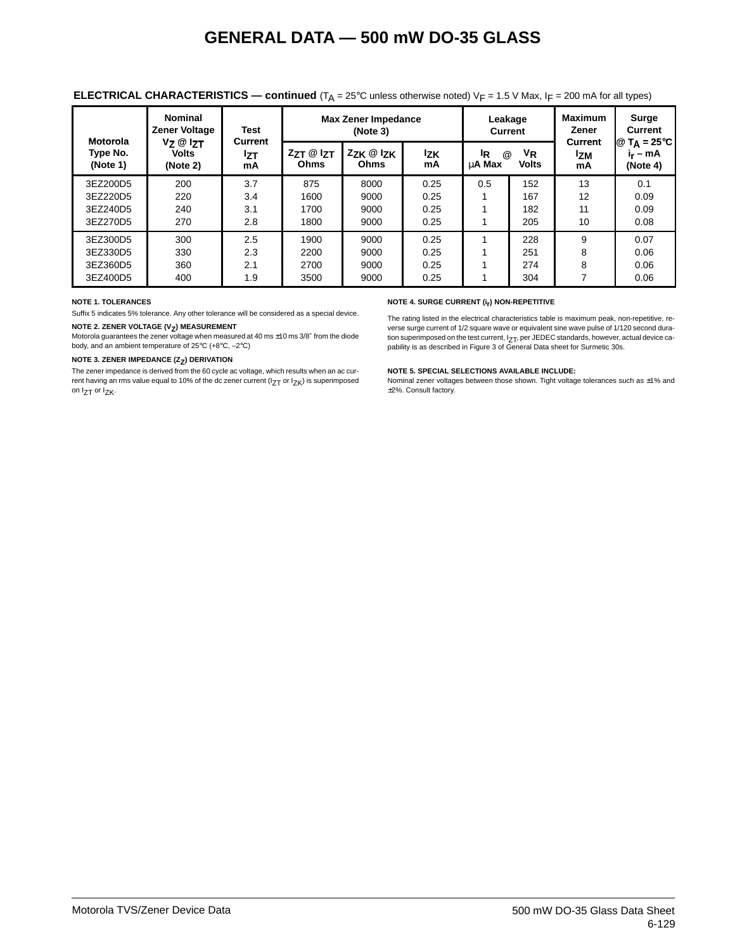| Motorola             | <b>Nominal</b><br><b>Zener Voltage</b>           | Test<br><b>Current</b> | <b>Max Zener Impedance</b> | Leakage<br>Current         |                  | <b>Maximum</b><br>Zener              | <b>Surge</b><br>Current |                                    |                                                              |
|----------------------|--------------------------------------------------|------------------------|----------------------------|----------------------------|------------------|--------------------------------------|-------------------------|------------------------------------|--------------------------------------------------------------|
| Type No.<br>(Note 1) | $V_Z \otimes I_{ZT}$<br><b>Volts</b><br>(Note 2) | <b>Izt</b><br>mA       | $ZZT \otimes IZT$<br>Ohms  | $Z_{ZK}$ @ $Z_{K}$<br>Ohms | <b>Izk</b><br>mA | $^{\textregistered}$<br>ΙR<br>uA Max | $V_{R}$<br><b>Volts</b> | <b>Current</b><br><b>Izm</b><br>mA | $\mathbb{Q}$ T <sub>A</sub> = 25°C<br>$i_r - mA$<br>(Note 4) |
| 3EZ200D5             | 200                                              | 3.7                    | 875                        | 8000                       | 0.25             | 0.5                                  | 152                     | 13                                 | 0.1                                                          |
| 3EZ220D5             | 220                                              | 3.4                    | 1600                       | 9000                       | 0.25             |                                      | 167                     | 12                                 | 0.09                                                         |
| 3EZ240D5             | 240                                              | 3.1                    | 1700                       | 9000                       | 0.25             |                                      | 182                     | 11                                 | 0.09                                                         |
| 3EZ270D5             | 270                                              | 2.8                    | 1800                       | 9000                       | 0.25             |                                      | 205                     | 10                                 | 0.08                                                         |
| 3EZ300D5             | 300                                              | 2.5                    | 1900                       | 9000                       | 0.25             |                                      | 228                     | 9                                  | 0.07                                                         |
| 3EZ330D5             | 330                                              | 2.3                    | 2200                       | 9000                       | 0.25             |                                      | 251                     | 8                                  | 0.06                                                         |
| 3EZ360D5             | 360                                              | 2.1                    | 2700                       | 9000                       | 0.25             |                                      | 274                     | 8                                  | 0.06                                                         |
| 3EZ400D5             | 400                                              | 1.9                    | 3500                       | 9000                       | 0.25             |                                      | 304                     |                                    | 0.06                                                         |

#### **ELECTRICAL CHARACTERISTICS — continued**  $(T_A = 25^\circ C$  unless otherwise noted)  $V_F = 1.5$  V Max,  $I_F = 200$  mA for all types)

#### **NOTE 1. TOLERANCES**

Suffix 5 indicates 5% tolerance. Any other tolerance will be considered as a special device.

#### **NOTE 2. ZENER VOLTAGE (V<sub>Z</sub>) MEASUREMENT**

Motorola guarantees the zener voltage when measured at 40 ms ±10 ms 3/8" from the diode body, and an ambient temperature of 25°C (+8°C, –2°C)

#### **NOTE 3. ZENER IMPEDANCE (Z<sub>Z</sub>) DERIVATION**

The zener impedance is derived from the 60 cycle ac voltage, which results when an ac current having an rms value equal to 10% of the dc zener current ( $I_{ZT}$  or  $I_{ZK}$ ) is superimposed on  $I_{ZT}$  or  $I_{ZK}$ .

#### **NOTE 4. SURGE CURRENT (ir) NON-REPETITIVE**

The rating listed in the electrical characteristics table is maximum peak, non-repetitive, reverse surge current of 1/2 square wave or equivalent sine wave pulse of 1/120 second duration superimposed on the test current,  $I_{ZT}$ , per JEDEC standards, however, actual device capability is as described in Figure 3 of General Data sheet for Surmetic 30s.

#### **NOTE 5. SPECIAL SELECTIONS AVAILABLE INCLUDE:**

Nominal zener voltages between those shown. Tight voltage tolerances such as ±1% and ±2%. Consult factory.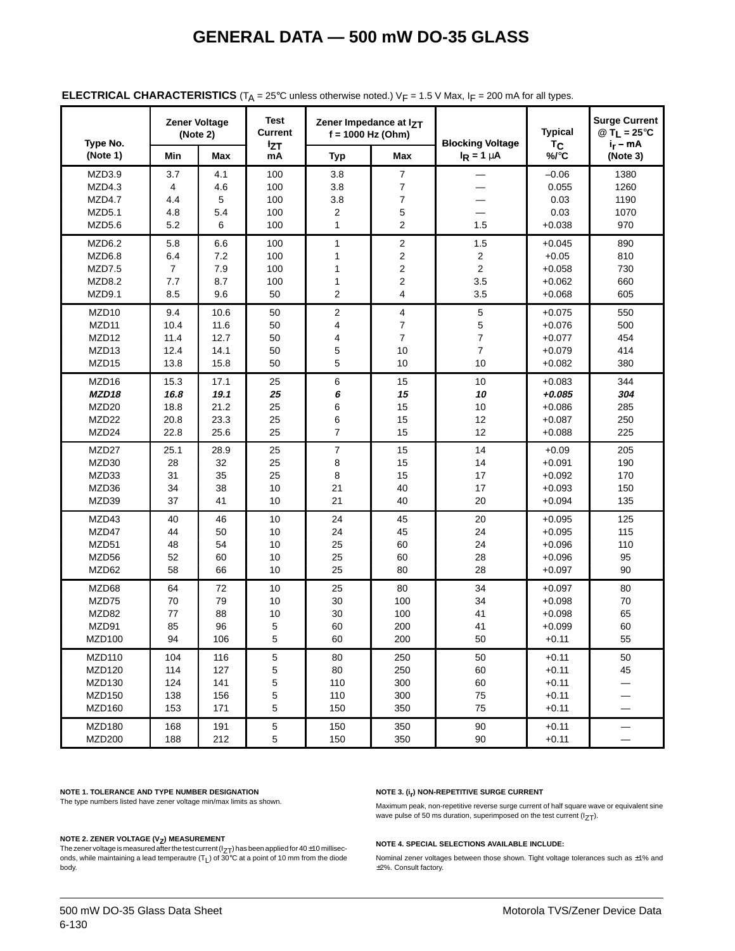| Type No.           |                | <b>Zener Voltage</b><br>(Note 2) | Test<br><b>Current</b><br><b>IzT</b> | Zener Impedance at IzT<br>$f = 1000$ Hz (Ohm) |                         | <b>Blocking Voltage</b> | <b>Typical</b><br>T <sub>C</sub> | <b>Surge Current</b><br>@ T <sub>L</sub> = 25 $\degree$ C<br>$i_r - mA$ |
|--------------------|----------------|----------------------------------|--------------------------------------|-----------------------------------------------|-------------------------|-------------------------|----------------------------------|-------------------------------------------------------------------------|
| (Note 1)           | Min            | Max                              | mA                                   | <b>Typ</b>                                    | Max                     | $I_R = 1 \mu A$         | %/°C                             | (Note 3)                                                                |
| MZD3.9             | 3.7            | 4.1                              | 100                                  | 3.8                                           | $\overline{7}$          |                         | $-0.06$                          | 1380                                                                    |
| MZD4.3             | 4              | 4.6                              | 100                                  | 3.8                                           | 7                       |                         | 0.055                            | 1260                                                                    |
| MZD4.7             | 4.4            | 5                                | 100                                  | 3.8                                           | $\overline{7}$          |                         | 0.03                             | 1190                                                                    |
| MZD5.1             | 4.8            | 5.4                              | 100                                  | 2                                             | 5                       |                         | 0.03                             | 1070                                                                    |
| MZD5.6             | 5.2            | 6                                | 100                                  | $\mathbf{1}$                                  | $\overline{2}$          | 1.5                     | $+0.038$                         | 970                                                                     |
| MZD6.2             | 5.8            | 6.6                              | 100                                  | $\mathbf{1}$                                  | $\overline{\mathbf{c}}$ | 1.5                     | $+0.045$                         | 890                                                                     |
| MZD6.8             | 6.4            | 7.2                              | 100                                  | 1                                             | $\overline{\mathbf{c}}$ | 2                       | $+0.05$                          | 810                                                                     |
| MZD7.5             | $\overline{7}$ | 7.9                              | 100                                  | 1                                             | $\overline{\mathbf{c}}$ | $\overline{c}$          | $+0.058$                         | 730                                                                     |
| MZD8.2             | 7.7            | 8.7                              | 100                                  | 1                                             | $\overline{\mathbf{c}}$ | 3.5                     | $+0.062$                         | 660                                                                     |
| MZD9.1             | 8.5            | 9.6                              | 50                                   | $\overline{2}$                                | $\overline{\mathbf{4}}$ | 3.5                     | $+0.068$                         | 605                                                                     |
| MZD <sub>10</sub>  | 9.4            | 10.6                             | 50                                   | $\overline{2}$                                | 4                       | 5                       | $+0.075$                         | 550                                                                     |
| MZD <sub>11</sub>  | 10.4           | 11.6                             | 50                                   | 4                                             | 7                       | 5                       | $+0.076$                         | 500                                                                     |
| MZD <sub>12</sub>  | 11.4           | 12.7                             | 50                                   | 4                                             | $\overline{7}$          | 7                       | $+0.077$                         | 454                                                                     |
| MZD <sub>13</sub>  | 12.4           | 14.1                             | 50                                   | 5                                             | 10                      | $\overline{7}$          | $+0.079$                         | 414                                                                     |
| MZD15              | 13.8           | 15.8                             | 50                                   | 5                                             | 10                      | 10                      | $+0.082$                         | 380                                                                     |
| MZD16              | 15.3           | 17.1                             | 25                                   | 6                                             | 15                      | 10                      | $+0.083$                         | 344                                                                     |
| MZD18              | 16.8           | 19.1                             | 25                                   | 6                                             | 15                      | 10                      | $+0.085$                         | 304                                                                     |
| MZD <sub>20</sub>  | 18.8           | 21.2                             | 25                                   | 6                                             | 15                      | 10                      | $+0.086$                         | 285                                                                     |
| MZD22              | 20.8           | 23.3                             | 25                                   | 6                                             | 15                      | 12                      | $+0.087$                         | 250                                                                     |
| MZD24              | 22.8           | 25.6                             | 25                                   | $\overline{7}$                                | 15                      | 12                      | $+0.088$                         | 225                                                                     |
| MZD27              | 25.1           | 28.9                             | 25                                   | 7                                             | 15                      | 14                      | $+0.09$                          | 205                                                                     |
| MZD30              | 28             | 32                               | 25                                   | 8                                             | 15                      | 14                      | $+0.091$                         | 190                                                                     |
| MZD33              | 31             | 35                               | 25                                   | 8                                             | 15                      | 17                      | $+0.092$                         | 170                                                                     |
| MZD36              | 34             | 38                               | 10                                   | 21                                            | 40                      | 17                      | $+0.093$                         | 150                                                                     |
| MZD39              | 37             | 41                               | 10                                   | 21                                            | 40                      | 20                      | $+0.094$                         | 135                                                                     |
| MZD43              | 40             | 46                               | 10                                   | 24                                            | 45                      | 20                      | $+0.095$                         | 125                                                                     |
| MZD47              | 44             | 50                               | 10                                   | 24                                            | 45                      | 24                      | $+0.095$                         | 115                                                                     |
| MZD51              | 48             | 54                               | 10                                   | 25                                            | 60                      | 24                      | $+0.096$                         | 110                                                                     |
| MZD56              | 52             | 60                               | 10                                   | 25                                            | 60                      | 28                      | $+0.096$                         | 95                                                                      |
| MZD62              | 58             | 66                               | 10                                   | 25                                            | 80                      | 28                      | $+0.097$                         | 90                                                                      |
| MZD68              | 64             | 72                               | 10                                   | 25                                            | 80                      | 34                      | $+0.097$                         | 80                                                                      |
| MZD75              | 70             | 79                               | 10                                   | 30                                            | 100                     | 34                      | $+0.098$                         | 70                                                                      |
| MZD82              | 77             | 88                               | 10                                   | 30                                            | 100                     | 41                      | $+0.098$                         | 65                                                                      |
| MZD91              | 85             | 96                               | 5                                    | 60                                            | 200                     | 41                      | $+0.099$                         | 60                                                                      |
| MZD100             | 94             | 106                              | 5                                    | 60                                            | 200                     | 50                      | $+0.11$                          | 55                                                                      |
| MZD110             | 104            | 116                              | 5                                    | 80                                            | 250                     | 50                      | $+0.11$                          | 50                                                                      |
| MZD120             | 114            | 127                              | 5                                    | 80                                            | 250                     | 60                      | $+0.11$                          | 45                                                                      |
| MZD130             | 124            | 141                              | 5                                    | 110                                           | 300                     | 60                      | $+0.11$                          |                                                                         |
| MZD150             | 138            | 156                              | 5                                    | 110                                           | 300                     | 75                      | $+0.11$                          |                                                                         |
| MZD160             | 153            | 171                              | 5                                    | 150                                           | 350                     | 75                      | $+0.11$                          |                                                                         |
| MZD <sub>180</sub> | 168            | 191                              | 5                                    | 150                                           | 350                     | 90                      | $+0.11$                          | —                                                                       |
| <b>MZD200</b>      | 188            | 212                              | 5                                    | 150                                           | 350                     | 90                      | $+0.11$                          |                                                                         |

#### **ELECTRICAL CHARACTERISTICS** ( $T_A$  = 25°C unless otherwise noted.)  $V_F$  = 1.5 V Max,  $I_F$  = 200 mA for all types.

#### **NOTE 1. TOLERANCE AND TYPE NUMBER DESIGNATION**

The type numbers listed have zener voltage min/max limits as shown.

#### **NOTE 2. ZENER VOLTAGE (V<sub>Z</sub>) MEASUREMENT**

The zener voltage is measured after the test current ( $I_{ZT}$ ) has been applied for 40±10 milliseconds, while maintaining a lead temperautre  $(T_L)$  of  $30^{\circ}$ C at a point of 10 mm from the diode body.

#### **NOTE 3. (i<sub>r</sub>) NON-REPETITIVE SURGE CURRENT**

Maximum peak, non-repetitive reverse surge current of half square wave or equivalent sine wave pulse of 50 ms duration, superimposed on the test current  $(1_{ZT})$ .

#### **NOTE 4. SPECIAL SELECTIONS AVAILABLE INCLUDE:**

Nominal zener voltages between those shown. Tight voltage tolerances such as  $\pm 1\%$  and ±2%. Consult factory.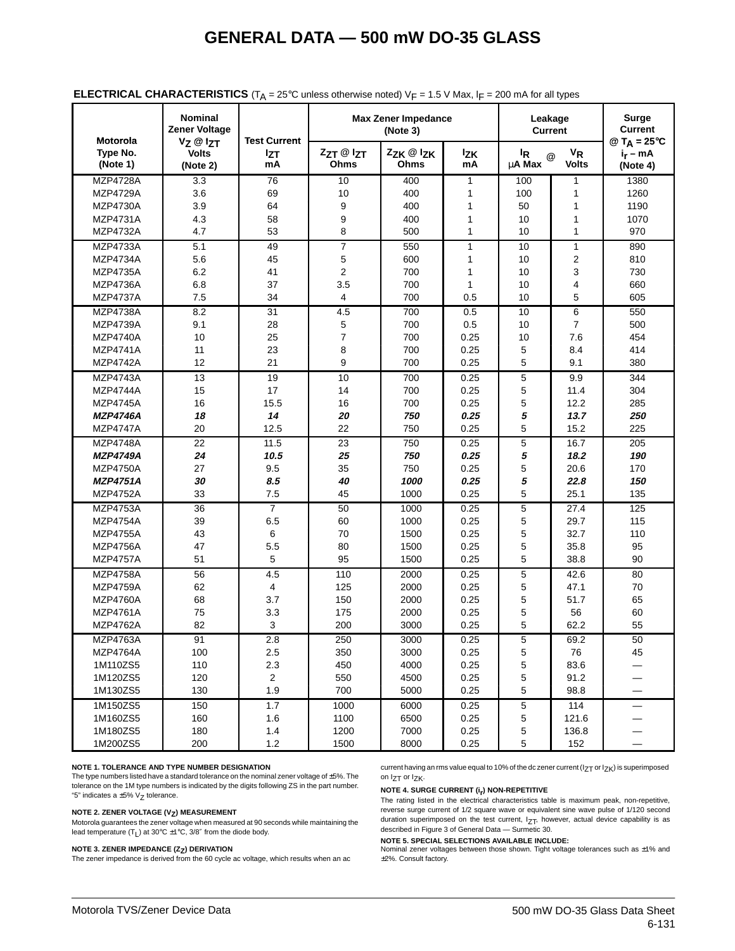| Motorola             | <b>Nominal</b><br><b>Zener Voltage</b> | <b>Test Current</b> |                   | <b>Max Zener Impedance</b><br>(Note 3) |                  | Leakage<br><b>Current</b>        | Surge<br>Current           |                                                          |
|----------------------|----------------------------------------|---------------------|-------------------|----------------------------------------|------------------|----------------------------------|----------------------------|----------------------------------------------------------|
| Type No.<br>(Note 1) | Vz @ IzT<br>Volts<br>(Note 2)          | <b>Izt</b><br>mA    | ZzT @ IzT<br>Ohms | ZZK @ IZK<br>Ohms                      | <b>Izk</b><br>mA | l <sub>R</sub><br>μ <b>A Max</b> | $V_R$<br>@<br><b>Volts</b> | @ $T_A = 25^{\circ}C$<br>i <sub>r</sub> – mA<br>(Note 4) |
| <b>MZP4728A</b>      | 3.3                                    | 76                  | 10                | 400                                    | 1                | 100                              | 1                          | 1380                                                     |
| <b>MZP4729A</b>      | 3.6                                    | 69                  | 10                | 400                                    | 1                | 100                              | 1                          | 1260                                                     |
| MZP4730A             | 3.9                                    | 64                  | 9                 | 400                                    | 1                | 50                               | 1                          | 1190                                                     |
| MZP4731A             | 4.3                                    | 58                  | 9                 | 400                                    | 1                | 10                               | 1                          | 1070                                                     |
| <b>MZP4732A</b>      | 4.7                                    | 53                  | 8                 | 500                                    | 1                | 10                               | $\mathbf{1}$               | 970                                                      |
| <b>MZP4733A</b>      | 5.1                                    | 49                  | $\overline{7}$    | 550                                    | $\mathbf{1}$     | 10                               | $\mathbf{1}$               | 890                                                      |
| <b>MZP4734A</b>      | 5.6                                    | 45                  | 5                 | 600                                    | 1                | 10                               | $\overline{\mathbf{c}}$    | 810                                                      |
| MZP4735A             | 6.2                                    | 41                  | 2                 | 700                                    | 1                | 10                               | 3                          | 730                                                      |
| <b>MZP4736A</b>      | 6.8                                    | 37                  | 3.5               | 700                                    | 1                | 10                               | $\overline{4}$             | 660                                                      |
| <b>MZP4737A</b>      | 7.5                                    | 34                  | 4                 | 700                                    | 0.5              | 10                               | 5                          | 605                                                      |
| <b>MZP4738A</b>      | 8.2                                    | 31                  | 4.5               | 700                                    | 0.5              | 10                               | 6                          | 550                                                      |
| MZP4739A             | 9.1                                    | 28                  | 5                 | 700                                    | 0.5              | 10                               | $\overline{7}$             | 500                                                      |
| <b>MZP4740A</b>      | 10                                     | 25                  | 7                 | 700                                    | 0.25             | 10                               | 7.6                        | 454                                                      |
| <b>MZP4741A</b>      | 11                                     | 23                  | 8                 | 700                                    | 0.25             | 5                                | 8.4                        | 414                                                      |
| <b>MZP4742A</b>      | 12                                     | 21                  | 9                 | 700                                    | 0.25             | 5                                | 9.1                        | 380                                                      |
| <b>MZP4743A</b>      | 13                                     | 19                  | 10                | 700                                    | 0.25             | $\mathbf 5$                      | 9.9                        | 344                                                      |
| <b>MZP4744A</b>      | 15                                     | 17                  | 14                | 700                                    | 0.25             | 5                                | 11.4                       | 304                                                      |
| <b>MZP4745A</b>      | 16                                     | 15.5                | 16                | 700                                    | 0.25             | 5                                | 12.2                       | 285                                                      |
| <b>MZP4746A</b>      | 18                                     | 14                  | 20                | 750                                    | 0.25             | 5                                | 13.7                       | 250                                                      |
| <b>MZP4747A</b>      | 20                                     | 12.5                | 22                | 750                                    | 0.25             | 5                                | 15.2                       | 225                                                      |
| <b>MZP4748A</b>      | 22                                     | 11.5                | 23                | 750                                    | 0.25             | 5                                | 16.7                       | 205                                                      |
| <b>MZP4749A</b>      | 24                                     | 10.5                | 25                | 750                                    | 0.25             | 5                                | 18.2                       | 190                                                      |
| <b>MZP4750A</b>      | 27                                     | 9.5                 | 35                | 750                                    | 0.25             | 5                                | 20.6                       | 170                                                      |
| <b>MZP4751A</b>      | 30                                     | 8.5                 | 40                | 1000                                   | 0.25             | 5                                | 22.8                       | 150                                                      |
| <b>MZP4752A</b>      | 33                                     | 7.5                 | 45                | 1000                                   | 0.25             | 5                                | 25.1                       | 135                                                      |
| <b>MZP4753A</b>      | 36                                     | $\overline{7}$      | 50                | 1000                                   | 0.25             | 5                                | 27.4                       | 125                                                      |
| <b>MZP4754A</b>      | 39                                     | 6.5                 | 60                | 1000                                   | 0.25             | 5                                | 29.7                       | 115                                                      |
| <b>MZP4755A</b>      | 43                                     | 6                   | 70                | 1500                                   | 0.25             | 5                                | 32.7                       | 110                                                      |
| <b>MZP4756A</b>      | 47                                     | 5.5                 | 80                | 1500                                   | 0.25             | 5                                | 35.8                       | 95                                                       |
| <b>MZP4757A</b>      | 51                                     | 5                   | 95                | 1500                                   | 0.25             | 5                                | 38.8                       | 90                                                       |
| <b>MZP4758A</b>      | 56                                     | 4.5                 | 110               | 2000                                   | 0.25             | 5                                | 42.6                       | 80                                                       |
| <b>MZP4759A</b>      | 62                                     | 4                   | 125               | 2000                                   | 0.25             | 5                                | 47.1                       | 70                                                       |
| <b>MZP4760A</b>      | 68                                     | 3.7                 | 150               | 2000                                   | 0.25             | 5                                | 51.7                       | 65                                                       |
| MZP4761A             | 75                                     | 3.3                 | 175               | 2000                                   | 0.25             | 5                                | 56                         | 60                                                       |
| MZP4762A             | 82                                     | 3                   | 200               | 3000                                   | 0.25             | 5                                | 62.2                       | 55                                                       |
| MZP4763A             | 91                                     | $2.8\,$             | 250               | 3000                                   | 0.25             | 5                                | 69.2                       | 50                                                       |
| <b>MZP4764A</b>      | 100                                    | 2.5                 | 350               | 3000                                   | 0.25             | 5                                | 76                         | 45                                                       |
| 1M110ZS5             | 110                                    | 2.3                 | 450               | 4000                                   | 0.25             | 5                                | 83.6                       |                                                          |
| 1M120ZS5             | 120                                    | $\mathbf{2}$        | 550               | 4500                                   | 0.25             | 5                                | 91.2                       |                                                          |
| 1M130ZS5             | 130                                    | 1.9                 | 700               | 5000                                   | 0.25             | 5                                | 98.8                       |                                                          |
| 1M150ZS5             | 150                                    | 1.7                 | 1000              | 6000                                   | 0.25             | $\mathbf 5$                      | 114                        |                                                          |
| 1M160ZS5             | 160                                    | 1.6                 | 1100              | 6500                                   | 0.25             | 5                                | 121.6                      |                                                          |
| 1M180ZS5             | 180                                    | 1.4                 | 1200              | 7000                                   | 0.25             | 5                                | 136.8                      |                                                          |
| 1M200ZS5             | 200                                    | 1.2                 | 1500              | 8000                                   | 0.25             | $\,$ 5 $\,$                      | 152                        |                                                          |

#### **ELECTRICAL CHARACTERISTICS** ( $T_A$  = 25°C unless otherwise noted)  $V_F$  = 1.5 V Max,  $I_F$  = 200 mA for all types

#### **NOTE 1. TOLERANCE AND TYPE NUMBER DESIGNATION**

The type numbers listed have a standard tolerance on the nominal zener voltage of ±5%. The tolerance on the 1M type numbers is indicated by the digits following ZS in the part number. "5" indicates a  $\pm$ 5% V<sub>7</sub> tolerance.

#### **NOTE 2. ZENER VOLTAGE (V<sub>Z</sub>) MEASUREMENT**

Motorola guarantees the zener voltage when measured at 90 seconds while maintaining the lead temperature  $(T_L)$  at 30°C  $\pm 1$ °C, 3/8″ from the diode body.

#### **NOTE 3. ZENER IMPEDANCE (Z<sub>Z</sub>) DERIVATION**

The zener impedance is derived from the 60 cycle ac voltage, which results when an ac

current having an rms value equal to 10% of the dc zener current ( $I_{ZT}$  or  $I_{ZK}$ ) is superimposed on I<sub>ZT</sub> or I<sub>ZK</sub>.

#### **NOTE 4. SURGE CURRENT (ir) NON-REPETITIVE**

The rating listed in the electrical characteristics table is maximum peak, non-repetitive, reverse surge current of 1/2 square wave or equivalent sine wave pulse of 1/120 second duration superimposed on the test current,  $I_{ZT}$ , however, actual device capability is as described in Figure 3 of General Data — Surmetic 30.

#### **NOTE 5. SPECIAL SELECTIONS AVAILABLE INCLUDE:**

Nominal zener voltages between those shown. Tight voltage tolerances such as ±1% and ±2%. Consult factory.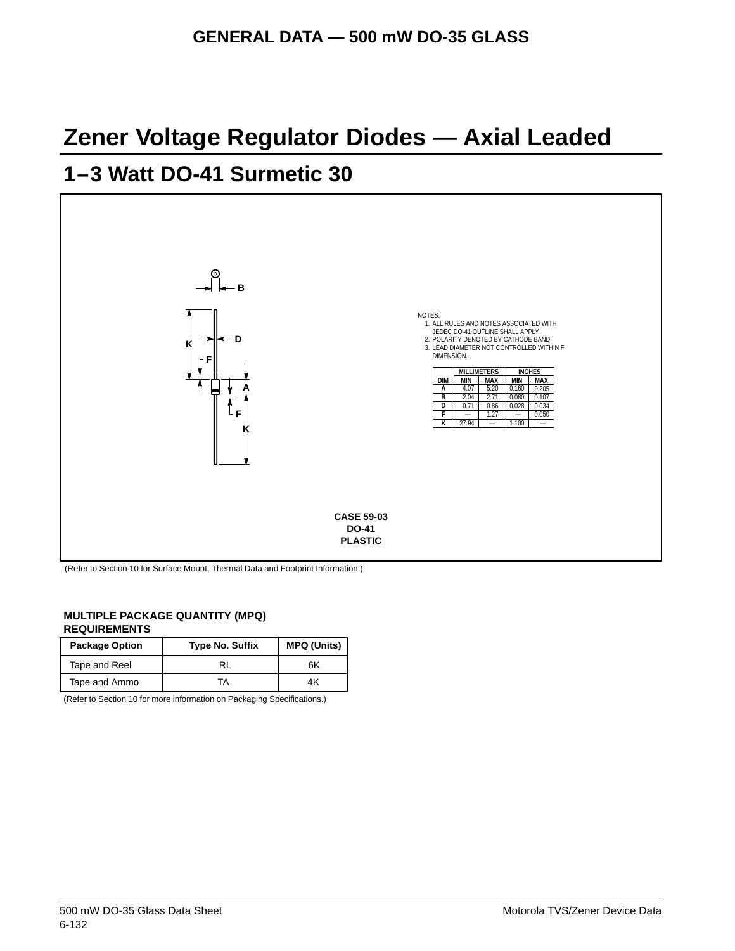## **Zener Voltage Regulator Diodes — Axial Leaded**

## **1–3 Watt DO-41 Surmetic 30**



(Refer to Section 10 for Surface Mount, Thermal Data and Footprint Information.)

#### **MULTIPLE PACKAGE QUANTITY (MPQ) REQUIREMENTS**

| <b>Package Option</b> | <b>Type No. Suffix</b> | <b>MPQ (Units)</b> |
|-----------------------|------------------------|--------------------|
| Tape and Reel         |                        | 6K                 |
| Tape and Ammo         | ГA                     | 4K                 |

(Refer to Section 10 for more information on Packaging Specifications.)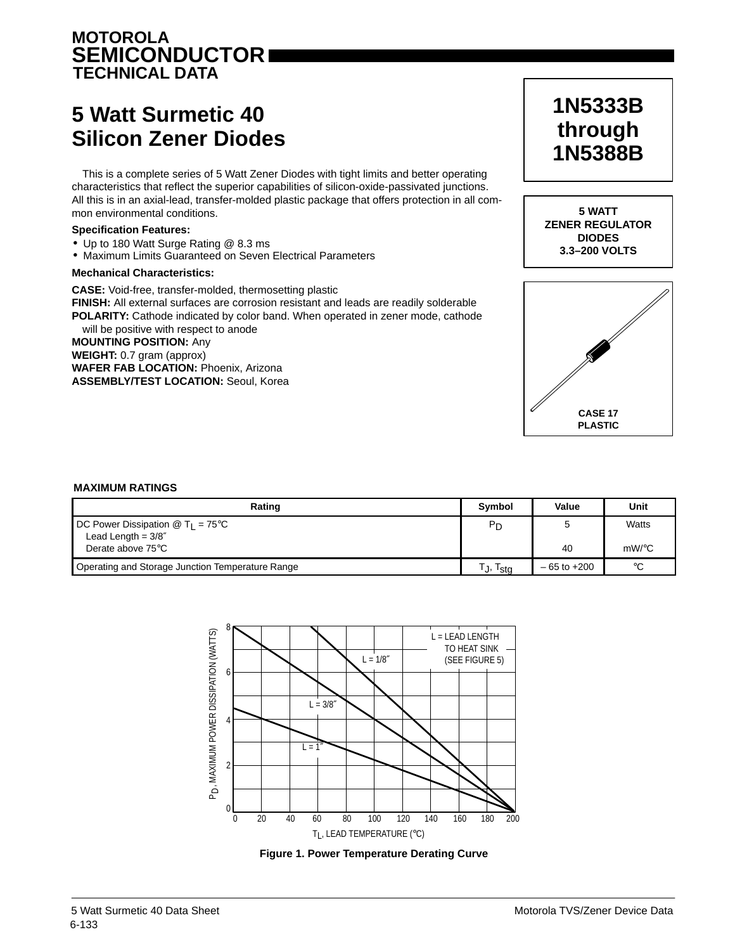## **MOTOROLA SEMICONDUCTOR TECHNICAL DATA**

## **5 Watt Surmetic 40 Silicon Zener Diodes**

This is a complete series of 5 Watt Zener Diodes with tight limits and better operating characteristics that reflect the superior capabilities of silicon-oxide-passivated junctions. All this is in an axial-lead, transfer-molded plastic package that offers protection in all common environmental conditions.

#### **Specification Features:**

- Up to 180 Watt Surge Rating @ 8.3 ms
- Maximum Limits Guaranteed on Seven Electrical Parameters

#### **Mechanical Characteristics:**

**CASE:** Void-free, transfer-molded, thermosetting plastic **FINISH:** All external surfaces are corrosion resistant and leads are readily solderable **POLARITY:** Cathode indicated by color band. When operated in zener mode, cathode will be positive with respect to anode

**MOUNTING POSITION:** Any **WEIGHT:** 0.7 gram (approx) **WAFER FAB LOCATION:** Phoenix, Arizona **ASSEMBLY/TEST LOCATION:** Seoul, Korea

## **1N5333B through 1N5388B**





#### **MAXIMUM RATINGS**

| Rating                                                                       | Symbol         | Value           | Unit        |
|------------------------------------------------------------------------------|----------------|-----------------|-------------|
| <b>DC Power Dissipation @ T<sub>1</sub> = 75 °C</b><br>Lead Length = $3/8''$ | P <sub>D</sub> |                 | Watts       |
| Derate above 75°C                                                            |                | 40              | $mW$ /°C    |
| Operating and Storage Junction Temperature Range                             | Г.,<br>Ista    | $-65$ to $+200$ | $^{\circ}C$ |



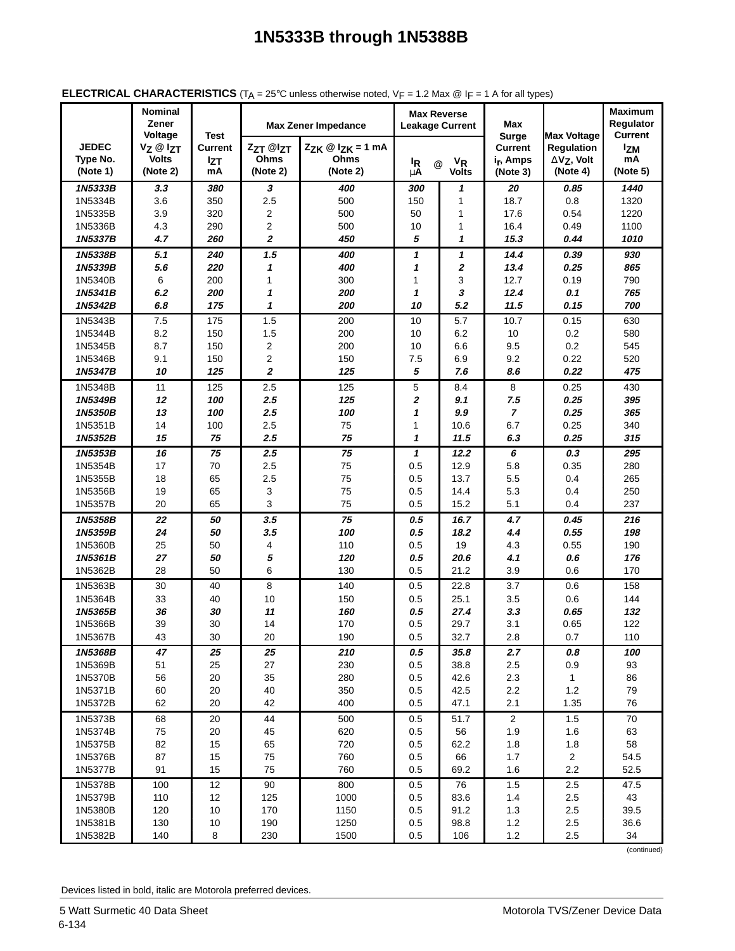|                                      | <b>Nominal</b><br>Zener                         |                                                   |                              | <b>Max Zener Impedance</b>                         | <b>Max Reverse</b><br><b>Leakage Current</b> |                                      | Max                                                                 |                                                                          | <b>Maximum</b><br>Regulator             |
|--------------------------------------|-------------------------------------------------|---------------------------------------------------|------------------------------|----------------------------------------------------|----------------------------------------------|--------------------------------------|---------------------------------------------------------------------|--------------------------------------------------------------------------|-----------------------------------------|
| <b>JEDEC</b><br>Type No.<br>(Note 1) | Voltage<br>Vz @ Izt<br><b>Volts</b><br>(Note 2) | <b>Test</b><br><b>Current</b><br><b>Izt</b><br>mA | ZzT @lzT<br>Ohms<br>(Note 2) | $Z_{ZK} \otimes I_{ZK} = 1$ mA<br>Ohms<br>(Note 2) | <sup>I</sup> R<br>μA                         | $V_R$<br>$\circleda$<br><b>Volts</b> | <b>Surge</b><br><b>Current</b><br>i <sub>r</sub> , Amps<br>(Note 3) | <b>Max Voltage</b><br><b>Regulation</b><br>$\Delta$ Vz, Volt<br>(Note 4) | Current<br><b>Izm</b><br>mA<br>(Note 5) |
| 1N5333B                              | 3.3                                             | 380                                               | 3                            | 400                                                | 300                                          | 1                                    | 20                                                                  | 0.85                                                                     | 1440                                    |
| 1N5334B                              | 3.6                                             | 350                                               | 2.5                          | 500                                                | 150                                          | 1                                    | 18.7                                                                | 0.8                                                                      | 1320                                    |
| 1N5335B                              | 3.9                                             | 320                                               | 2                            | 500                                                | 50                                           | 1                                    | 17.6                                                                | 0.54                                                                     | 1220                                    |
| 1N5336B                              | 4.3                                             | 290                                               | 2                            | 500                                                | 10                                           | 1                                    | 16.4                                                                | 0.49                                                                     | 1100                                    |
| 1N5337B                              | 4.7                                             | 260                                               | $\boldsymbol{2}$             | 450                                                | 5                                            | 1                                    | 15.3                                                                | 0.44                                                                     | 1010                                    |
| 1N5338B                              | 5.1                                             | 240                                               | 1.5                          | 400                                                | 1                                            | $\boldsymbol{\mathcal{L}}$           | 14.4                                                                | 0.39                                                                     | 930                                     |
| 1N5339B                              | 5.6                                             | 220                                               | 1                            | 400                                                | 1                                            | $\pmb{2}$                            | 13.4                                                                | 0.25                                                                     | 865                                     |
| 1N5340B                              | 6                                               | 200                                               | $\mathbf{1}$                 | 300                                                | 1                                            | 3                                    | 12.7                                                                | 0.19                                                                     | 790                                     |
| 1N5341B                              | 6.2                                             | 200                                               | 1                            | 200                                                | 1                                            | 3                                    | 12.4                                                                | 0.1                                                                      | 765                                     |
| 1N5342B                              | 6.8                                             | 175                                               | $\boldsymbol{\mathcal{L}}$   | 200                                                | 10                                           | 5.2                                  | 11.5                                                                | 0.15                                                                     | 700                                     |
| 1N5343B                              | 7.5                                             | 175                                               | 1.5                          | 200                                                | 10                                           | 5.7                                  | 10.7                                                                | 0.15                                                                     | 630                                     |
| 1N5344B                              | 8.2                                             | 150                                               | 1.5                          | 200                                                | 10                                           | 6.2                                  | 10                                                                  | 0.2                                                                      | 580                                     |
| 1N5345B                              | 8.7                                             | 150                                               | 2                            | 200                                                | 10                                           | 6.6                                  | 9.5                                                                 | 0.2                                                                      | 545                                     |
| 1N5346B                              | 9.1                                             | 150                                               | $\overline{c}$               | 150                                                | 7.5                                          | 6.9                                  | 9.2                                                                 | 0.22                                                                     | 520                                     |
| 1N5347B                              | 10                                              | 125                                               | $\boldsymbol{2}$             | 125                                                | 5                                            | 7.6                                  | 8.6                                                                 | 0.22                                                                     | 475                                     |
| 1N5348B                              | 11                                              | 125                                               | 2.5                          | 125                                                | 5                                            | 8.4                                  | 8                                                                   | 0.25                                                                     | 430                                     |
| 1N5349B                              | 12                                              | 100                                               | 2.5                          | 125                                                | 2                                            | 9.1                                  | 7.5                                                                 | 0.25                                                                     | 395                                     |
| 1N5350B                              | 13                                              | 100                                               | 2.5                          | 100                                                | 1                                            | 9.9                                  | $\overline{7}$                                                      | 0.25                                                                     | 365                                     |
| 1N5351B                              | 14                                              | 100                                               | 2.5                          | 75                                                 | 1                                            | 10.6                                 | 6.7                                                                 | 0.25                                                                     | 340                                     |
| 1N5352B                              | 15                                              | 75                                                | 2.5                          | 75                                                 | 1                                            | 11.5                                 | 6.3                                                                 | 0.25                                                                     | 315                                     |
| 1N5353B                              | 16                                              | 75                                                | 2.5                          | 75                                                 | 1                                            | 12.2                                 | 6                                                                   | $0.3\,$                                                                  | 295                                     |
| 1N5354B                              | 17                                              | 70                                                | 2.5                          | 75                                                 | 0.5                                          | 12.9                                 | 5.8                                                                 | 0.35                                                                     | 280                                     |
| 1N5355B                              | 18                                              | 65                                                | 2.5                          | 75                                                 | 0.5                                          | 13.7                                 | 5.5                                                                 | 0.4                                                                      | 265                                     |
| 1N5356B                              | 19                                              | 65                                                | 3                            | 75                                                 | 0.5                                          | 14.4                                 | 5.3                                                                 | 0.4                                                                      | 250                                     |
| 1N5357B                              | 20                                              | 65                                                | 3                            | 75                                                 | 0.5                                          | 15.2                                 | 5.1                                                                 | 0.4                                                                      | 237                                     |
| 1N5358B                              | 22                                              | 50                                                | 3.5                          | 75                                                 | 0.5                                          | 16.7                                 | 4.7                                                                 | 0.45                                                                     | 216                                     |
| 1N5359B                              | 24                                              | 50                                                | 3.5                          | 100                                                | 0.5                                          | 18.2                                 | 4.4                                                                 | 0.55                                                                     | 198                                     |
| 1N5360B                              | 25                                              | 50                                                | 4                            | 110                                                | 0.5                                          | 19                                   | 4.3                                                                 | 0.55                                                                     | 190                                     |
| 1N5361B                              | 27                                              | 50                                                | 5                            | 120                                                | 0.5                                          | 20.6                                 | 4.1                                                                 | 0.6                                                                      | 176                                     |
| 1N5362B                              | 28                                              | 50                                                | 6                            | 130                                                | 0.5                                          | 21.2                                 | 3.9                                                                 | 0.6                                                                      | 170                                     |
| 1N5363B                              | 30                                              | 40                                                | 8                            | 140                                                | 0.5                                          | 22.8                                 | 3.7                                                                 | 0.6                                                                      | 158                                     |
| 1N5364B                              | 33                                              | 40                                                | 10                           | 150                                                | 0.5                                          | 25.1                                 | 3.5                                                                 | 0.6                                                                      | 144                                     |
| 1N5365B                              | 36                                              | 30                                                | 11                           | 160                                                | 0.5                                          | 27.4                                 | 3.3                                                                 | 0.65                                                                     | 132                                     |
| 1N5366B                              | 39                                              | 30                                                | 14                           | 170                                                | 0.5                                          | 29.7                                 | 3.1                                                                 | 0.65                                                                     | 122                                     |
| 1N5367B                              | 43                                              | 30                                                | 20                           | 190                                                | 0.5                                          | 32.7                                 | 2.8                                                                 | 0.7                                                                      | 110                                     |
| 1N5368B                              | 47                                              | 25                                                | 25                           | 210                                                | 0.5                                          | 35.8                                 | 2.7                                                                 | 0.8                                                                      | 100                                     |
| 1N5369B                              | 51                                              | 25                                                | 27                           | 230                                                | 0.5                                          | 38.8                                 | 2.5                                                                 | 0.9                                                                      | 93                                      |
| 1N5370B                              | 56                                              | 20                                                | 35                           | 280                                                | 0.5                                          | 42.6                                 | 2.3                                                                 | $\mathbf{1}$                                                             | 86                                      |
| 1N5371B                              | 60                                              | 20                                                | 40                           | 350                                                | 0.5                                          | 42.5                                 | 2.2                                                                 | $1.2$                                                                    | 79                                      |
| 1N5372B                              | 62                                              | 20                                                | 42                           | 400                                                | 0.5                                          | 47.1                                 | 2.1                                                                 | 1.35                                                                     | 76                                      |
| 1N5373B                              | 68                                              | 20                                                | 44                           | 500                                                | 0.5                                          | 51.7                                 | $\overline{2}$                                                      | 1.5                                                                      | $70\,$                                  |
| 1N5374B                              | 75                                              | 20                                                | 45                           | 620                                                | 0.5                                          | 56                                   | 1.9                                                                 | 1.6                                                                      | 63                                      |
| 1N5375B                              | 82                                              | 15                                                | 65                           | 720                                                | 0.5                                          | 62.2                                 | $1.8$                                                               | 1.8                                                                      | 58                                      |
| 1N5376B                              | 87                                              | 15                                                | 75                           | 760                                                | 0.5                                          | 66                                   | 1.7                                                                 | $\overline{a}$                                                           | 54.5                                    |
| 1N5377B                              | 91                                              | 15                                                | 75                           | 760                                                | 0.5                                          | 69.2                                 | 1.6                                                                 | $2.2\,$                                                                  | 52.5                                    |
| 1N5378B                              | 100                                             | 12                                                | 90                           | 800                                                | 0.5                                          | 76                                   | 1.5                                                                 | $2.5\,$                                                                  | 47.5                                    |
| 1N5379B                              | 110                                             | 12                                                | 125                          | 1000                                               | $0.5\,$                                      | 83.6                                 | 1.4                                                                 | $2.5\,$                                                                  | 43                                      |
| 1N5380B                              | 120                                             | 10                                                | 170                          | 1150                                               | 0.5                                          | 91.2                                 | 1.3                                                                 | $2.5\,$                                                                  | 39.5                                    |
| 1N5381B                              | 130                                             | 10                                                | 190                          | 1250                                               | 0.5                                          | 98.8                                 | $1.2$                                                               | 2.5                                                                      | 36.6                                    |
| 1N5382B                              | 140                                             | 8                                                 | 230                          | 1500                                               | 0.5                                          | 106                                  | 1.2                                                                 | 2.5                                                                      | 34                                      |

#### **ELECTRICAL CHARACTERISTICS**  $(T_A = 25^\circ C$  unless otherwise noted,  $V_F = 1.2$  Max  $@$  I<sub>F</sub> = 1 A for all types)

(continued)

Devices listed in bold, italic are Motorola preferred devices.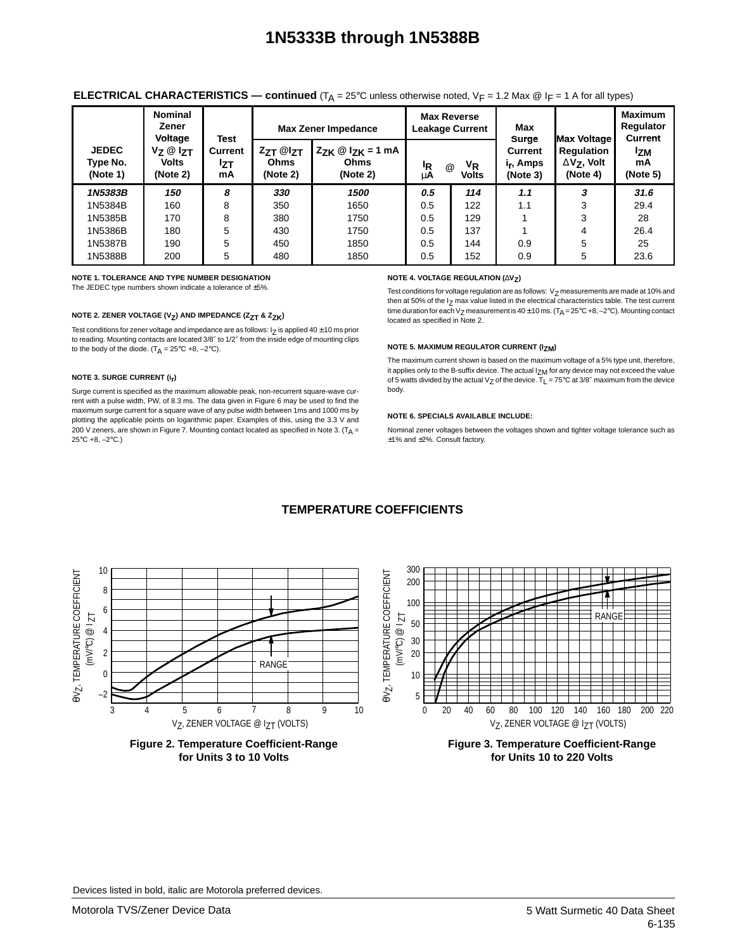|                                      | <b>Nominal</b><br>Zener<br>Voltage         | <b>Test</b>          |                              | <b>Max Zener Impedance</b>                         |          | <b>Max Reverse</b><br><b>Leakage Current</b> | Max<br><b>Surge</b>                                 | <b>IMax Voltage</b>                                             | <b>Maximum</b><br><b>Regulator</b><br><b>Current</b> |
|--------------------------------------|--------------------------------------------|----------------------|------------------------------|----------------------------------------------------|----------|----------------------------------------------|-----------------------------------------------------|-----------------------------------------------------------------|------------------------------------------------------|
| <b>JEDEC</b><br>Type No.<br>(Note 1) | $V_Z @ V_{ZT}$<br><b>Volts</b><br>(Note 2) | Current<br>Izt<br>mA | ZzT @IzT<br>Ohms<br>(Note 2) | $Z_{ZK} \otimes I_{ZK} = 1$ mA<br>Ohms<br>(Note 2) | ΙŖ<br>μA | VR<br>@<br><b>Volts</b>                      | <b>Current</b><br>i <sub>r</sub> , Amps<br>(Note 3) | <b>Regulation</b><br>$\Delta$ V <sub>7</sub> , Volt<br>(Note 4) | <sup>1</sup> ZM<br>mA<br>(Note 5)                    |
| 1N5383B                              | 150                                        | 8                    | 330                          | 1500                                               | 0.5      | 114                                          | 1.1                                                 | 3                                                               | 31.6                                                 |
| 1N5384B                              | 160                                        | 8                    | 350                          | 1650                                               | 0.5      | 122                                          | 1.1                                                 | 3                                                               | 29.4                                                 |
| 1N5385B                              | 170                                        | 8                    | 380                          | 1750                                               | 0.5      | 129                                          |                                                     | 3                                                               | 28                                                   |
| 1N5386B                              | 180                                        | 5                    | 430                          | 1750                                               | 0.5      | 137                                          |                                                     | 4                                                               | 26.4                                                 |
| 1N5387B                              | 190                                        | 5                    | 450                          | 1850                                               | 0.5      | 144                                          | 0.9                                                 | 5                                                               | 25                                                   |
| 1N5388B                              | 200                                        | 5                    | 480                          | 1850                                               | 0.5      | 152                                          | 0.9                                                 | 5                                                               | 23.6                                                 |

#### **ELECTRICAL CHARACTERISTICS — continued**  $(T_A = 25^\circ C$  unless otherwise noted,  $V_F = 1.2$  Max @ I<sub>F</sub> = 1 A for all types)

**NOTE 1. TOLERANCE AND TYPE NUMBER DESIGNATION**

The JEDEC type numbers shown indicate a tolerance of ±5%.

#### **NOTE 2. ZENER VOLTAGE (V<sub>Z</sub>) AND IMPEDANCE (Z<sub>ZT</sub> & Z<sub>ZK</sub>)**

Test conditions for zener voltage and impedance are as follows:  $I$ <sub>7</sub> is applied 40  $\pm$  10 ms prior to reading. Mounting contacts are located 3/8″ to 1/2″ from the inside edge of mounting clips to the body of the diode.  $(T_A = 25^{\circ}C + 8, -2^{\circ}C)$ .

#### **NOTE 3. SURGE CURRENT (ir)**

Surge current is specified as the maximum allowable peak, non-recurrent square-wave current with a pulse width, PW, of 8.3 ms. The data given in Figure 6 may be used to find the maximum surge current for a square wave of any pulse width between 1ms and 1000 ms by plotting the applicable points on logarithmic paper. Examples of this, using the 3.3 V and 200 V zeners, are shown in Figure 7. Mounting contact located as specified in Note 3. ( $T_A$  = 25°C +8, –2°C.)

#### **NOTE 4. VOLTAGE REGULATION (∆V<sub>Z</sub>)**

Test conditions for voltage regulation are as follows:  $V_Z$  measurements are made at 10% and then at 50% of the  $I_z$  max value listed in the electrical characteristics table. The test current time duration for each V<sub>Z</sub> measurement is 40  $\pm$  10 ms. (T<sub>A</sub> = 25°C +8, -2°C). Mounting contact located as specified in Note 2.

#### **NOTE 5. MAXIMUM REGULATOR CURRENT (IZM)**

The maximum current shown is based on the maximum voltage of a 5% type unit, therefore, it applies only to the B-suffix device. The actual  $I_{ZM}$  for any device may not exceed the value of 5 watts divided by the actual V<sub>Z</sub> of the device.  $T_{L} = 75^{\circ}$ C at 3/8" maximum from the device body.

#### **NOTE 6. SPECIALS AVAILABLE INCLUDE:**

Nominal zener voltages between the voltages shown and tighter voltage tolerance such as ±1% and ±2%. Consult factory.



#### **TEMPERATURE COEFFICIENTS**



Devices listed in bold, italic are Motorola preferred devices.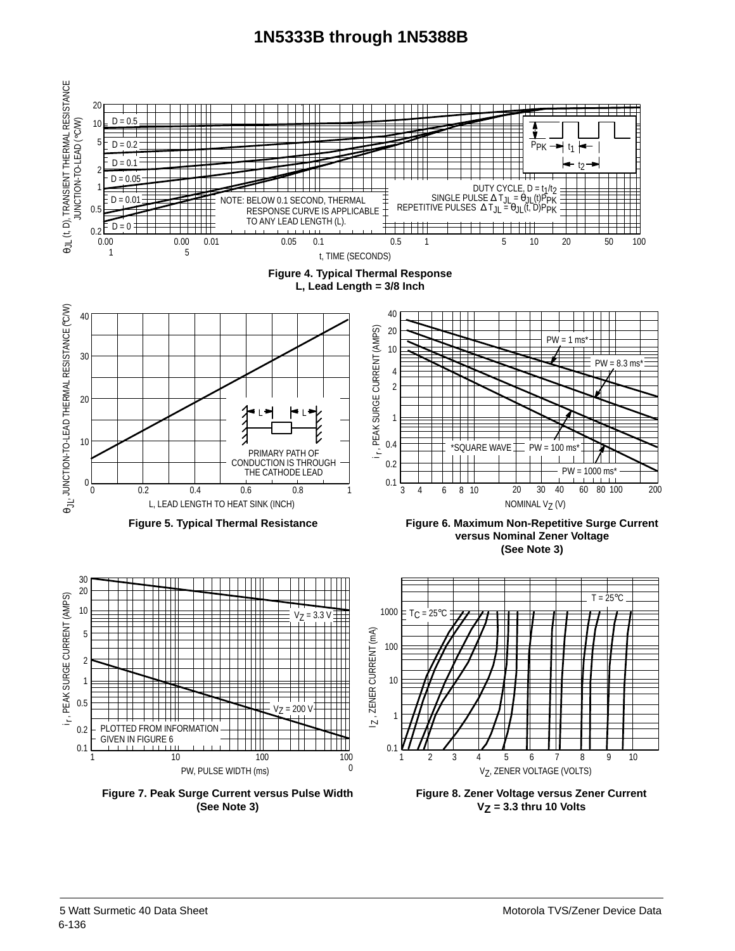

**VZ = 3.3 thru 10 Volts**

**(See Note 3)**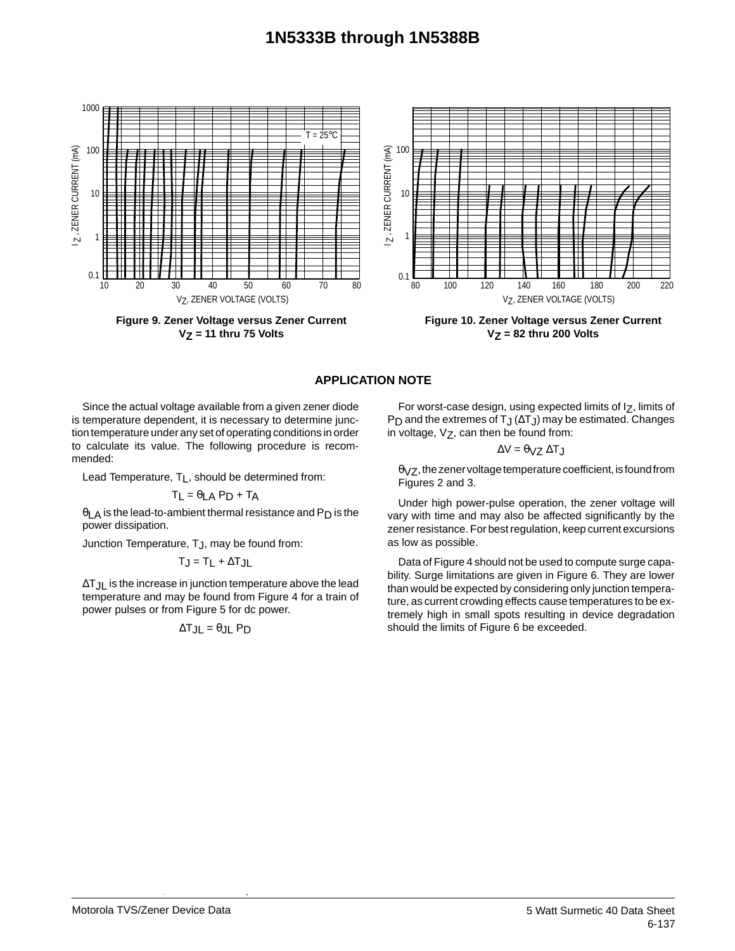

**Figure 9. Zener Voltage versus Zener Current VZ = 11 thru 75 Volts**



**Figure 10. Zener Voltage versus Zener Current VZ = 82 thru 200 Volts**

### **APPLICATION NOTE**

Since the actual voltage available from a given zener diode is temperature dependent, it is necessary to determine junction temperature under any set of operating conditions in order to calculate its value. The following procedure is recommended:

Lead Temperature,  $T_L$ , should be determined from:

$$
T_L = \theta_{LA} P_D + T_A
$$

θLA is the lead-to-ambient thermal resistance and P<sub>D</sub> is the power dissipation.

Junction Temperature, TJ, may be found from:

$$
T_J = T_L + \Delta T_{JL}
$$

∆T<sub>JL</sub> is the increase in junction temperature above the lead temperature and may be found from Figure 4 for a train of power pulses or from Figure 5 for dc power.

$$
\Delta T_{JL} = \theta_{JL} P_D
$$

For worst-case design, using expected limits of  $I_Z$ , limits of P<sub>D</sub> and the extremes of T<sub>J</sub> ( $\Delta$ T<sub>J</sub>) may be estimated. Changes in voltage,  $V_Z$ , can then be found from:

$$
\Delta V = \theta_{VZ} \, \Delta T_J
$$

 $\theta$ <sub>VZ</sub>, the zener voltage temperature coefficient, is found from Figures 2 and 3.

Under high power-pulse operation, the zener voltage will vary with time and may also be affected significantly by the zener resistance. For best regulation, keep current excursions as low as possible.

Data of Figure 4 should not be used to compute surge capability. Surge limitations are given in Figure 6. They are lower than would be expected by considering only junction temperature, as current crowding effects cause temperatures to be extremely high in small spots resulting in device degradation should the limits of Figure 6 be exceeded.

Devices listed in bold, italic are Motorola preferred devices.